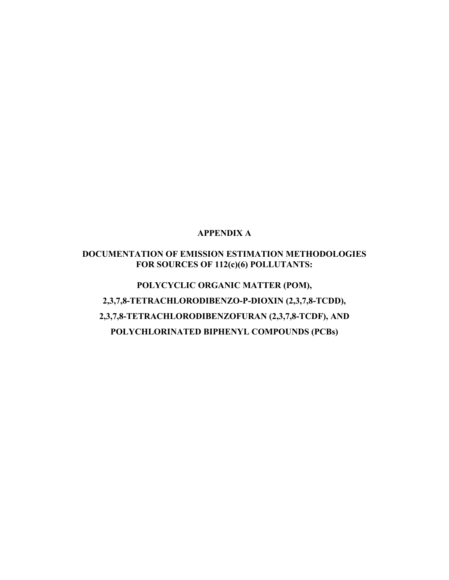### **APPENDIX A**

## **DOCUMENTATION OF EMISSION ESTIMATION METHODOLOGIES FOR SOURCES OF 112(c)(6) POLLUTANTS:**

**POLYCYCLIC ORGANIC MATTER (POM), 2,3,7,8-TETRACHLORODIBENZO-P-DIOXIN (2,3,7,8-TCDD), 2,3,7,8-TETRACHLORODIBENZOFURAN (2,3,7,8-TCDF), AND POLYCHLORINATED BIPHENYL COMPOUNDS (PCBs)**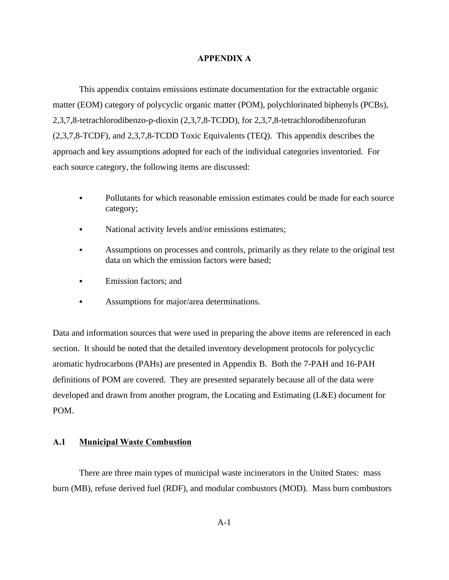### **APPENDIX A**

This appendix contains emissions estimate documentation for the extractable organic matter (EOM) category of polycyclic organic matter (POM), polychlorinated biphenyls (PCBs), 2,3,7,8-tetrachlorodibenzo-p-dioxin (2,3,7,8-TCDD), for 2,3,7,8-tetrachlorodibenzofuran (2,3,7,8-TCDF), and 2,3,7,8-TCDD Toxic Equivalents (TEQ). This appendix describes the approach and key assumptions adopted for each of the individual categories inventoried. For each source category, the following items are discussed:

- Pollutants for which reasonable emission estimates could be made for each source category;
- National activity levels and/or emissions estimates;
- Assumptions on processes and controls, primarily as they relate to the original test data on which the emission factors were based;
- Emission factors; and
- Assumptions for major/area determinations.

Data and information sources that were used in preparing the above items are referenced in each section. It should be noted that the detailed inventory development protocols for polycyclic aromatic hydrocarbons (PAHs) are presented in Appendix B. Both the 7-PAH and 16-PAH definitions of POM are covered. They are presented separately because all of the data were developed and drawn from another program, the Locating and Estimating (L&E) document for POM.

#### **A.1 Municipal Waste Combustion**

There are three main types of municipal waste incinerators in the United States: mass burn (MB), refuse derived fuel (RDF), and modular combustors (MOD). Mass burn combustors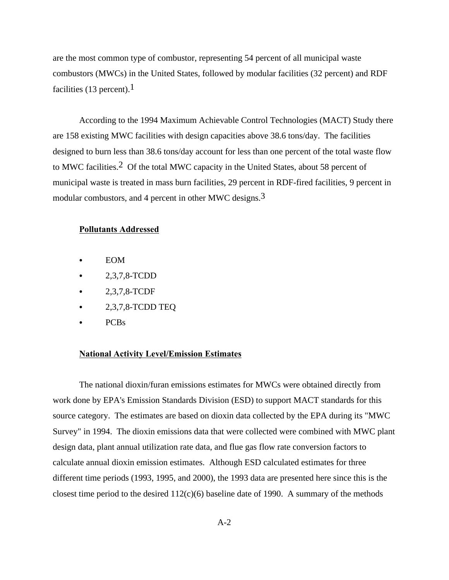are the most common type of combustor, representing 54 percent of all municipal waste combustors (MWCs) in the United States, followed by modular facilities (32 percent) and RDF facilities (13 percent).<sup>1</sup>

According to the 1994 Maximum Achievable Control Technologies (MACT) Study there are 158 existing MWC facilities with design capacities above 38.6 tons/day. The facilities designed to burn less than 38.6 tons/day account for less than one percent of the total waste flow to MWC facilities.2 Of the total MWC capacity in the United States, about 58 percent of municipal waste is treated in mass burn facilities, 29 percent in RDF-fired facilities, 9 percent in modular combustors, and 4 percent in other MWC designs.<sup>3</sup>

### **Pollutants Addressed**

- $\bullet$  EOM
- C 2,3,7,8-TCDD
- $2,3,7,8$ -TCDF
- $\bullet$  2,3,7,8-TCDD TEQ
- $\bullet$  PCBs

#### **National Activity Level/Emission Estimates**

The national dioxin/furan emissions estimates for MWCs were obtained directly from work done by EPA's Emission Standards Division (ESD) to support MACT standards for this source category. The estimates are based on dioxin data collected by the EPA during its "MWC Survey" in 1994. The dioxin emissions data that were collected were combined with MWC plant design data, plant annual utilization rate data, and flue gas flow rate conversion factors to calculate annual dioxin emission estimates. Although ESD calculated estimates for three different time periods (1993, 1995, and 2000), the 1993 data are presented here since this is the closest time period to the desired  $112(c)(6)$  baseline date of 1990. A summary of the methods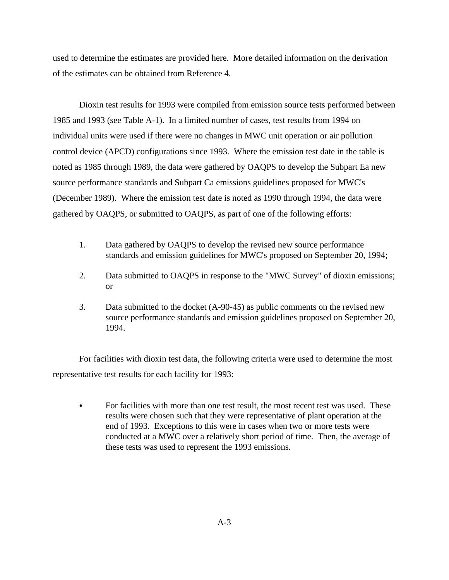used to determine the estimates are provided here. More detailed information on the derivation of the estimates can be obtained from Reference 4.

Dioxin test results for 1993 were compiled from emission source tests performed between 1985 and 1993 (see Table A-1). In a limited number of cases, test results from 1994 on individual units were used if there were no changes in MWC unit operation or air pollution control device (APCD) configurations since 1993. Where the emission test date in the table is noted as 1985 through 1989, the data were gathered by OAQPS to develop the Subpart Ea new source performance standards and Subpart Ca emissions guidelines proposed for MWC's (December 1989). Where the emission test date is noted as 1990 through 1994, the data were gathered by OAQPS, or submitted to OAQPS, as part of one of the following efforts:

- 1. Data gathered by OAQPS to develop the revised new source performance standards and emission guidelines for MWC's proposed on September 20, 1994;
- 2. Data submitted to OAQPS in response to the "MWC Survey" of dioxin emissions; or
- 3. Data submitted to the docket (A-90-45) as public comments on the revised new source performance standards and emission guidelines proposed on September 20, 1994.

For facilities with dioxin test data, the following criteria were used to determine the most representative test results for each facility for 1993:

For facilities with more than one test result, the most recent test was used. These results were chosen such that they were representative of plant operation at the end of 1993. Exceptions to this were in cases when two or more tests were conducted at a MWC over a relatively short period of time. Then, the average of these tests was used to represent the 1993 emissions.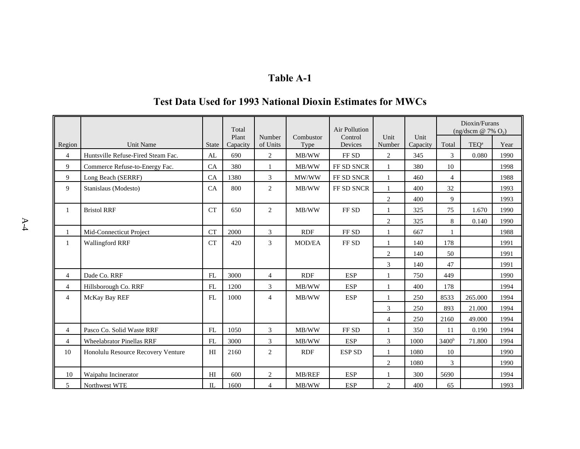|                |                                    |              | Total<br>Plant | Number         | Combustor     | Air Pollution<br>Control | Unit           | Unit     |                   | Dioxin/Furans<br>(ng/dscm $@ 7\% O_2$ ) |      |
|----------------|------------------------------------|--------------|----------------|----------------|---------------|--------------------------|----------------|----------|-------------------|-----------------------------------------|------|
| Region         | Unit Name                          | <b>State</b> | Capacity       | of Units       | Type          | Devices                  | Number         | Capacity | Total             | TEQ <sup>a</sup>                        | Year |
| $\overline{4}$ | Huntsville Refuse-Fired Steam Fac. | AL           | 690            | 2              | MB/WW         | FF <sub>SD</sub>         | 2              | 345      | 3                 | 0.080                                   | 1990 |
| 9              | Commerce Refuse-to-Energy Fac.     | CA           | 380            | 1              | MB/WW         | FF SD SNCR               | $\mathbf{1}$   | 380      | 10                |                                         | 1998 |
| 9              | Long Beach (SERRF)                 | CA           | 1380           | 3              | MW/WW         | FF SD SNCR               |                | 460      | $\overline{4}$    |                                         | 1988 |
| 9              | Stanislaus (Modesto)               | CA           | 800            | $\overline{c}$ | MB/WW         | FF SD SNCR               | 1              | 400      | 32                |                                         | 1993 |
|                |                                    |              |                |                |               |                          | 2              | 400      | 9                 |                                         | 1993 |
| $\mathbf{1}$   | <b>Bristol RRF</b>                 | CT           | 650            | $\overline{c}$ | MB/WW         | FF <sub>SD</sub>         | $\mathbf{1}$   | 325      | 75                | 1.670                                   | 1990 |
|                |                                    |              |                |                |               |                          | $\overline{c}$ | 325      | 8                 | 0.140                                   | 1990 |
| 1              | Mid-Connecticut Project            | CT           | 2000           | 3              | <b>RDF</b>    | FF SD                    | 1              | 667      | $\mathbf{1}$      |                                         | 1988 |
| 1              | <b>Wallingford RRF</b>             | <b>CT</b>    | 420            | 3              | <b>MOD/EA</b> | FF <sub>SD</sub>         | 1              | 140      | 178               |                                         | 1991 |
|                |                                    |              |                |                |               |                          | $\overline{2}$ | 140      | 50                |                                         | 1991 |
|                |                                    |              |                |                |               |                          | 3              | 140      | 47                |                                         | 1991 |
| $\overline{4}$ | Dade Co. RRF                       | FL           | 3000           | $\overline{4}$ | <b>RDF</b>    | <b>ESP</b>               | $\mathbf{1}$   | 750      | 449               |                                         | 1990 |
| $\overline{4}$ | Hillsborough Co. RRF               | FL           | 1200           | 3              | MB/WW         | <b>ESP</b>               | $\mathbf{1}$   | 400      | 178               |                                         | 1994 |
| $\overline{4}$ | McKay Bay REF                      | FL           | 1000           | $\overline{4}$ | MB/WW         | <b>ESP</b>               |                | 250      | 8533              | 265.000                                 | 1994 |
|                |                                    |              |                |                |               |                          | 3              | 250      | 893               | 21.000                                  | 1994 |
|                |                                    |              |                |                |               |                          | $\overline{4}$ | 250      | 2160              | 49.000                                  | 1994 |
| $\overline{4}$ | Pasco Co. Solid Waste RRF          | FL           | 1050           | 3              | MB/WW         | FF <sub>SD</sub>         | 1              | 350      | 11                | 0.190                                   | 1994 |
| $\overline{4}$ | <b>Wheelabrator Pinellas RRF</b>   | FL           | 3000           | 3              | MB/WW         | <b>ESP</b>               | 3              | 1000     | 3400 <sup>b</sup> | 71.800                                  | 1994 |
| 10             | Honolulu Resource Recovery Venture | HI           | 2160           | 2              | <b>RDF</b>    | <b>ESP SD</b>            | 1              | 1080     | 10                |                                         | 1990 |
|                |                                    |              |                |                |               |                          | 2              | 1080     | 3                 |                                         | 1990 |
| 10             | Waipahu Incinerator                | HI           | 600            | 2              | MB/REF        | <b>ESP</b>               | 1              | 300      | 5690              |                                         | 1994 |
| 5              | Northwest WTE                      | IL           | 1600           | 4              | MB/WW         | <b>ESP</b>               | 2              | 400      | 65                |                                         | 1993 |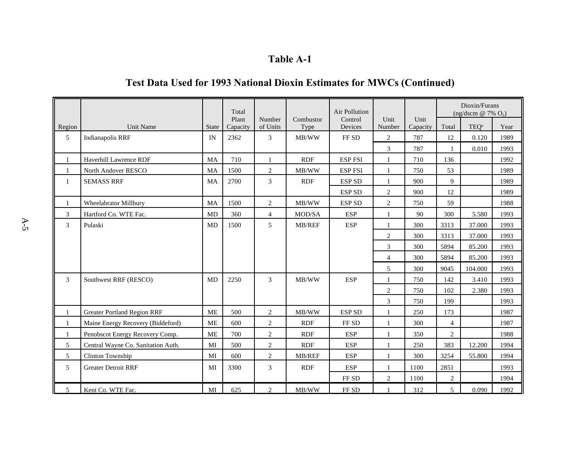|                |                                    |              | Total             |                    |                   | <b>Air Pollution</b> |                |                  |                | Dioxin/Furans<br>(ng/dscm @ 7% $O_2$ ) |      |
|----------------|------------------------------------|--------------|-------------------|--------------------|-------------------|----------------------|----------------|------------------|----------------|----------------------------------------|------|
| Region         | Unit Name                          | <b>State</b> | Plant<br>Capacity | Number<br>of Units | Combustor<br>Type | Control<br>Devices   | Unit<br>Number | Unit<br>Capacity | Total          | TEQ <sup>a</sup>                       | Year |
| 5              | Indianapolis RRF                   | IN           | 2362              | 3                  | MB/WW             | FF <sub>SD</sub>     | $\overline{2}$ | 787              | 12             | 0.120                                  | 1989 |
|                |                                    |              |                   |                    |                   |                      | 3              | 787              | $\mathbf{1}$   | 0.010                                  | 1993 |
| -1             | Haverhill Lawrence RDF             | <b>MA</b>    | 710               | $\mathbf{1}$       | RDF               | <b>ESP FSI</b>       | $\mathbf{1}$   | 710              | 136            |                                        | 1992 |
| 1              | North Andover RESCO                | <b>MA</b>    | 1500              | 2                  | MB/WW             | <b>ESP FSI</b>       | $\mathbf{1}$   | 750              | 53             |                                        | 1989 |
| 1              | <b>SEMASS RRF</b>                  | MA           | 2700              | $\mathfrak{Z}$     | RDF               | <b>ESP SD</b>        | 1              | 900              | 9              |                                        | 1989 |
|                |                                    |              |                   |                    |                   | <b>ESP SD</b>        | $\overline{2}$ | 900              | 12             |                                        | 1989 |
| 1              | Wheelabrator Millbury              | MA           | 1500              | $\overline{c}$     | MB/WW             | <b>ESP SD</b>        | 2              | 750              | 59             |                                        | 1988 |
| $\mathfrak{Z}$ | Hartford Co. WTE Fac.              | MD           | 360               | $\overline{4}$     | MOD/SA            | <b>ESP</b>           | $\mathbf{1}$   | 90               | 300            | 5.580                                  | 1993 |
| $\mathfrak{Z}$ | Pulaski                            | MD           | 1500              | 5                  | MB/REF            | <b>ESP</b>           | 1              | 300              | 3313           | 37.000                                 | 1993 |
|                |                                    |              |                   |                    |                   |                      | $\mathbf{2}$   | 300              | 3313           | 37.000                                 | 1993 |
|                |                                    |              |                   |                    |                   |                      | 3              | 300              | 5894           | 85.200                                 | 1993 |
|                |                                    |              |                   |                    |                   |                      | $\overline{4}$ | 300              | 5894           | 85.200                                 | 1993 |
|                |                                    |              |                   |                    |                   |                      | 5              | 300              | 9045           | 104.000                                | 1993 |
| $\mathfrak{Z}$ | Southwest RRF (RESCO)              | MD           | 2250              | $\mathfrak{Z}$     | MB/WW             | <b>ESP</b>           | $\mathbf{1}$   | 750              | 142            | 3.410                                  | 1993 |
|                |                                    |              |                   |                    |                   |                      | $\overline{2}$ | 750              | 102            | 2.380                                  | 1993 |
|                |                                    |              |                   |                    |                   |                      | 3              | 750              | 199            |                                        | 1993 |
| 1              | <b>Greater Portland Region RRF</b> | <b>ME</b>    | 500               | $\sqrt{2}$         | MB/WW             | <b>ESP SD</b>        | $\mathbf{1}$   | 250              | 173            |                                        | 1987 |
| $\mathbf{1}$   | Maine Energy Recovery (Biddeford)  | <b>ME</b>    | 600               | $\mathbf{2}$       | <b>RDF</b>        | FF <sub>SD</sub>     | $\mathbf{1}$   | 300              | $\overline{4}$ |                                        | 1987 |
| 1              | Penobscot Energy Recovery Comp.    | <b>ME</b>    | 700               | $\overline{c}$     | RDF               | <b>ESP</b>           | $\mathbf{1}$   | 350              | $\overline{2}$ |                                        | 1988 |
| 5              | Central Wayne Co. Sanitation Auth. | MI           | 500               | $\sqrt{2}$         | <b>RDF</b>        | <b>ESP</b>           | $\mathbf{1}$   | 250              | 383            | 12.200                                 | 1994 |
| 5              | Clinton Township                   | MI           | 600               | 2                  | MB/REF            | <b>ESP</b>           | $\mathbf{1}$   | 300              | 3254           | 55.800                                 | 1994 |
| 5              | <b>Greater Detroit RRF</b>         | MI           | 3300              | 3                  | <b>RDF</b>        | <b>ESP</b>           | 1              | 1100             | 2851           |                                        | 1993 |
|                |                                    |              |                   |                    |                   | FF SD                | $\overline{2}$ | 1100             | $\overline{c}$ |                                        | 1994 |
| 5              | Kent Co. WTE Fac.                  | MI           | 625               | 2                  | MB/WW             | FF SD                |                | 312              | 5              | 0.090                                  | 1992 |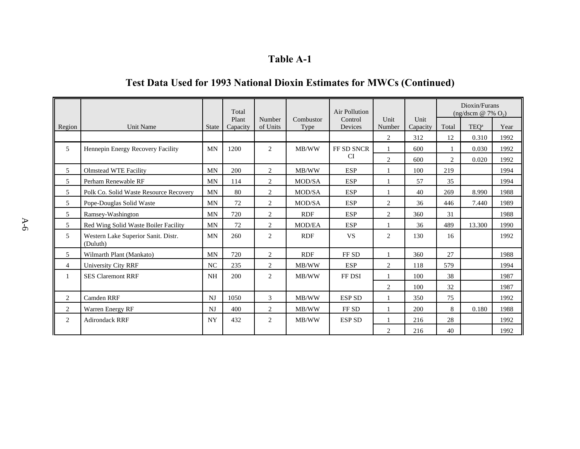| <b>Table A-1</b> |  |
|------------------|--|
|------------------|--|

|                |                                                 |                | Total             |                    |                   | Air Pollution      |                |                  | Dioxin/Furans<br>(ng/dscm @ 7% $O_2$ ) |                  |      |  |
|----------------|-------------------------------------------------|----------------|-------------------|--------------------|-------------------|--------------------|----------------|------------------|----------------------------------------|------------------|------|--|
| Region         | <b>Unit Name</b>                                | <b>State</b>   | Plant<br>Capacity | Number<br>of Units | Combustor<br>Type | Control<br>Devices | Unit<br>Number | Unit<br>Capacity | Total                                  | TEO <sup>a</sup> | Year |  |
|                |                                                 |                |                   |                    |                   |                    | 2              | 312              | 12                                     | 0.310            | 1992 |  |
| 5              | Hennepin Energy Recovery Facility               | <b>MN</b>      | 1200              | $\overline{2}$     | MB/WW             | FF SD SNCR         | $\mathbf{1}$   | 600              |                                        | 0.030            | 1992 |  |
|                |                                                 |                |                   |                    |                   | <b>CI</b>          | $\overline{2}$ | 600              | 2                                      | 0.020            | 1992 |  |
| 5              | <b>Olmstead WTE Facility</b>                    | <b>MN</b>      | 200               | 2                  | MB/WW             | <b>ESP</b>         | $\mathbf{1}$   | 100              | 219                                    |                  | 1994 |  |
| 5              | Perham Renewable RF                             | MN             | 114               | 2                  | MOD/SA            | <b>ESP</b>         | 1              | 57               | 35                                     |                  | 1994 |  |
| 5              | Polk Co. Solid Waste Resource Recovery          | <b>MN</b>      | 80                | 2                  | MOD/SA            | <b>ESP</b>         | 1              | 40               | 269                                    | 8.990            | 1988 |  |
| 5              | Pope-Douglas Solid Waste                        | MN             | 72                | $\overline{2}$     | MOD/SA            | <b>ESP</b>         | 2              | 36               | 446                                    | 7.440            | 1989 |  |
| 5              | Ramsey-Washington                               | MN             | 720               | 2                  | <b>RDF</b>        | <b>ESP</b>         | 2              | 360              | 31                                     |                  | 1988 |  |
| 5              | Red Wing Solid Waste Boiler Facility            | MN             | 72                | 2                  | <b>MOD/EA</b>     | <b>ESP</b>         | $\mathbf{1}$   | 36               | 489                                    | 13.300           | 1990 |  |
| 5              | Western Lake Superior Sanit. Distr.<br>(Duluth) | MN             | 260               | 2                  | <b>RDF</b>        | <b>VS</b>          | 2              | 130              | 16                                     |                  | 1992 |  |
| 5              | Wilmarth Plant (Mankato)                        | MN             | 720               | 2                  | <b>RDF</b>        | FF SD              | $\mathbf{1}$   | 360              | 27                                     |                  | 1988 |  |
| $\overline{4}$ | University City RRF                             | NC             | 235               | 2                  | MB/WW             | <b>ESP</b>         | 2              | 118              | 579                                    |                  | 1994 |  |
|                | <b>SES Claremont RRF</b>                        | <b>NH</b>      | 200               | $\overline{2}$     | MB/WW             | FF DSI             | $\mathbf{1}$   | 100              | 38                                     |                  | 1987 |  |
|                |                                                 |                |                   |                    |                   |                    | 2              | 100              | 32                                     |                  | 1987 |  |
| 2              | <b>Camden RRF</b>                               | N <sub>J</sub> | 1050              | 3                  | MB/WW             | <b>ESP SD</b>      | 1              | 350              | 75                                     |                  | 1992 |  |
| 2              | Warren Energy RF                                | N <sub>J</sub> | 400               | $\overline{c}$     | MB/WW             | FF SD              | $\mathbf{1}$   | 200              | 8                                      | 0.180            | 1988 |  |
| 2              | <b>Adirondack RRF</b>                           | <b>NY</b>      | 432               | 2                  | MB/WW             | <b>ESP SD</b>      |                | 216              | 28                                     |                  | 1992 |  |
|                |                                                 |                |                   |                    |                   |                    | 2              | 216              | 40                                     |                  | 1992 |  |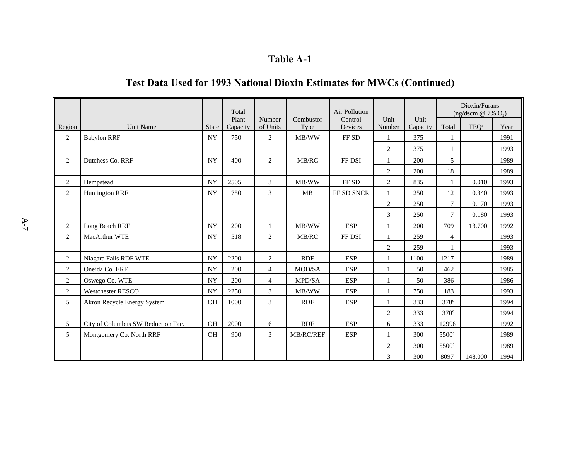|                |                                    |           | Total             |                    |                   | Air Pollution      |                |                  |                   | Dioxin/Furans<br>(ng/dscm $@ 7\% O_2$ ) |      |
|----------------|------------------------------------|-----------|-------------------|--------------------|-------------------|--------------------|----------------|------------------|-------------------|-----------------------------------------|------|
| Region         | <b>Unit Name</b>                   | State     | Plant<br>Capacity | Number<br>of Units | Combustor<br>Type | Control<br>Devices | Unit<br>Number | Unit<br>Capacity | Total             | TEQ <sup>a</sup>                        | Year |
| $\overline{c}$ | <b>Babylon RRF</b>                 | <b>NY</b> | 750               | 2                  | MB/WW             | FF <sub>SD</sub>   | 1              | 375              |                   |                                         | 1991 |
|                |                                    |           |                   |                    |                   |                    | 2              | 375              |                   |                                         | 1993 |
| $\overline{2}$ | Dutchess Co. RRF                   | <b>NY</b> | 400               | $\overline{c}$     | MB/RC             | FF DSI             | $\mathbf{1}$   | 200              | 5                 |                                         | 1989 |
|                |                                    |           |                   |                    |                   |                    | $\overline{2}$ | 200              | 18                |                                         | 1989 |
| 2              | Hempstead                          | <b>NY</b> | 2505              | 3                  | MB/WW             | FF SD              | $\overline{2}$ | 835              | $\mathbf{1}$      | 0.010                                   | 1993 |
| $\overline{2}$ | <b>Huntington RRF</b>              | <b>NY</b> | 750               | 3                  | <b>MB</b>         | FF SD SNCR         | $\mathbf{1}$   | 250              | 12                | 0.340                                   | 1993 |
|                |                                    |           |                   |                    |                   |                    | $\overline{c}$ | 250              | $\tau$            | 0.170                                   | 1993 |
|                |                                    |           |                   |                    |                   |                    | 3              | 250              | 7                 | 0.180                                   | 1993 |
| $\overline{2}$ | Long Beach RRF                     | <b>NY</b> | 200               | 1                  | MB/WW             | <b>ESP</b>         | $\mathbf{1}$   | 200              | 709               | 13.700                                  | 1992 |
| $\overline{c}$ | MacArthur WTE                      | <b>NY</b> | 518               | 2                  | MB/RC             | FF DSI             | 1              | 259              | $\overline{4}$    |                                         | 1993 |
|                |                                    |           |                   |                    |                   |                    | 2              | 259              |                   |                                         | 1993 |
| $\overline{c}$ | Niagara Falls RDF WTE              | <b>NY</b> | 2200              | 2                  | <b>RDF</b>        | <b>ESP</b>         | 1              | 1100             | 1217              |                                         | 1989 |
| 2              | Oneida Co. ERF                     | <b>NY</b> | 200               | $\overline{4}$     | MOD/SA            | <b>ESP</b>         | $\mathbf{1}$   | 50               | 462               |                                         | 1985 |
| $\overline{2}$ | Oswego Co. WTE                     | <b>NY</b> | 200               | $\overline{4}$     | MPD/SA            | <b>ESP</b>         | 1              | 50               | 386               |                                         | 1986 |
| $\overline{2}$ | <b>Westchester RESCO</b>           | <b>NY</b> | 2250              | 3                  | MB/WW             | <b>ESP</b>         | $\mathbf{1}$   | 750              | 183               |                                         | 1993 |
| 5              | Akron Recycle Energy System        | <b>OH</b> | 1000              | 3                  | <b>RDF</b>        | <b>ESP</b>         | $\mathbf{1}$   | 333              | 370 <sup>c</sup>  |                                         | 1994 |
|                |                                    |           |                   |                    |                   |                    | 2              | 333              | 370 <sup>c</sup>  |                                         | 1994 |
| 5              | City of Columbus SW Reduction Fac. | <b>OH</b> | 2000              | 6                  | <b>RDF</b>        | <b>ESP</b>         | 6              | 333              | 12998             |                                         | 1992 |
| 5              | Montgomery Co. North RRF           | <b>OH</b> | 900               | 3                  | MB/RC/REF         | <b>ESP</b>         | 1              | 300              | 5500 <sup>d</sup> |                                         | 1989 |
|                |                                    |           |                   |                    |                   |                    | $\overline{2}$ | 300              | 5500 <sup>d</sup> |                                         | 1989 |
|                |                                    |           |                   |                    |                   |                    | 3              | 300              | 8097              | 148.000                                 | 1994 |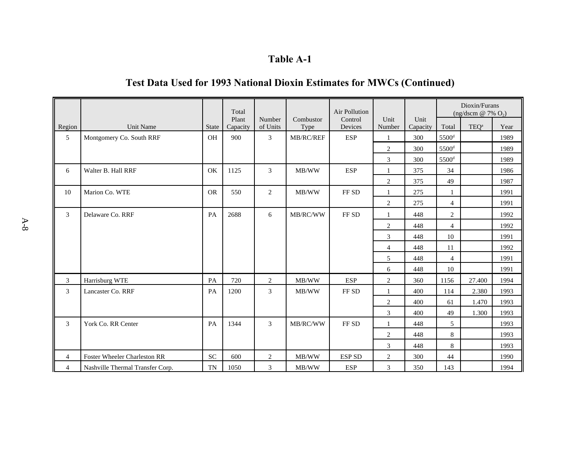|                |                                     |              | Total             |                    |                   | <b>Air Pollution</b> |                  |                  |                     | Dioxin/Furans<br>$(ng/dscm \n\omega 7\% O_2)$ |      |
|----------------|-------------------------------------|--------------|-------------------|--------------------|-------------------|----------------------|------------------|------------------|---------------------|-----------------------------------------------|------|
| Region         | Unit Name                           | <b>State</b> | Plant<br>Capacity | Number<br>of Units | Combustor<br>Type | Control<br>Devices   | Unit<br>Number   | Unit<br>Capacity | Total               | TEQ <sup>a</sup>                              | Year |
| 5              | Montgomery Co. South RRF            | <b>OH</b>    | 900               | 3                  | MB/RC/REF         | <b>ESP</b>           | $\mathbf{1}$     | 300              | 5500 <sup>d</sup>   |                                               | 1989 |
|                |                                     |              |                   |                    |                   |                      | $\overline{c}$   | 300              | 5500 <sup>d</sup>   |                                               | 1989 |
|                |                                     |              |                   |                    |                   |                      | 3                | 300              | $5500$ <sup>d</sup> |                                               | 1989 |
| 6              | Walter B. Hall RRF                  | OK           | 1125              | 3                  | MB/WW             | <b>ESP</b>           | 1                | 375              | 34                  |                                               | 1986 |
|                |                                     |              |                   |                    |                   |                      | $\boldsymbol{2}$ | 375              | 49                  |                                               | 1987 |
| 10             | Marion Co. WTE                      | <b>OR</b>    | 550               | $\overline{2}$     | MB/WW             | FF <sub>SD</sub>     | $\mathbf{1}$     | 275              |                     |                                               | 1991 |
|                |                                     |              |                   |                    |                   |                      | $\overline{c}$   | 275              | $\overline{4}$      |                                               | 1991 |
| 3              | Delaware Co. RRF                    | PA           | 2688              | 6                  | MB/RC/WW          | FF <sub>SD</sub>     | $\mathbf{1}$     | 448              | $\overline{2}$      |                                               | 1992 |
|                |                                     |              |                   |                    |                   |                      | $\overline{c}$   | 448              | $\overline{4}$      |                                               | 1992 |
|                |                                     |              |                   |                    |                   |                      | 3                | 448              | 10                  |                                               | 1991 |
|                |                                     |              |                   |                    |                   |                      | $\overline{4}$   | 448              | 11                  |                                               | 1992 |
|                |                                     |              |                   |                    |                   |                      | 5                | 448              | $\overline{4}$      |                                               | 1991 |
|                |                                     |              |                   |                    |                   |                      | 6                | 448              | 10                  |                                               | 1991 |
| 3              | Harrisburg WTE                      | PA           | 720               | 2                  | MB/WW             | <b>ESP</b>           | $\overline{2}$   | 360              | 1156                | 27.400                                        | 1994 |
| 3              | Lancaster Co. RRF                   | PA           | 1200              | 3                  | MB/WW             | FF <sub>SD</sub>     | $\mathbf{1}$     | 400              | 114                 | 2.380                                         | 1993 |
|                |                                     |              |                   |                    |                   |                      | $\overline{2}$   | 400              | 61                  | 1.470                                         | 1993 |
|                |                                     |              |                   |                    |                   |                      | 3                | 400              | 49                  | 1.300                                         | 1993 |
| 3              | York Co. RR Center                  | PA           | 1344              | 3                  | MB/RC/WW          | FF <sub>SD</sub>     | $\mathbf{1}$     | 448              | 5                   |                                               | 1993 |
|                |                                     |              |                   |                    |                   |                      | 2                | 448              | 8                   |                                               | 1993 |
|                |                                     |              |                   |                    |                   |                      | 3                | 448              | 8                   |                                               | 1993 |
| 4              | <b>Foster Wheeler Charleston RR</b> | <b>SC</b>    | 600               | 2                  | MB/WW             | <b>ESP SD</b>        | $\overline{2}$   | 300              | 44                  |                                               | 1990 |
| $\overline{4}$ | Nashville Thermal Transfer Corp.    | TN           | 1050              | 3                  | MB/WW             | <b>ESP</b>           | 3                | 350              | 143                 |                                               | 1994 |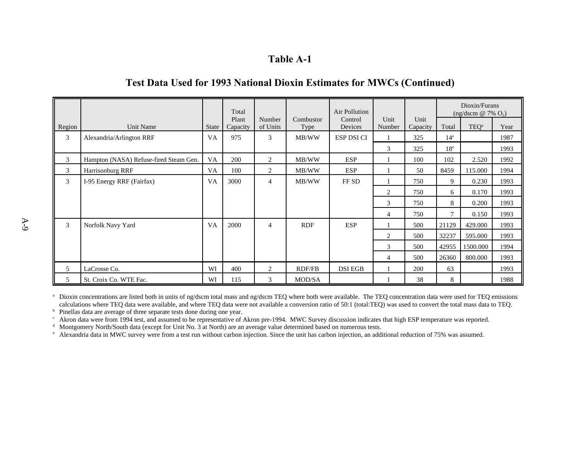# **Test Data Used for 1993 National Dioxin Estimates for MWCs (Continued)**

|        |                                        |           | Total             |                    |                          | Air Pollution      |                |                  |                 | Dioxin/Furans<br>$(ng/dscm \n\omega 7\% O_2)$ |      |
|--------|----------------------------------------|-----------|-------------------|--------------------|--------------------------|--------------------|----------------|------------------|-----------------|-----------------------------------------------|------|
| Region | Unit Name                              | State     | Plant<br>Capacity | Number<br>of Units | Combustor<br><b>Type</b> | Control<br>Devices | Unit<br>Number | Unit<br>Capacity | Total           | TEQ <sup>a</sup>                              | Year |
| 3      | Alexandria/Arlington RRF               | VA        | 975               | 3                  | MB/WW                    | ESP DSI CI         |                | 325              | 14 <sup>e</sup> |                                               | 1987 |
|        |                                        |           |                   |                    |                          |                    | 3              | 325              | 18 <sup>e</sup> |                                               | 1993 |
| 3      | Hampton (NASA) Refuse-fired Steam Gen. | VA        | 200               | 2                  | MB/WW                    | <b>ESP</b>         |                | 100              | 102             | 2.520                                         | 1992 |
| 3      | Harrisonburg RRF                       | VA        | 100               | 2                  | MB/WW                    | <b>ESP</b>         |                | 50               | 8459            | 115.000                                       | 1994 |
| 3      | I-95 Energy RRF (Fairfax)              | <b>VA</b> | 3000              | $\overline{4}$     | MB/WW                    | FF SD              |                | 750              | 9               | 0.230                                         | 1993 |
|        |                                        |           |                   |                    |                          |                    | 2              | 750              | 6               | 0.170                                         | 1993 |
|        |                                        |           |                   |                    |                          |                    | 3              | 750              | 8               | 0.200                                         | 1993 |
|        |                                        |           |                   |                    |                          |                    | 4              | 750              | $\tau$          | 0.150                                         | 1993 |
| 3      | Norfolk Navy Yard                      | <b>VA</b> | 2000              | $\overline{4}$     | <b>RDF</b>               | <b>ESP</b>         |                | 500              | 21129           | 429.000                                       | 1993 |
|        |                                        |           |                   |                    |                          |                    | $\overline{2}$ | 500              | 32237           | 595.000                                       | 1993 |
|        |                                        |           |                   |                    |                          |                    | 3              | 500              | 42955           | 1500.000                                      | 1994 |
|        |                                        |           |                   |                    |                          |                    | 4              | 500              | 26360           | 800.000                                       | 1993 |
| 5      | LaCrosse Co.                           | WI        | 400               | 2                  | <b>RDF/FB</b>            | <b>DSI EGB</b>     |                | 200              | 63              |                                               | 1993 |
| 5      | St. Croix Co. WTE Fac.                 | WI        | 115               | 3                  | MOD/SA                   |                    |                | 38               | 8               |                                               | 1988 |

<sup>a</sup> Dioxin concentrations are listed both in units of ng/dscm total mass and ng/dscm TEQ where both were available. The TEQ concentration data were used for TEQ emissions calculations where TEQ data were available, and where TEQ data were not available a conversion ratio of 50:1 (total:TEQ) was used to convert the total mass data to TEQ.

<sup>b</sup> Pinellas data are average of three separate tests done during one year.

 $\epsilon$  Akron data were from 1994 test, and assumed to be representative of Akron pre-1994. MWC Survey discussion indicates that high ESP temperature was reported.

<sup>d</sup> Montgomery North/South data (except for Unit No. 3 at North) are an average value determined based on numerous tests.

<sup>e</sup> Alexandria data in MWC survey were from a test run without carbon injection. Since the unit has carbon injection, an additional reduction of 75% was assumed.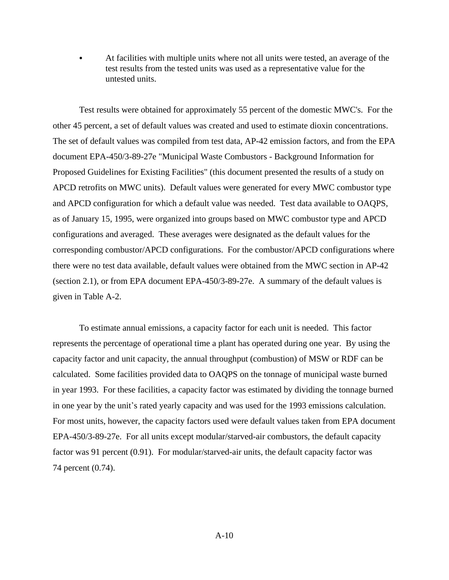At facilities with multiple units where not all units were tested, an average of the test results from the tested units was used as a representative value for the untested units.

Test results were obtained for approximately 55 percent of the domestic MWC's. For the other 45 percent, a set of default values was created and used to estimate dioxin concentrations. The set of default values was compiled from test data, AP-42 emission factors, and from the EPA document EPA-450/3-89-27e "Municipal Waste Combustors - Background Information for Proposed Guidelines for Existing Facilities" (this document presented the results of a study on APCD retrofits on MWC units). Default values were generated for every MWC combustor type and APCD configuration for which a default value was needed. Test data available to OAQPS, as of January 15, 1995, were organized into groups based on MWC combustor type and APCD configurations and averaged. These averages were designated as the default values for the corresponding combustor/APCD configurations. For the combustor/APCD configurations where there were no test data available, default values were obtained from the MWC section in AP-42 (section 2.1), or from EPA document EPA-450/3-89-27e. A summary of the default values is given in Table A-2.

To estimate annual emissions, a capacity factor for each unit is needed. This factor represents the percentage of operational time a plant has operated during one year. By using the capacity factor and unit capacity, the annual throughput (combustion) of MSW or RDF can be calculated. Some facilities provided data to OAQPS on the tonnage of municipal waste burned in year 1993. For these facilities, a capacity factor was estimated by dividing the tonnage burned in one year by the unit's rated yearly capacity and was used for the 1993 emissions calculation. For most units, however, the capacity factors used were default values taken from EPA document EPA-450/3-89-27e. For all units except modular/starved-air combustors, the default capacity factor was 91 percent (0.91). For modular/starved-air units, the default capacity factor was 74 percent (0.74).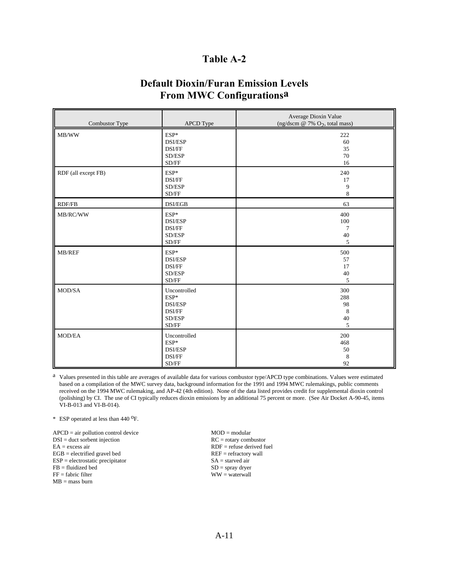# **Default Dioxin/Furan Emission Levels From MWC Configurationsa**

| Combustor Type      | <b>APCD</b> Type                                                                         | Average Dioxin Value<br>(ng/dscm @ 7% $O_2$ , total mass) |
|---------------------|------------------------------------------------------------------------------------------|-----------------------------------------------------------|
| MB/WW               | $ESP*$<br><b>DSI/ESP</b><br>DSI/FF<br>SD/ESP<br>SD/FF                                    | 222<br>60<br>35<br>70<br>16                               |
| RDF (all except FB) | $ESP*$<br>DSI/FF<br>SD/ESP<br>$\ensuremath{\mathrm{SD}}\xspace/\ensuremath{\mathrm{FF}}$ | 240<br>17<br>9<br>8                                       |
| <b>RDF/FB</b>       | DSI/EGB                                                                                  | 63                                                        |
| MB/RC/WW            | ESP*<br><b>DSI/ESP</b><br>DSI/FF<br>SD/ESP<br>SD/FF                                      | 400<br>100<br>7<br>40<br>5                                |
| MB/REF              | ESP*<br><b>DSI/ESP</b><br>DSI/FF<br>SD/ESP<br>$\operatorname{SD/FF}$                     | 500<br>57<br>17<br>40<br>5                                |
| MOD/SA              | Uncontrolled<br>ESP*<br><b>DSI/ESP</b><br>DSI/FF<br>SD/ESP<br>$\operatorname{SD/FF}$     | 300<br>288<br>98<br>8<br>40<br>5                          |
| MOD/EA              | Uncontrolled<br>$ESP^*$<br>DSI/ESP<br>DSI/FF<br>$\operatorname{SD/FF}$                   | 200<br>468<br>50<br>8<br>92                               |

a Values presented in this table are averages of available data for various combustor type/APCD type combinations. Values were estimated based on a compilation of the MWC survey data, background information for the 1991 and 1994 MWC rulemakings, public comments received on the 1994 MWC rulemaking, and AP-42 (4th edition). None of the data listed provides credit for supplemental dioxin control (polishing) by CI. The use of CI typically reduces dioxin emissions by an additional 75 percent or more. (See Air Docket A-90-45, items VI-B-013 and VI-B-014).

\* ESP operated at less than 440 <sup>O</sup>F.

 $APCD = air$  pollution control device  $MOD = \text{modular}$ <br> $DC = \text{rotary}$  combustor  $DSI =$  duct sorbent injection<br> $EA =$  excess air  $EGB =$  electrified gravel bed  $REF =$  refractory wall  $ESP =$  electrostatic precipitator  $SA =$  starved air  $ESP = electrostatic\,precript{precipitator}$  $\begin{array}{lll} \text{FB = fluidized bed} & \text{SD = spray dryer} \\ \text{FF = fabric filter} & \text{WW = waterwall} \end{array}$  $MB =$  mass burn

 $RDF =$  refuse derived fuel  $WW = waterwall$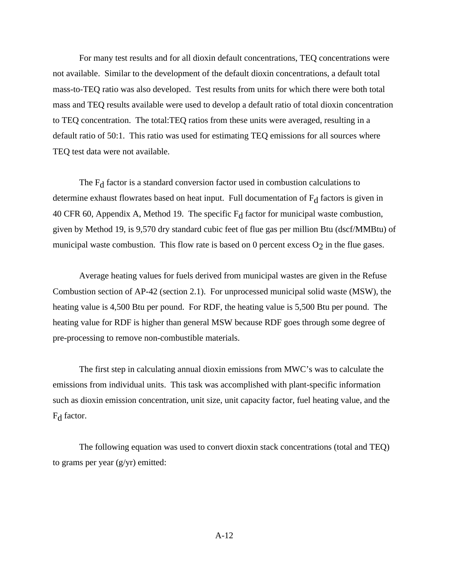For many test results and for all dioxin default concentrations, TEQ concentrations were not available. Similar to the development of the default dioxin concentrations, a default total mass-to-TEQ ratio was also developed. Test results from units for which there were both total mass and TEQ results available were used to develop a default ratio of total dioxin concentration to TEQ concentration. The total:TEQ ratios from these units were averaged, resulting in a default ratio of 50:1. This ratio was used for estimating TEQ emissions for all sources where TEQ test data were not available.

The  $F_d$  factor is a standard conversion factor used in combustion calculations to determine exhaust flowrates based on heat input. Full documentation of  $F_d$  factors is given in 40 CFR 60, Appendix A, Method 19. The specific  $F_d$  factor for municipal waste combustion, given by Method 19, is 9,570 dry standard cubic feet of flue gas per million Btu (dscf/MMBtu) of municipal waste combustion. This flow rate is based on 0 percent excess  $O_2$  in the flue gases.

Average heating values for fuels derived from municipal wastes are given in the Refuse Combustion section of AP-42 (section 2.1). For unprocessed municipal solid waste (MSW), the heating value is 4,500 Btu per pound. For RDF, the heating value is 5,500 Btu per pound. The heating value for RDF is higher than general MSW because RDF goes through some degree of pre-processing to remove non-combustible materials.

The first step in calculating annual dioxin emissions from MWC's was to calculate the emissions from individual units. This task was accomplished with plant-specific information such as dioxin emission concentration, unit size, unit capacity factor, fuel heating value, and the F<sub>d</sub> factor.

The following equation was used to convert dioxin stack concentrations (total and TEQ) to grams per year (g/yr) emitted: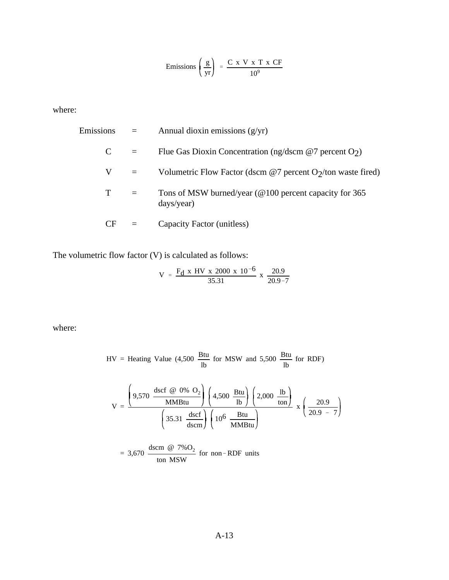$$
Emissions \left(\frac{g}{yr}\right) = \frac{C x V x T x CF}{10^9}
$$

where:

| Emissions | $=$                         | Annual dioxin emissions $(g/yr)$                                                 |
|-----------|-----------------------------|----------------------------------------------------------------------------------|
| C         | $=$                         | Flue Gas Dioxin Concentration (ng/dscm $@7$ percent O <sub>2</sub> )             |
| V         | $\mathcal{L} = \mathcal{L}$ | Volumetric Flow Factor (dscm $@7$ percent O <sub>2</sub> /ton waste fired)       |
| T         | $=$                         | Tons of MSW burned/year ( $@100$ percent capacity for 365<br>$\frac{days}{year}$ |
| CF        |                             | Capacity Factor (unitless)                                                       |

The volumetric flow factor (V) is calculated as follows:

$$
V = \frac{F_d \times HV \times 2000 \times 10^{-6}}{35.31} \times \frac{20.9}{20.9 - 7}
$$

where:

$$
HV = \text{Heating Value } (4,500 \frac{\text{Btu}}{\text{lb}} \text{ for MSW and } 5,500 \frac{\text{Btu}}{\text{lb}} \text{ for RDF})
$$
\n
$$
V = \frac{\left(9,570 \frac{\text{dscf } @ 0\% \text{ O}_2}{\text{MMBtu}}\right) \left(4,500 \frac{\text{Btu}}{\text{lb}}\right) \left(2,000 \frac{\text{lb}}{\text{ton}}\right)}{\left(35.31 \frac{\text{dscf}}{\text{dscm}}\right) \left(10^6 \frac{\text{Btu}}{\text{MMBtu}}\right)} \times \left(\frac{20.9}{20.9 - 7}\right)
$$

= 3,670 
$$
\frac{\text{dscm } @ 7\%O_2}{\text{ton MSW}}
$$
 for non-RDF units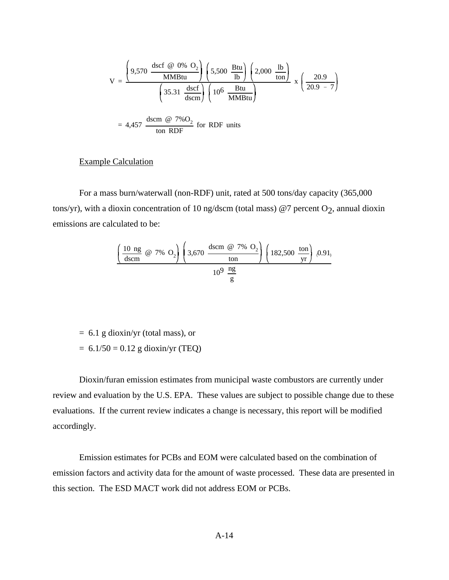$$
V = \frac{\left(9,570 \frac{\text{dscf } @ 0\% O_2}{MM\text{Btu}}\right) \left(5,500 \frac{\text{Btu}}{\text{lb}}\right) \left(2,000 \frac{\text{lb}}{\text{ton}}\right)}{\left(35.31 \frac{\text{dscf}}{\text{dscm}}\right) \left(10^6 \frac{\text{Btu}}{\text{MM\text{Btu}}}\right)} \times \left(\frac{20.9}{20.9 - 7}\right)
$$

$$
= 4,457 \frac{\text{dscm } @ 7\%O_2}{\text{ton RDF}} \text{ for RDF units}
$$

## Example Calculation

For a mass burn/waterwall (non-RDF) unit, rated at 500 tons/day capacity (365,000 tons/yr), with a dioxin concentration of 10 ng/dscm (total mass) @7 percent  $O_2$ , annual dioxin emissions are calculated to be:

$$
\left(\frac{10 \text{ ng}}{\text{dscm}} \quad \text{@} \quad 7\% \quad \text{O}_2\right) \left(3,670 \quad \frac{\text{dscm} \quad \text{@} \quad 7\% \quad \text{O}_2}{\text{ton}}\right) \left(182,500 \quad \frac{\text{ton}}{\text{yr}}\right) \quad 0.91, \\ 10^9 \quad \frac{\text{ng}}{\text{g}}
$$

 $= 6.1$  g dioxin/yr (total mass), or

 $= 6.1/50 = 0.12$  g dioxin/yr (TEQ)

Dioxin/furan emission estimates from municipal waste combustors are currently under review and evaluation by the U.S. EPA. These values are subject to possible change due to these evaluations. If the current review indicates a change is necessary, this report will be modified accordingly.

Emission estimates for PCBs and EOM were calculated based on the combination of emission factors and activity data for the amount of waste processed. These data are presented in this section. The ESD MACT work did not address EOM or PCBs.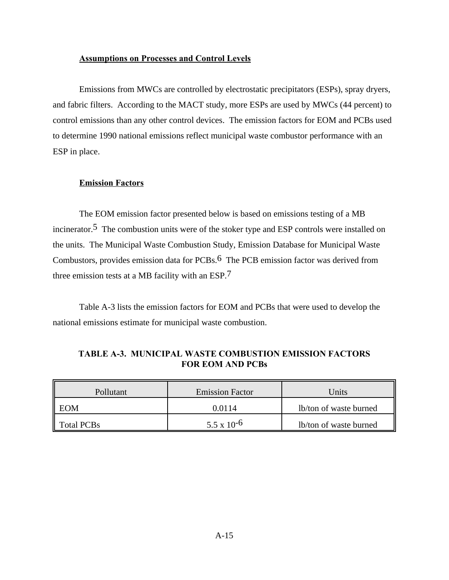### **Assumptions on Processes and Control Levels**

Emissions from MWCs are controlled by electrostatic precipitators (ESPs), spray dryers, and fabric filters. According to the MACT study, more ESPs are used by MWCs (44 percent) to control emissions than any other control devices. The emission factors for EOM and PCBs used to determine 1990 national emissions reflect municipal waste combustor performance with an ESP in place.

### **Emission Factors**

The EOM emission factor presented below is based on emissions testing of a MB incinerator.5 The combustion units were of the stoker type and ESP controls were installed on the units. The Municipal Waste Combustion Study, Emission Database for Municipal Waste Combustors, provides emission data for PCBs.6 The PCB emission factor was derived from three emission tests at a MB facility with an ESP.7

Table A-3 lists the emission factors for EOM and PCBs that were used to develop the national emissions estimate for municipal waste combustion.

| Pollutant         | <b>Emission Factor</b> | Units                  |  |  |  |
|-------------------|------------------------|------------------------|--|--|--|
| <b>EOM</b>        | 0.0114                 | lb/ton of waste burned |  |  |  |
| <b>Total PCBs</b> | $5.5 \times 10^{-6}$   | lb/ton of waste burned |  |  |  |

| TABLE A-3. MUNICIPAL WASTE COMBUSTION EMISSION FACTORS |
|--------------------------------------------------------|
| <b>FOR EOM AND PCBs</b>                                |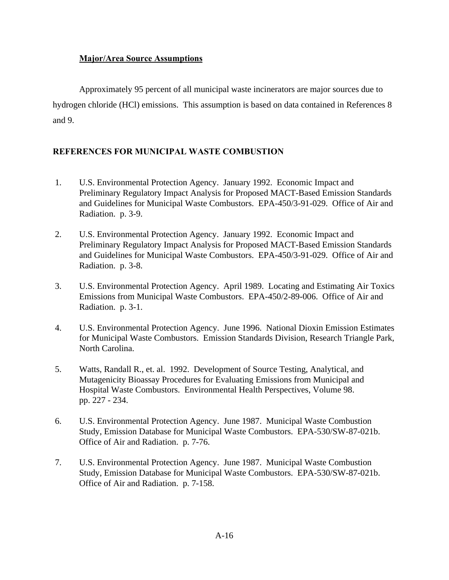## **Major/Area Source Assumptions**

Approximately 95 percent of all municipal waste incinerators are major sources due to hydrogen chloride (HCl) emissions. This assumption is based on data contained in References 8 and 9.

## **REFERENCES FOR MUNICIPAL WASTE COMBUSTION**

- 1. U.S. Environmental Protection Agency. January 1992. Economic Impact and Preliminary Regulatory Impact Analysis for Proposed MACT-Based Emission Standards and Guidelines for Municipal Waste Combustors. EPA-450/3-91-029. Office of Air and Radiation. p. 3-9.
- 2. U.S. Environmental Protection Agency. January 1992. Economic Impact and Preliminary Regulatory Impact Analysis for Proposed MACT-Based Emission Standards and Guidelines for Municipal Waste Combustors. EPA-450/3-91-029. Office of Air and Radiation. p. 3-8.
- 3. U.S. Environmental Protection Agency. April 1989. Locating and Estimating Air Toxics Emissions from Municipal Waste Combustors. EPA-450/2-89-006. Office of Air and Radiation. p. 3-1.
- 4. U.S. Environmental Protection Agency. June 1996. National Dioxin Emission Estimates for Municipal Waste Combustors. Emission Standards Division, Research Triangle Park, North Carolina.
- 5. Watts, Randall R., et. al. 1992. Development of Source Testing, Analytical, and Mutagenicity Bioassay Procedures for Evaluating Emissions from Municipal and Hospital Waste Combustors. Environmental Health Perspectives, Volume 98. pp. 227 - 234.
- 6. U.S. Environmental Protection Agency. June 1987. Municipal Waste Combustion Study, Emission Database for Municipal Waste Combustors. EPA-530/SW-87-021b. Office of Air and Radiation. p. 7-76.
- 7. U.S. Environmental Protection Agency. June 1987. Municipal Waste Combustion Study, Emission Database for Municipal Waste Combustors. EPA-530/SW-87-021b. Office of Air and Radiation. p. 7-158.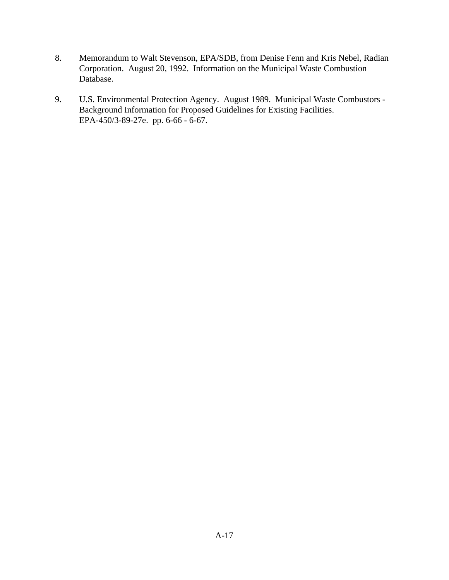- 8. Memorandum to Walt Stevenson, EPA/SDB, from Denise Fenn and Kris Nebel, Radian Corporation. August 20, 1992. Information on the Municipal Waste Combustion Database.
- 9. U.S. Environmental Protection Agency. August 1989. Municipal Waste Combustors Background Information for Proposed Guidelines for Existing Facilities. EPA-450/3-89-27e. pp. 6-66 - 6-67.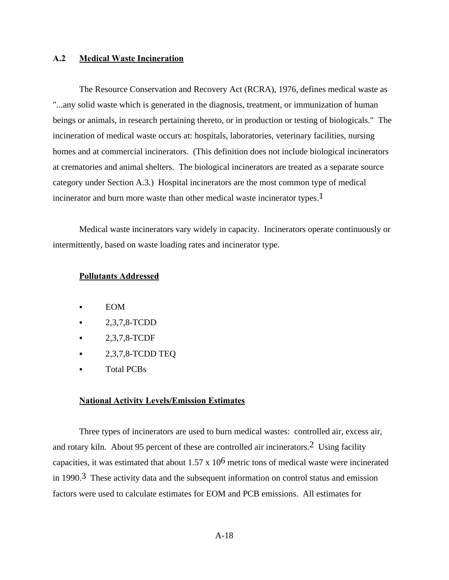### **A.2 Medical Waste Incineration**

The Resource Conservation and Recovery Act (RCRA), 1976, defines medical waste as "...any solid waste which is generated in the diagnosis, treatment, or immunization of human beings or animals, in research pertaining thereto, or in production or testing of biologicals." The incineration of medical waste occurs at: hospitals, laboratories, veterinary facilities, nursing homes and at commercial incinerators. (This definition does not include biological incinerators at crematories and animal shelters. The biological incinerators are treated as a separate source category under Section A.3.) Hospital incinerators are the most common type of medical incinerator and burn more waste than other medical waste incinerator types.<sup>1</sup>

Medical waste incinerators vary widely in capacity. Incinerators operate continuously or intermittently, based on waste loading rates and incinerator type.

#### **Pollutants Addressed**

- EOM
- $-2,3,7,8$ -TCDD
- C 2,3,7,8-TCDF
- C 2,3,7,8-TCDD TEQ
- Total PCBs

### **National Activity Levels/Emission Estimates**

Three types of incinerators are used to burn medical wastes: controlled air, excess air, and rotary kiln. About 95 percent of these are controlled air incinerators.2 Using facility capacities, it was estimated that about 1.57 x 106 metric tons of medical waste were incinerated in 1990.<sup>3</sup> These activity data and the subsequent information on control status and emission factors were used to calculate estimates for EOM and PCB emissions. All estimates for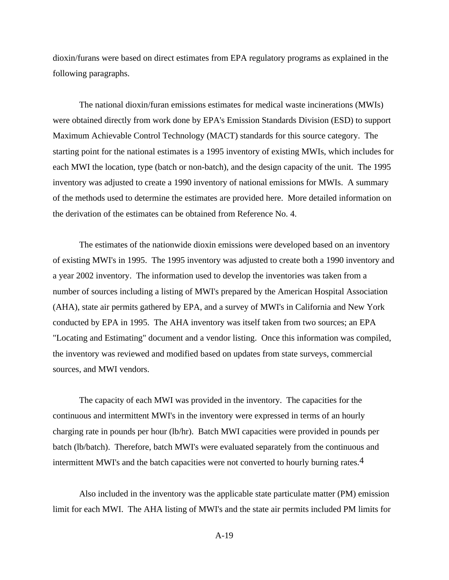dioxin/furans were based on direct estimates from EPA regulatory programs as explained in the following paragraphs.

The national dioxin/furan emissions estimates for medical waste incinerations (MWIs) were obtained directly from work done by EPA's Emission Standards Division (ESD) to support Maximum Achievable Control Technology (MACT) standards for this source category. The starting point for the national estimates is a 1995 inventory of existing MWIs, which includes for each MWI the location, type (batch or non-batch), and the design capacity of the unit. The 1995 inventory was adjusted to create a 1990 inventory of national emissions for MWIs. A summary of the methods used to determine the estimates are provided here. More detailed information on the derivation of the estimates can be obtained from Reference No. 4.

The estimates of the nationwide dioxin emissions were developed based on an inventory of existing MWI's in 1995. The 1995 inventory was adjusted to create both a 1990 inventory and a year 2002 inventory. The information used to develop the inventories was taken from a number of sources including a listing of MWI's prepared by the American Hospital Association (AHA), state air permits gathered by EPA, and a survey of MWI's in California and New York conducted by EPA in 1995. The AHA inventory was itself taken from two sources; an EPA "Locating and Estimating" document and a vendor listing. Once this information was compiled, the inventory was reviewed and modified based on updates from state surveys, commercial sources, and MWI vendors.

The capacity of each MWI was provided in the inventory. The capacities for the continuous and intermittent MWI's in the inventory were expressed in terms of an hourly charging rate in pounds per hour (lb/hr). Batch MWI capacities were provided in pounds per batch (lb/batch). Therefore, batch MWI's were evaluated separately from the continuous and intermittent MWI's and the batch capacities were not converted to hourly burning rates.4

Also included in the inventory was the applicable state particulate matter (PM) emission limit for each MWI. The AHA listing of MWI's and the state air permits included PM limits for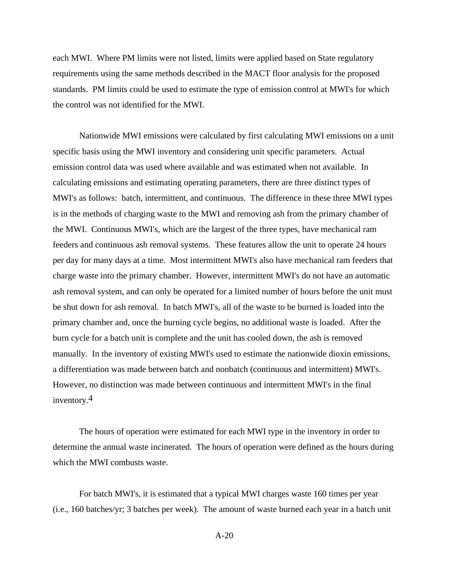each MWI. Where PM limits were not listed, limits were applied based on State regulatory requirements using the same methods described in the MACT floor analysis for the proposed standards. PM limits could be used to estimate the type of emission control at MWI's for which the control was not identified for the MWI.

Nationwide MWI emissions were calculated by first calculating MWI emissions on a unit specific basis using the MWI inventory and considering unit specific parameters. Actual emission control data was used where available and was estimated when not available. In calculating emissions and estimating operating parameters, there are three distinct types of MWI's as follows: batch, intermittent, and continuous. The difference in these three MWI types is in the methods of charging waste to the MWI and removing ash from the primary chamber of the MWI. Continuous MWI's, which are the largest of the three types, have mechanical ram feeders and continuous ash removal systems. These features allow the unit to operate 24 hours per day for many days at a time. Most intermittent MWI's also have mechanical ram feeders that charge waste into the primary chamber. However, intermittent MWI's do not have an automatic ash removal system, and can only be operated for a limited number of hours before the unit must be shut down for ash removal. In batch MWI's, all of the waste to be burned is loaded into the primary chamber and, once the burning cycle begins, no additional waste is loaded. After the burn cycle for a batch unit is complete and the unit has cooled down, the ash is removed manually. In the inventory of existing MWI's used to estimate the nationwide dioxin emissions, a differentiation was made between batch and nonbatch (continuous and intermittent) MWI's. However, no distinction was made between continuous and intermittent MWI's in the final inventory.4

The hours of operation were estimated for each MWI type in the inventory in order to determine the annual waste incinerated. The hours of operation were defined as the hours during which the MWI combusts waste.

For batch MWI's, it is estimated that a typical MWI charges waste 160 times per year (i.e., 160 batches/yr; 3 batches per week). The amount of waste burned each year in a batch unit

A-20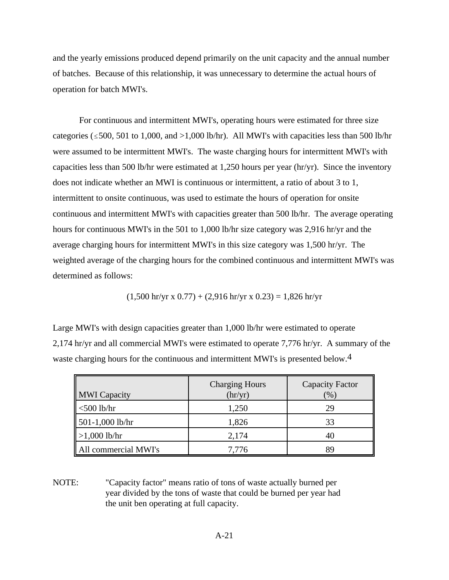and the yearly emissions produced depend primarily on the unit capacity and the annual number of batches. Because of this relationship, it was unnecessary to determine the actual hours of operation for batch MWI's.

For continuous and intermittent MWI's, operating hours were estimated for three size categories ( $\leq$  500, 501 to 1,000, and  $>$ 1,000 lb/hr). All MWI's with capacities less than 500 lb/hr were assumed to be intermittent MWI's. The waste charging hours for intermittent MWI's with capacities less than 500 lb/hr were estimated at 1,250 hours per year (hr/yr). Since the inventory does not indicate whether an MWI is continuous or intermittent, a ratio of about 3 to 1, intermittent to onsite continuous, was used to estimate the hours of operation for onsite continuous and intermittent MWI's with capacities greater than 500 lb/hr. The average operating hours for continuous MWI's in the 501 to 1,000 lb/hr size category was 2,916 hr/yr and the average charging hours for intermittent MWI's in this size category was 1,500 hr/yr. The weighted average of the charging hours for the combined continuous and intermittent MWI's was determined as follows:

$$
(1,500 \text{ hr/yr x } 0.77) + (2,916 \text{ hr/yr x } 0.23) = 1,826 \text{ hr/yr}
$$

Large MWI's with design capacities greater than 1,000 lb/hr were estimated to operate 2,174 hr/yr and all commercial MWI's were estimated to operate 7,776 hr/yr. A summary of the waste charging hours for the continuous and intermittent MWI's is presented below.<sup>4</sup>

| <b>MWI</b> Capacity  | <b>Charging Hours</b><br>$\text{thr/yr}$ | <b>Capacity Factor</b><br>$\mathcal{O}_0$ |
|----------------------|------------------------------------------|-------------------------------------------|
| $<$ 500 lb/hr        | 1,250                                    | 29                                        |
| 501-1,000 lb/hr      | 1,826                                    | 33                                        |
| $>1,000$ lb/hr       | 2,174                                    | 40                                        |
| All commercial MWI's | 7,776                                    | 89                                        |

NOTE: "Capacity factor" means ratio of tons of waste actually burned per year divided by the tons of waste that could be burned per year had the unit ben operating at full capacity.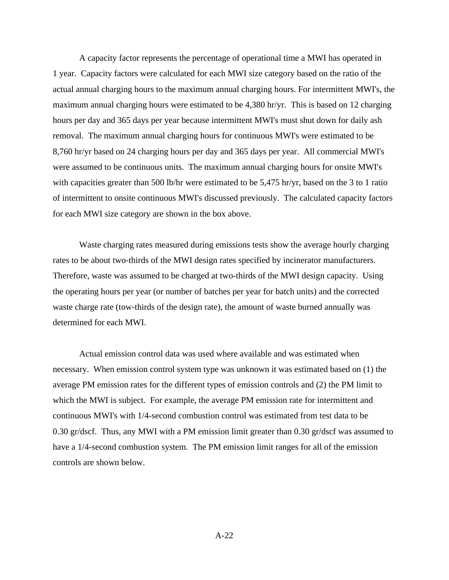A capacity factor represents the percentage of operational time a MWI has operated in 1 year. Capacity factors were calculated for each MWI size category based on the ratio of the actual annual charging hours to the maximum annual charging hours. For intermittent MWI's, the maximum annual charging hours were estimated to be 4,380 hr/yr. This is based on 12 charging hours per day and 365 days per year because intermittent MWI's must shut down for daily ash removal. The maximum annual charging hours for continuous MWI's were estimated to be 8,760 hr/yr based on 24 charging hours per day and 365 days per year. All commercial MWI's were assumed to be continuous units. The maximum annual charging hours for onsite MWI's with capacities greater than 500 lb/hr were estimated to be 5,475 hr/yr, based on the 3 to 1 ratio of intermittent to onsite continuous MWI's discussed previously. The calculated capacity factors for each MWI size category are shown in the box above.

Waste charging rates measured during emissions tests show the average hourly charging rates to be about two-thirds of the MWI design rates specified by incinerator manufacturers. Therefore, waste was assumed to be charged at two-thirds of the MWI design capacity. Using the operating hours per year (or number of batches per year for batch units) and the corrected waste charge rate (tow-thirds of the design rate), the amount of waste burned annually was determined for each MWI.

Actual emission control data was used where available and was estimated when necessary. When emission control system type was unknown it was estimated based on (1) the average PM emission rates for the different types of emission controls and (2) the PM limit to which the MWI is subject. For example, the average PM emission rate for intermittent and continuous MWI's with 1/4-second combustion control was estimated from test data to be 0.30 gr/dscf. Thus, any MWI with a PM emission limit greater than 0.30 gr/dscf was assumed to have a 1/4-second combustion system. The PM emission limit ranges for all of the emission controls are shown below.

A-22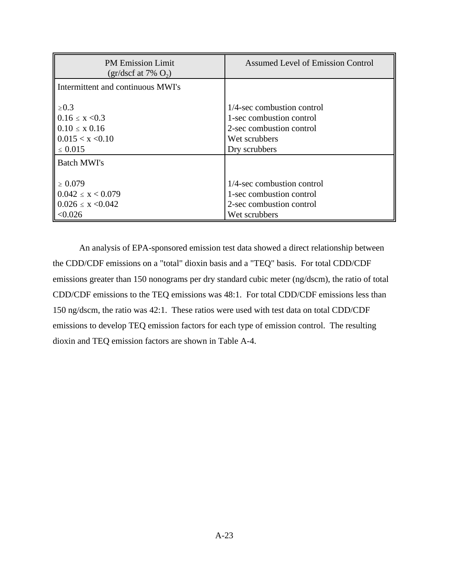| <b>PM Emission Limit</b><br>$gr/dscf$ at 7% $O_2$ )                                         | <b>Assumed Level of Emission Control</b>                                                                             |
|---------------------------------------------------------------------------------------------|----------------------------------------------------------------------------------------------------------------------|
| Intermittent and continuous MWI's                                                           |                                                                                                                      |
| $\geq 0.3$<br>$0.16 \le x \le 0.3$<br>$0.10 \le x 0.16$<br>0.015 < x < 0.10<br>$\leq 0.015$ | 1/4-sec combustion control<br>1-sec combustion control<br>2-sec combustion control<br>Wet scrubbers<br>Dry scrubbers |
| <b>Batch MWI's</b>                                                                          |                                                                                                                      |
| $\geq 0.079$<br>$0.042 \leq x \leq 0.079$<br>$0.026 \le x \le 0.042$<br>< 0.026             | $1/4$ -sec combustion control<br>1-sec combustion control<br>2-sec combustion control<br>Wet scrubbers               |

An analysis of EPA-sponsored emission test data showed a direct relationship between the CDD/CDF emissions on a "total" dioxin basis and a "TEQ" basis. For total CDD/CDF emissions greater than 150 nonograms per dry standard cubic meter (ng/dscm), the ratio of total CDD/CDF emissions to the TEQ emissions was 48:1. For total CDD/CDF emissions less than 150 ng/dscm, the ratio was 42:1. These ratios were used with test data on total CDD/CDF emissions to develop TEQ emission factors for each type of emission control. The resulting dioxin and TEQ emission factors are shown in Table A-4.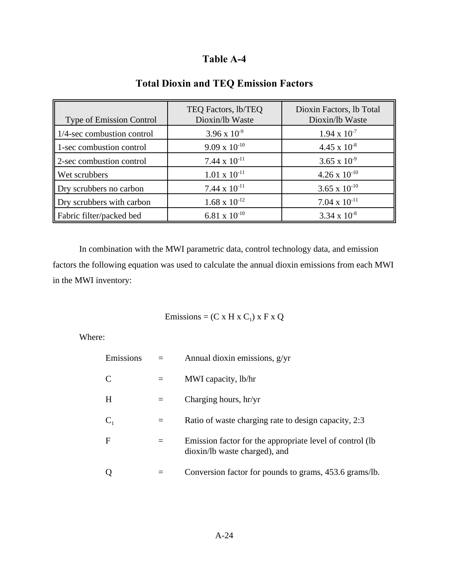| <b>Type of Emission Control</b> | TEQ Factors, lb/TEQ<br>Dioxin/lb Waste | Dioxin Factors, lb Total<br>Dioxin/lb Waste |
|---------------------------------|----------------------------------------|---------------------------------------------|
| 1/4-sec combustion control      | $3.96 \times 10^{-9}$                  | $1.94 \times 10^{-7}$                       |
| 1-sec combustion control        | $9.09 \times 10^{-10}$                 | $4.45 \times 10^{-8}$                       |
| 2-sec combustion control        | 7.44 x $10^{-11}$                      | 3.65 x $10^{-9}$                            |
| Wet scrubbers                   | $1.01 \times 10^{-11}$                 | $4.26 \times 10^{-10}$                      |
| Dry scrubbers no carbon         | 7.44 x $10^{-11}$                      | $3.65 \times 10^{-10}$                      |
| Dry scrubbers with carbon       | $1.68 \times 10^{-12}$                 | $7.04 \times 10^{-11}$                      |
| Fabric filter/packed bed        | $6.81 \times 10^{-10}$                 | $3.34 \times 10^{-8}$                       |

# **Total Dioxin and TEQ Emission Factors**

In combination with the MWI parametric data, control technology data, and emission factors the following equation was used to calculate the annual dioxin emissions from each MWI in the MWI inventory:

Emissions =  $(C \times H \times C_1) \times F \times Q$ 

Where:

| Emissions    | Annual dioxin emissions, g/yr                                                              |
|--------------|--------------------------------------------------------------------------------------------|
| C            | MWI capacity, lb/hr                                                                        |
| H            | Charging hours, hr/yr                                                                      |
| $C_1$        | Ratio of waste charging rate to design capacity, 2:3                                       |
| $\mathbf{F}$ | Emission factor for the appropriate level of control (lb)<br>dioxin/lb waste charged), and |
|              | Conversion factor for pounds to grams, 453.6 grams/lb.                                     |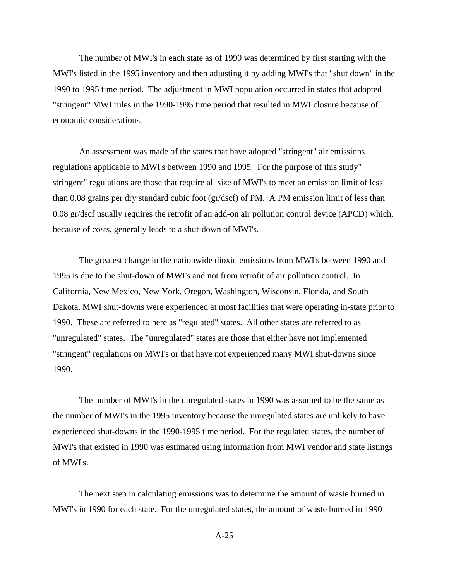The number of MWI's in each state as of 1990 was determined by first starting with the MWI's listed in the 1995 inventory and then adjusting it by adding MWI's that "shut down" in the 1990 to 1995 time period. The adjustment in MWI population occurred in states that adopted "stringent" MWI rules in the 1990-1995 time period that resulted in MWI closure because of economic considerations.

An assessment was made of the states that have adopted "stringent" air emissions regulations applicable to MWI's between 1990 and 1995. For the purpose of this study" stringent" regulations are those that require all size of MWI's to meet an emission limit of less than 0.08 grains per dry standard cubic foot (gr/dscf) of PM. A PM emission limit of less than 0.08 gr/dscf usually requires the retrofit of an add-on air pollution control device (APCD) which, because of costs, generally leads to a shut-down of MWI's.

The greatest change in the nationwide dioxin emissions from MWI's between 1990 and 1995 is due to the shut-down of MWI's and not from retrofit of air pollution control. In California, New Mexico, New York, Oregon, Washington, Wisconsin, Florida, and South Dakota, MWI shut-downs were experienced at most facilities that were operating in-state prior to 1990. These are referred to here as "regulated" states. All other states are referred to as "unregulated" states. The "unregulated" states are those that either have not implemented "stringent" regulations on MWI's or that have not experienced many MWI shut-downs since 1990.

The number of MWI's in the unregulated states in 1990 was assumed to be the same as the number of MWI's in the 1995 inventory because the unregulated states are unlikely to have experienced shut-downs in the 1990-1995 time period. For the regulated states, the number of MWI's that existed in 1990 was estimated using information from MWI vendor and state listings of MWI's.

The next step in calculating emissions was to determine the amount of waste burned in MWI's in 1990 for each state. For the unregulated states, the amount of waste burned in 1990

A-25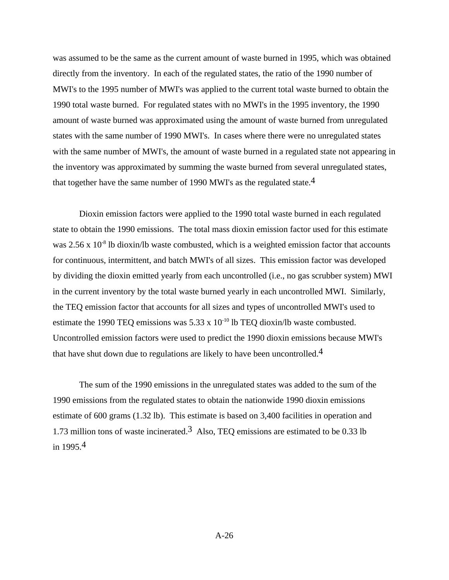was assumed to be the same as the current amount of waste burned in 1995, which was obtained directly from the inventory. In each of the regulated states, the ratio of the 1990 number of MWI's to the 1995 number of MWI's was applied to the current total waste burned to obtain the 1990 total waste burned. For regulated states with no MWI's in the 1995 inventory, the 1990 amount of waste burned was approximated using the amount of waste burned from unregulated states with the same number of 1990 MWI's. In cases where there were no unregulated states with the same number of MWI's, the amount of waste burned in a regulated state not appearing in the inventory was approximated by summing the waste burned from several unregulated states, that together have the same number of 1990 MWI's as the regulated state.<sup>4</sup>

Dioxin emission factors were applied to the 1990 total waste burned in each regulated state to obtain the 1990 emissions. The total mass dioxin emission factor used for this estimate was  $2.56 \times 10^{-8}$  lb dioxin/lb waste combusted, which is a weighted emission factor that accounts for continuous, intermittent, and batch MWI's of all sizes. This emission factor was developed by dividing the dioxin emitted yearly from each uncontrolled (i.e., no gas scrubber system) MWI in the current inventory by the total waste burned yearly in each uncontrolled MWI. Similarly, the TEQ emission factor that accounts for all sizes and types of uncontrolled MWI's used to estimate the 1990 TEO emissions was  $5.33 \times 10^{-10}$  lb TEO dioxin/lb waste combusted. Uncontrolled emission factors were used to predict the 1990 dioxin emissions because MWI's that have shut down due to regulations are likely to have been uncontrolled.<sup>4</sup>

The sum of the 1990 emissions in the unregulated states was added to the sum of the 1990 emissions from the regulated states to obtain the nationwide 1990 dioxin emissions estimate of 600 grams (1.32 lb). This estimate is based on 3,400 facilities in operation and 1.73 million tons of waste incinerated.<sup>3</sup> Also, TEQ emissions are estimated to be 0.33 lb in  $1995.4$ 

A-26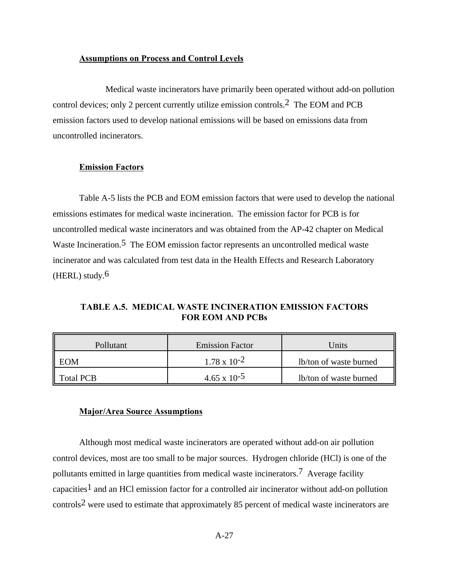### **Assumptions on Process and Control Levels**

Medical waste incinerators have primarily been operated without add-on pollution control devices; only 2 percent currently utilize emission controls.2 The EOM and PCB emission factors used to develop national emissions will be based on emissions data from uncontrolled incinerators.

### **Emission Factors**

Table A-5 lists the PCB and EOM emission factors that were used to develop the national emissions estimates for medical waste incineration. The emission factor for PCB is for uncontrolled medical waste incinerators and was obtained from the AP-42 chapter on Medical Waste Incineration.<sup>5</sup> The EOM emission factor represents an uncontrolled medical waste incinerator and was calculated from test data in the Health Effects and Research Laboratory (HERL) study. $6$ 

**TABLE A.5. MEDICAL WASTE INCINERATION EMISSION FACTORS FOR EOM AND PCBs**

| Pollutant          | <b>Emission Factor</b> | Units                  |
|--------------------|------------------------|------------------------|
| $\blacksquare$ EOM | $1.78 \times 10^{-2}$  | lb/ton of waste burned |
| <b>Total PCB</b>   | $4.65 \times 10^{-5}$  | lb/ton of waste burned |

### **Major/Area Source Assumptions**

Although most medical waste incinerators are operated without add-on air pollution control devices, most are too small to be major sources. Hydrogen chloride (HCl) is one of the pollutants emitted in large quantities from medical waste incinerators.7 Average facility capacities1 and an HCl emission factor for a controlled air incinerator without add-on pollution controls2 were used to estimate that approximately 85 percent of medical waste incinerators are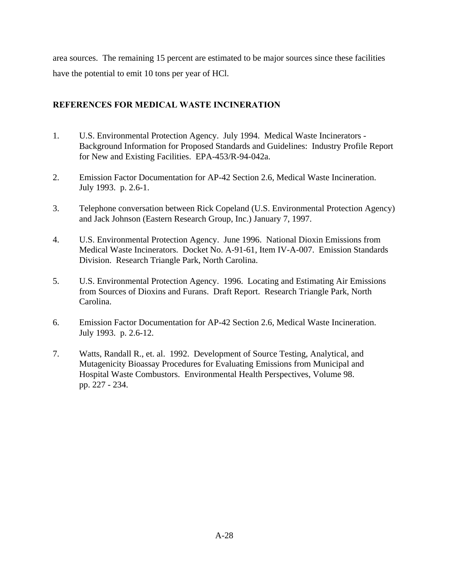area sources. The remaining 15 percent are estimated to be major sources since these facilities have the potential to emit 10 tons per year of HCl.

## **REFERENCES FOR MEDICAL WASTE INCINERATION**

- 1. U.S. Environmental Protection Agency. July 1994. Medical Waste Incinerators Background Information for Proposed Standards and Guidelines: Industry Profile Report for New and Existing Facilities. EPA-453/R-94-042a.
- 2. Emission Factor Documentation for AP-42 Section 2.6, Medical Waste Incineration. July 1993. p. 2.6-1.
- 3. Telephone conversation between Rick Copeland (U.S. Environmental Protection Agency) and Jack Johnson (Eastern Research Group, Inc.) January 7, 1997.
- 4. U.S. Environmental Protection Agency. June 1996. National Dioxin Emissions from Medical Waste Incinerators. Docket No. A-91-61, Item IV-A-007. Emission Standards Division. Research Triangle Park, North Carolina.
- 5. U.S. Environmental Protection Agency. 1996. Locating and Estimating Air Emissions from Sources of Dioxins and Furans. Draft Report. Research Triangle Park, North Carolina.
- 6. Emission Factor Documentation for AP-42 Section 2.6, Medical Waste Incineration. July 1993. p. 2.6-12.
- 7. Watts, Randall R., et. al. 1992. Development of Source Testing, Analytical, and Mutagenicity Bioassay Procedures for Evaluating Emissions from Municipal and Hospital Waste Combustors. Environmental Health Perspectives, Volume 98. pp. 227 - 234.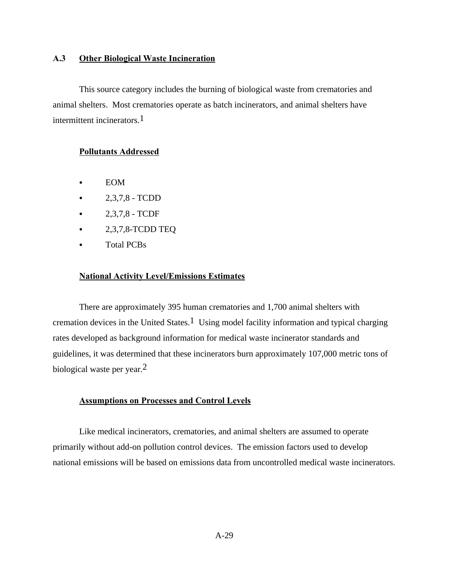### **A.3 Other Biological Waste Incineration**

This source category includes the burning of biological waste from crematories and animal shelters. Most crematories operate as batch incinerators, and animal shelters have intermittent incinerators.1

### **Pollutants Addressed**

- $\bullet$  EOM
- $2,3,7,8$  TCDD
- $2,3,7,8$  TCDF
- $\bullet$  2,3,7,8-TCDD TEQ
- Total PCBs

### **National Activity Level/Emissions Estimates**

There are approximately 395 human crematories and 1,700 animal shelters with cremation devices in the United States.<sup>1</sup> Using model facility information and typical charging rates developed as background information for medical waste incinerator standards and guidelines, it was determined that these incinerators burn approximately 107,000 metric tons of biological waste per year.<sup>2</sup>

### **Assumptions on Processes and Control Levels**

Like medical incinerators, crematories, and animal shelters are assumed to operate primarily without add-on pollution control devices. The emission factors used to develop national emissions will be based on emissions data from uncontrolled medical waste incinerators.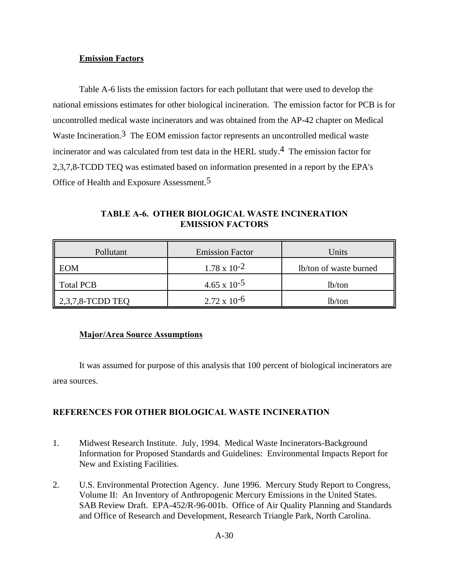### **Emission Factors**

Table A-6 lists the emission factors for each pollutant that were used to develop the national emissions estimates for other biological incineration. The emission factor for PCB is for uncontrolled medical waste incinerators and was obtained from the AP-42 chapter on Medical Waste Incineration.<sup>3</sup> The EOM emission factor represents an uncontrolled medical waste incinerator and was calculated from test data in the HERL study.<sup>4</sup> The emission factor for 2,3,7,8-TCDD TEQ was estimated based on information presented in a report by the EPA's Office of Health and Exposure Assessment.5

**TABLE A-6. OTHER BIOLOGICAL WASTE INCINERATION EMISSION FACTORS**

| Pollutant                | <b>Emission Factor</b> | Units                  |
|--------------------------|------------------------|------------------------|
| EOM                      | $1.78 \times 10^{-2}$  | lb/ton of waste burned |
| <b>Total PCB</b>         | $4.65 \times 10^{-5}$  | lb/ton                 |
| $\vert$ 2,3,7,8-TCDD TEQ | $2.72 \times 10^{-6}$  | lb/ton                 |

### **Major/Area Source Assumptions**

It was assumed for purpose of this analysis that 100 percent of biological incinerators are area sources.

## **REFERENCES FOR OTHER BIOLOGICAL WASTE INCINERATION**

- 1. Midwest Research Institute. July, 1994. Medical Waste Incinerators-Background Information for Proposed Standards and Guidelines: Environmental Impacts Report for New and Existing Facilities.
- 2. U.S. Environmental Protection Agency. June 1996. Mercury Study Report to Congress, Volume II: An Inventory of Anthropogenic Mercury Emissions in the United States. SAB Review Draft. EPA-452/R-96-001b. Office of Air Quality Planning and Standards and Office of Research and Development, Research Triangle Park, North Carolina.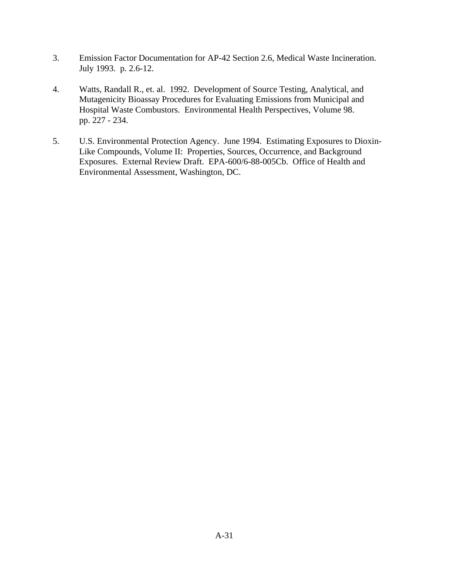- 3. Emission Factor Documentation for AP-42 Section 2.6, Medical Waste Incineration. July 1993. p. 2.6-12.
- 4. Watts, Randall R., et. al. 1992. Development of Source Testing, Analytical, and Mutagenicity Bioassay Procedures for Evaluating Emissions from Municipal and Hospital Waste Combustors. Environmental Health Perspectives, Volume 98. pp. 227 - 234.
- 5. U.S. Environmental Protection Agency. June 1994. Estimating Exposures to Dioxin-Like Compounds, Volume II: Properties, Sources, Occurrence, and Background Exposures. External Review Draft. EPA-600/6-88-005Cb. Office of Health and Environmental Assessment, Washington, DC.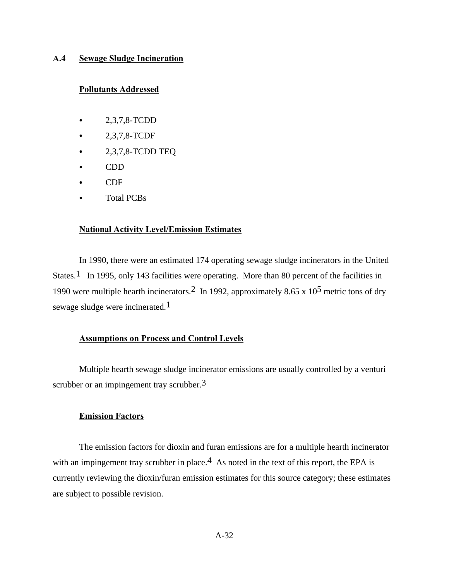### **A.4 Sewage Sludge Incineration**

### **Pollutants Addressed**

- $\bullet$  2,3,7,8-TCDD
- C 2,3,7,8-TCDF
- $\bullet$  2,3,7,8-TCDD TEQ
- $\bullet$  CDD
- CDF
- **Total PCBs**

### **National Activity Level/Emission Estimates**

In 1990, there were an estimated 174 operating sewage sludge incinerators in the United States.<sup>1</sup> In 1995, only 143 facilities were operating. More than 80 percent of the facilities in 1990 were multiple hearth incinerators.<sup>2</sup> In 1992, approximately 8.65 x 10<sup>5</sup> metric tons of dry sewage sludge were incinerated.1

### **Assumptions on Process and Control Levels**

Multiple hearth sewage sludge incinerator emissions are usually controlled by a venturi scrubber or an impingement tray scrubber.<sup>3</sup>

### **Emission Factors**

The emission factors for dioxin and furan emissions are for a multiple hearth incinerator with an impingement tray scrubber in place.<sup>4</sup> As noted in the text of this report, the EPA is currently reviewing the dioxin/furan emission estimates for this source category; these estimates are subject to possible revision.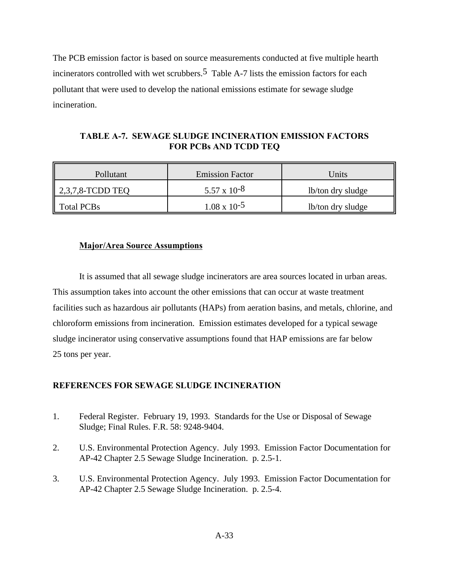The PCB emission factor is based on source measurements conducted at five multiple hearth incinerators controlled with wet scrubbers.<sup>5</sup> Table A-7 lists the emission factors for each pollutant that were used to develop the national emissions estimate for sewage sludge incineration.

## **TABLE A-7. SEWAGE SLUDGE INCINERATION EMISSION FACTORS FOR PCBs AND TCDD TEQ**

| Pollutant           | <b>Emission Factor</b> | Units             |
|---------------------|------------------------|-------------------|
| $2,3,7,8$ -TCDD TEQ | $5.57 \times 10^{-8}$  | lb/ton dry sludge |
| <b>Total PCBs</b>   | $1.08 \times 10^{-5}$  | lb/ton dry sludge |

## **Major/Area Source Assumptions**

It is assumed that all sewage sludge incinerators are area sources located in urban areas. This assumption takes into account the other emissions that can occur at waste treatment facilities such as hazardous air pollutants (HAPs) from aeration basins, and metals, chlorine, and chloroform emissions from incineration. Emission estimates developed for a typical sewage sludge incinerator using conservative assumptions found that HAP emissions are far below 25 tons per year.

### **REFERENCES FOR SEWAGE SLUDGE INCINERATION**

- 1. Federal Register. February 19, 1993. Standards for the Use or Disposal of Sewage Sludge; Final Rules. F.R. 58: 9248-9404.
- 2. U.S. Environmental Protection Agency. July 1993. Emission Factor Documentation for AP-42 Chapter 2.5 Sewage Sludge Incineration. p. 2.5-1.
- 3. U.S. Environmental Protection Agency. July 1993. Emission Factor Documentation for AP-42 Chapter 2.5 Sewage Sludge Incineration. p. 2.5-4.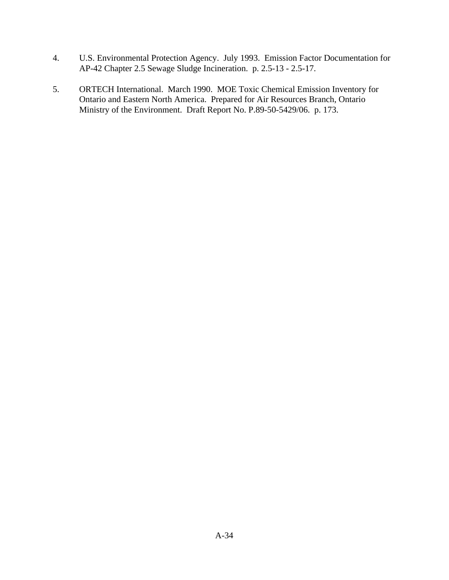- 4. U.S. Environmental Protection Agency. July 1993. Emission Factor Documentation for AP-42 Chapter 2.5 Sewage Sludge Incineration. p. 2.5-13 - 2.5-17.
- 5. ORTECH International. March 1990. MOE Toxic Chemical Emission Inventory for Ontario and Eastern North America. Prepared for Air Resources Branch, Ontario Ministry of the Environment. Draft Report No. P.89-50-5429/06. p. 173.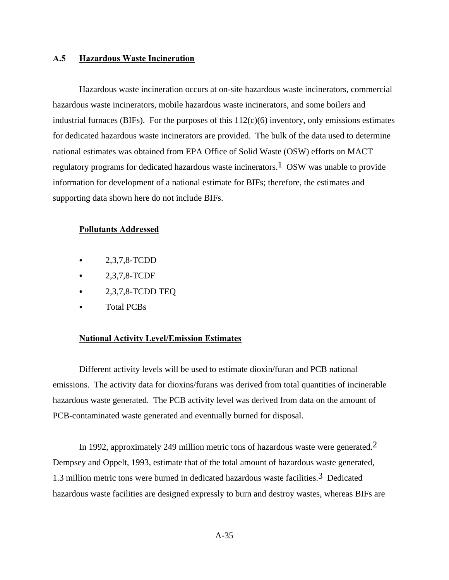### **A.5 Hazardous Waste Incineration**

Hazardous waste incineration occurs at on-site hazardous waste incinerators, commercial hazardous waste incinerators, mobile hazardous waste incinerators, and some boilers and industrial furnaces (BIFs). For the purposes of this  $112(c)(6)$  inventory, only emissions estimates for dedicated hazardous waste incinerators are provided. The bulk of the data used to determine national estimates was obtained from EPA Office of Solid Waste (OSW) efforts on MACT regulatory programs for dedicated hazardous waste incinerators.<sup>1</sup> OSW was unable to provide information for development of a national estimate for BIFs; therefore, the estimates and supporting data shown here do not include BIFs.

### **Pollutants Addressed**

- $-2,3,7,8$ -TCDD
- 2,3,7,8-TCDF
- $\bullet$  2,3,7,8-TCDD TEQ
- Total PCBs

### **National Activity Level/Emission Estimates**

Different activity levels will be used to estimate dioxin/furan and PCB national emissions. The activity data for dioxins/furans was derived from total quantities of incinerable hazardous waste generated. The PCB activity level was derived from data on the amount of PCB-contaminated waste generated and eventually burned for disposal.

In 1992, approximately 249 million metric tons of hazardous waste were generated.<sup>2</sup> Dempsey and Oppelt, 1993, estimate that of the total amount of hazardous waste generated, 1.3 million metric tons were burned in dedicated hazardous waste facilities.3 Dedicated hazardous waste facilities are designed expressly to burn and destroy wastes, whereas BIFs are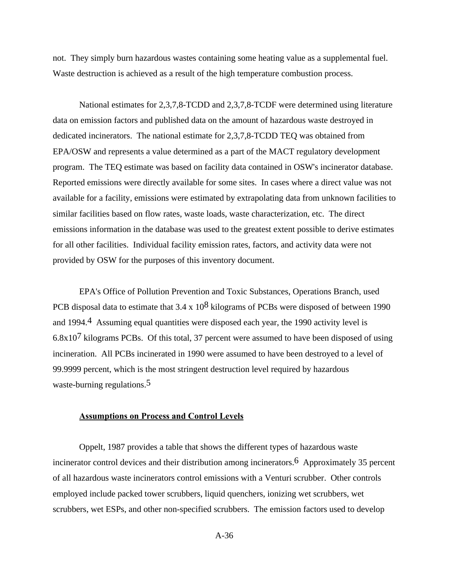not. They simply burn hazardous wastes containing some heating value as a supplemental fuel. Waste destruction is achieved as a result of the high temperature combustion process.

National estimates for 2,3,7,8-TCDD and 2,3,7,8-TCDF were determined using literature data on emission factors and published data on the amount of hazardous waste destroyed in dedicated incinerators. The national estimate for 2,3,7,8-TCDD TEQ was obtained from EPA/OSW and represents a value determined as a part of the MACT regulatory development program. The TEQ estimate was based on facility data contained in OSW's incinerator database. Reported emissions were directly available for some sites. In cases where a direct value was not available for a facility, emissions were estimated by extrapolating data from unknown facilities to similar facilities based on flow rates, waste loads, waste characterization, etc. The direct emissions information in the database was used to the greatest extent possible to derive estimates for all other facilities. Individual facility emission rates, factors, and activity data were not provided by OSW for the purposes of this inventory document.

EPA's Office of Pollution Prevention and Toxic Substances, Operations Branch, used PCB disposal data to estimate that 3.4 x  $10^8$  kilograms of PCBs were disposed of between 1990 and 1994.4 Assuming equal quantities were disposed each year, the 1990 activity level is  $6.8x10<sup>7</sup>$  kilograms PCBs. Of this total, 37 percent were assumed to have been disposed of using incineration. All PCBs incinerated in 1990 were assumed to have been destroyed to a level of 99.9999 percent, which is the most stringent destruction level required by hazardous waste-burning regulations.<sup>5</sup>

## **Assumptions on Process and Control Levels**

Oppelt, 1987 provides a table that shows the different types of hazardous waste incinerator control devices and their distribution among incinerators.<sup>6</sup> Approximately 35 percent of all hazardous waste incinerators control emissions with a Venturi scrubber. Other controls employed include packed tower scrubbers, liquid quenchers, ionizing wet scrubbers, wet scrubbers, wet ESPs, and other non-specified scrubbers. The emission factors used to develop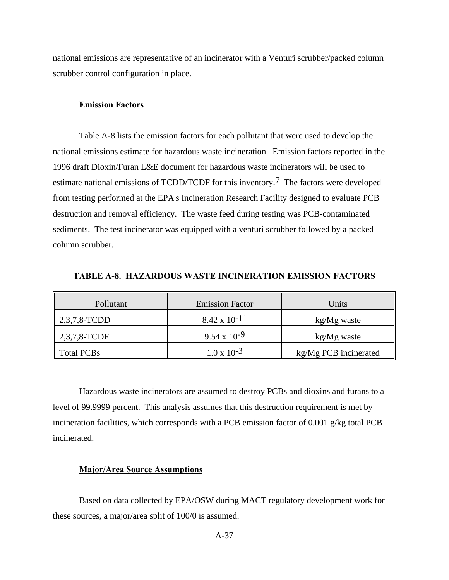national emissions are representative of an incinerator with a Venturi scrubber/packed column scrubber control configuration in place.

### **Emission Factors**

Table A-8 lists the emission factors for each pollutant that were used to develop the national emissions estimate for hazardous waste incineration. Emission factors reported in the 1996 draft Dioxin/Furan L&E document for hazardous waste incinerators will be used to estimate national emissions of TCDD/TCDF for this inventory.7 The factors were developed from testing performed at the EPA's Incineration Research Facility designed to evaluate PCB destruction and removal efficiency. The waste feed during testing was PCB-contaminated sediments. The test incinerator was equipped with a venturi scrubber followed by a packed column scrubber.

| Pollutant                | <b>Emission Factor</b> | Units                 |
|--------------------------|------------------------|-----------------------|
| $2,3,7,8$ -TCDD          | $8.42 \times 10^{-11}$ | kg/Mg waste           |
| $\parallel$ 2,3,7,8-TCDF | $9.54 \times 10^{-9}$  | kg/Mg waste           |
| Total PCBs               | $1.0 \times 10^{-3}$   | kg/Mg PCB incinerated |

**TABLE A-8. HAZARDOUS WASTE INCINERATION EMISSION FACTORS**

Hazardous waste incinerators are assumed to destroy PCBs and dioxins and furans to a level of 99.9999 percent. This analysis assumes that this destruction requirement is met by incineration facilities, which corresponds with a PCB emission factor of 0.001 g/kg total PCB incinerated.

### **Major/Area Source Assumptions**

Based on data collected by EPA/OSW during MACT regulatory development work for these sources, a major/area split of 100/0 is assumed.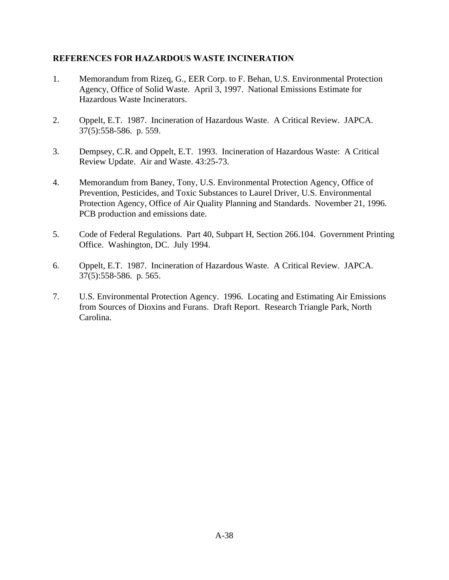# **REFERENCES FOR HAZARDOUS WASTE INCINERATION**

- 1. Memorandum from Rizeq, G., EER Corp. to F. Behan, U.S. Environmental Protection Agency, Office of Solid Waste. April 3, 1997. National Emissions Estimate for Hazardous Waste Incinerators.
- 2. Oppelt, E.T. 1987. Incineration of Hazardous Waste. A Critical Review. JAPCA. 37(5):558-586. p. 559.
- 3. Dempsey, C.R. and Oppelt, E.T. 1993. Incineration of Hazardous Waste: A Critical Review Update. Air and Waste. 43:25-73.
- 4. Memorandum from Baney, Tony, U.S. Environmental Protection Agency, Office of Prevention, Pesticides, and Toxic Substances to Laurel Driver, U.S. Environmental Protection Agency, Office of Air Quality Planning and Standards. November 21, 1996. PCB production and emissions date.
- 5. Code of Federal Regulations. Part 40, Subpart H, Section 266.104. Government Printing Office. Washington, DC. July 1994.
- 6. Oppelt, E.T. 1987. Incineration of Hazardous Waste. A Critical Review. JAPCA. 37(5):558-586. p. 565.
- 7. U.S. Environmental Protection Agency. 1996. Locating and Estimating Air Emissions from Sources of Dioxins and Furans. Draft Report. Research Triangle Park, North Carolina.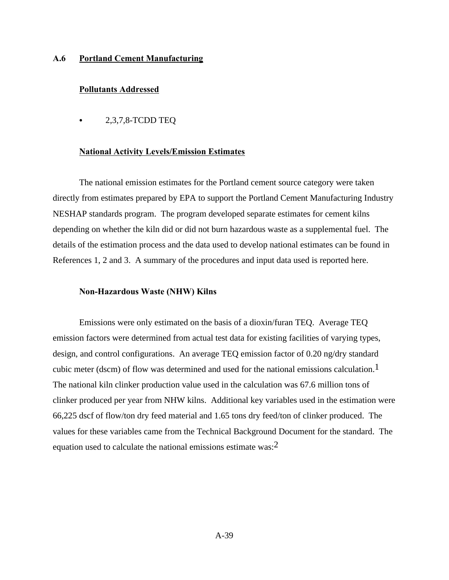### **A.6 Portland Cement Manufacturing**

### **Pollutants Addressed**

 $\bullet$  2,3,7,8-TCDD TEQ

#### **National Activity Levels/Emission Estimates**

The national emission estimates for the Portland cement source category were taken directly from estimates prepared by EPA to support the Portland Cement Manufacturing Industry NESHAP standards program. The program developed separate estimates for cement kilns depending on whether the kiln did or did not burn hazardous waste as a supplemental fuel. The details of the estimation process and the data used to develop national estimates can be found in References 1, 2 and 3. A summary of the procedures and input data used is reported here.

## **Non-Hazardous Waste (NHW) Kilns**

Emissions were only estimated on the basis of a dioxin/furan TEQ. Average TEQ emission factors were determined from actual test data for existing facilities of varying types, design, and control configurations. An average TEQ emission factor of 0.20 ng/dry standard cubic meter (dscm) of flow was determined and used for the national emissions calculation.<sup>1</sup> The national kiln clinker production value used in the calculation was 67.6 million tons of clinker produced per year from NHW kilns. Additional key variables used in the estimation were 66,225 dscf of flow/ton dry feed material and 1.65 tons dry feed/ton of clinker produced. The values for these variables came from the Technical Background Document for the standard. The equation used to calculate the national emissions estimate was:2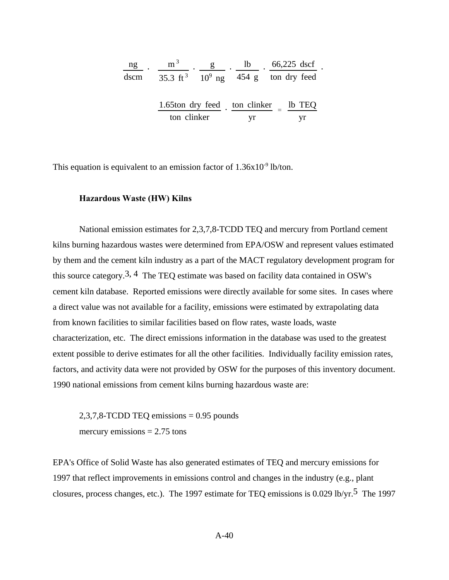| ng   | m <sup>3</sup> | 1 <sub>b</sub> | 66,225 dscf                                       |
|------|----------------|----------------|---------------------------------------------------|
| dscm |                |                | 35.3 ft <sup>3</sup> $10^9$ ng 454 g ton dry feed |
|      |                |                |                                                   |
|      |                |                | 1.65ton dry feed ton clinker lb TEQ               |
|      | ton clinker    | vr             |                                                   |

This equation is equivalent to an emission factor of  $1.36x10^{-9}$  lb/ton.

### **Hazardous Waste (HW) Kilns**

National emission estimates for 2,3,7,8-TCDD TEQ and mercury from Portland cement kilns burning hazardous wastes were determined from EPA/OSW and represent values estimated by them and the cement kiln industry as a part of the MACT regulatory development program for this source category.<sup>3, 4</sup> The TEQ estimate was based on facility data contained in OSW's cement kiln database. Reported emissions were directly available for some sites. In cases where a direct value was not available for a facility, emissions were estimated by extrapolating data from known facilities to similar facilities based on flow rates, waste loads, waste characterization, etc. The direct emissions information in the database was used to the greatest extent possible to derive estimates for all the other facilities. Individually facility emission rates, factors, and activity data were not provided by OSW for the purposes of this inventory document. 1990 national emissions from cement kilns burning hazardous waste are:

2,3,7,8-TCDD TEQ emissions = 0.95 pounds mercury emissions  $= 2.75$  tons

EPA's Office of Solid Waste has also generated estimates of TEQ and mercury emissions for 1997 that reflect improvements in emissions control and changes in the industry (e.g., plant closures, process changes, etc.). The 1997 estimate for TEQ emissions is 0.029 lb/yr.5 The 1997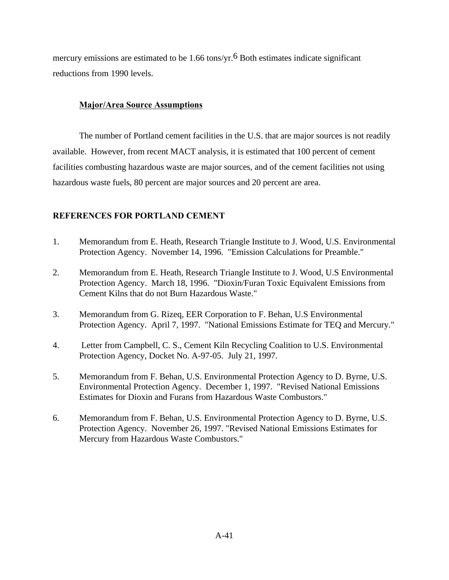mercury emissions are estimated to be  $1.66$  tons/yr.<sup>6</sup> Both estimates indicate significant reductions from 1990 levels.

# **Major/Area Source Assumptions**

The number of Portland cement facilities in the U.S. that are major sources is not readily available. However, from recent MACT analysis, it is estimated that 100 percent of cement facilities combusting hazardous waste are major sources, and of the cement facilities not using hazardous waste fuels, 80 percent are major sources and 20 percent are area.

# **REFERENCES FOR PORTLAND CEMENT**

- 1. Memorandum from E. Heath, Research Triangle Institute to J. Wood, U.S. Environmental Protection Agency. November 14, 1996. "Emission Calculations for Preamble."
- 2. Memorandum from E. Heath, Research Triangle Institute to J. Wood, U.S Environmental Protection Agency. March 18, 1996. "Dioxin/Furan Toxic Equivalent Emissions from Cement Kilns that do not Burn Hazardous Waste."
- 3. Memorandum from G. Rizeq, EER Corporation to F. Behan, U.S Environmental Protection Agency. April 7, 1997. "National Emissions Estimate for TEQ and Mercury."
- 4. Letter from Campbell, C. S., Cement Kiln Recycling Coalition to U.S. Environmental Protection Agency, Docket No. A-97-05. July 21, 1997.
- 5. Memorandum from F. Behan, U.S. Environmental Protection Agency to D. Byrne, U.S. Environmental Protection Agency. December 1, 1997. "Revised National Emissions Estimates for Dioxin and Furans from Hazardous Waste Combustors."
- 6. Memorandum from F. Behan, U.S. Environmental Protection Agency to D. Byrne, U.S. Protection Agency. November 26, 1997. "Revised National Emissions Estimates for Mercury from Hazardous Waste Combustors."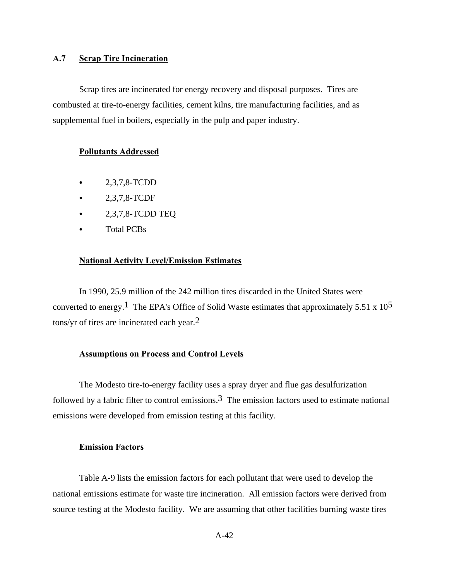# **A.7 Scrap Tire Incineration**

Scrap tires are incinerated for energy recovery and disposal purposes. Tires are combusted at tire-to-energy facilities, cement kilns, tire manufacturing facilities, and as supplemental fuel in boilers, especially in the pulp and paper industry.

### **Pollutants Addressed**

- $\bullet$  2,3,7,8-TCDD
- $-2,3,7,8$ -TCDF
- $\bullet$  2,3,7,8-TCDD TEQ
- Total PCBs

#### **National Activity Level/Emission Estimates**

In 1990, 25.9 million of the 242 million tires discarded in the United States were converted to energy.<sup>1</sup> The EPA's Office of Solid Waste estimates that approximately 5.51 x  $10^5$ tons/yr of tires are incinerated each year. $<sup>2</sup>$ </sup>

### **Assumptions on Process and Control Levels**

The Modesto tire-to-energy facility uses a spray dryer and flue gas desulfurization followed by a fabric filter to control emissions.<sup>3</sup> The emission factors used to estimate national emissions were developed from emission testing at this facility.

## **Emission Factors**

Table A-9 lists the emission factors for each pollutant that were used to develop the national emissions estimate for waste tire incineration. All emission factors were derived from source testing at the Modesto facility. We are assuming that other facilities burning waste tires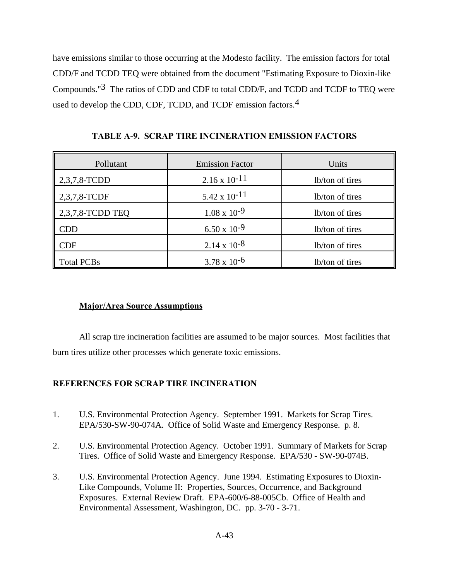have emissions similar to those occurring at the Modesto facility. The emission factors for total CDD/F and TCDD TEQ were obtained from the document "Estimating Exposure to Dioxin-like Compounds."3 The ratios of CDD and CDF to total CDD/F, and TCDD and TCDF to TEQ were used to develop the CDD, CDF, TCDD, and TCDF emission factors.<sup>4</sup>

**TABLE A-9. SCRAP TIRE INCINERATION EMISSION FACTORS**

| Pollutant         | <b>Emission Factor</b> | Units           |
|-------------------|------------------------|-----------------|
| 2,3,7,8-TCDD      | $2.16 \times 10^{-11}$ | lb/ton of tires |
| 2,3,7,8-TCDF      | $5.42 \times 10^{-11}$ | lb/ton of tires |
| 2,3,7,8-TCDD TEQ  | $1.08 \times 10^{-9}$  | lb/ton of tires |
| <b>CDD</b>        | $6.50 \times 10^{-9}$  | lb/ton of tires |
| <b>CDF</b>        | $2.14 \times 10^{-8}$  | lb/ton of tires |
| <b>Total PCBs</b> | $3.78 \times 10^{-6}$  | lb/ton of tires |

# **Major/Area Source Assumptions**

All scrap tire incineration facilities are assumed to be major sources. Most facilities that burn tires utilize other processes which generate toxic emissions.

# **REFERENCES FOR SCRAP TIRE INCINERATION**

- 1. U.S. Environmental Protection Agency. September 1991. Markets for Scrap Tires. EPA/530-SW-90-074A. Office of Solid Waste and Emergency Response. p. 8.
- 2. U.S. Environmental Protection Agency. October 1991. Summary of Markets for Scrap Tires. Office of Solid Waste and Emergency Response. EPA/530 - SW-90-074B.
- 3. U.S. Environmental Protection Agency. June 1994. Estimating Exposures to Dioxin-Like Compounds, Volume II: Properties, Sources, Occurrence, and Background Exposures. External Review Draft. EPA-600/6-88-005Cb. Office of Health and Environmental Assessment, Washington, DC. pp. 3-70 - 3-71.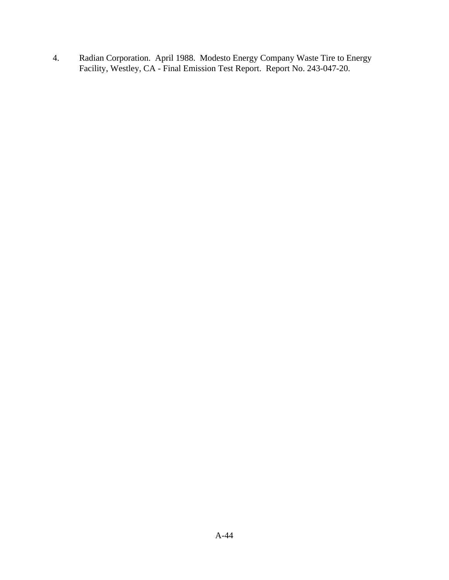4. Radian Corporation. April 1988. Modesto Energy Company Waste Tire to Energy Facility, Westley, CA - Final Emission Test Report. Report No. 243-047-20.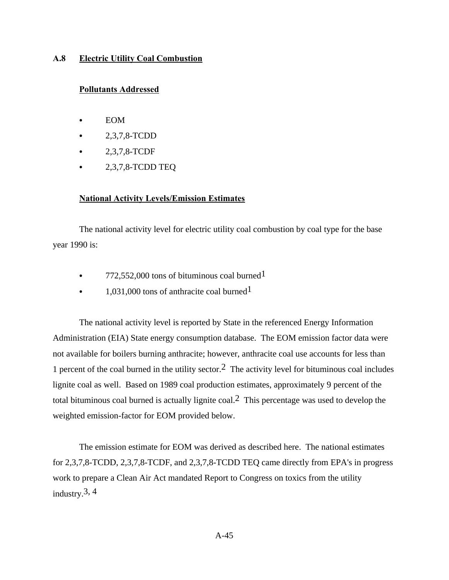## **A.8 Electric Utility Coal Combustion**

## **Pollutants Addressed**

- **EOM**
- C 2,3,7,8-TCDD
- $2,3,7,8$ -TCDF
- $\bullet$  2,3,7,8-TCDD TEQ

### **National Activity Levels/Emission Estimates**

The national activity level for electric utility coal combustion by coal type for the base year 1990 is:

- $\cdot$  772,552,000 tons of bituminous coal burned<sup>1</sup>
- $\cdot$  1,031,000 tons of anthracite coal burned<sup>1</sup>

The national activity level is reported by State in the referenced Energy Information Administration (EIA) State energy consumption database. The EOM emission factor data were not available for boilers burning anthracite; however, anthracite coal use accounts for less than 1 percent of the coal burned in the utility sector.2 The activity level for bituminous coal includes lignite coal as well. Based on 1989 coal production estimates, approximately 9 percent of the total bituminous coal burned is actually lignite coal.<sup>2</sup> This percentage was used to develop the weighted emission-factor for EOM provided below.

The emission estimate for EOM was derived as described here. The national estimates for 2,3,7,8-TCDD, 2,3,7,8-TCDF, and 2,3,7,8-TCDD TEQ came directly from EPA's in progress work to prepare a Clean Air Act mandated Report to Congress on toxics from the utility industry.3, 4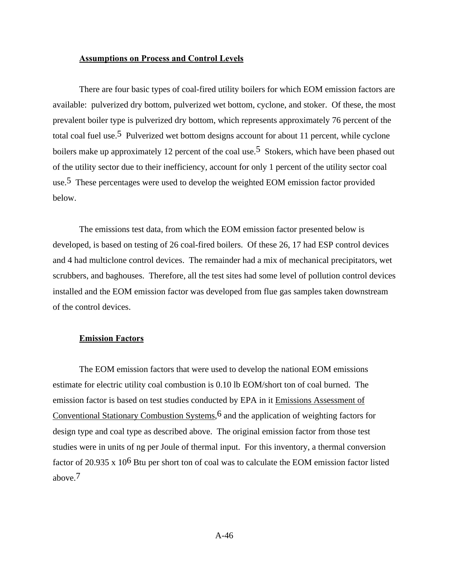### **Assumptions on Process and Control Levels**

There are four basic types of coal-fired utility boilers for which EOM emission factors are available: pulverized dry bottom, pulverized wet bottom, cyclone, and stoker. Of these, the most prevalent boiler type is pulverized dry bottom, which represents approximately 76 percent of the total coal fuel use.5 Pulverized wet bottom designs account for about 11 percent, while cyclone boilers make up approximately 12 percent of the coal use.<sup>5</sup> Stokers, which have been phased out of the utility sector due to their inefficiency, account for only 1 percent of the utility sector coal use.5 These percentages were used to develop the weighted EOM emission factor provided below.

The emissions test data, from which the EOM emission factor presented below is developed, is based on testing of 26 coal-fired boilers. Of these 26, 17 had ESP control devices and 4 had multiclone control devices. The remainder had a mix of mechanical precipitators, wet scrubbers, and baghouses. Therefore, all the test sites had some level of pollution control devices installed and the EOM emission factor was developed from flue gas samples taken downstream of the control devices.

### **Emission Factors**

The EOM emission factors that were used to develop the national EOM emissions estimate for electric utility coal combustion is 0.10 lb EOM/short ton of coal burned. The emission factor is based on test studies conducted by EPA in it Emissions Assessment of Conventional Stationary Combustion Systems,  $6$  and the application of weighting factors for design type and coal type as described above. The original emission factor from those test studies were in units of ng per Joule of thermal input. For this inventory, a thermal conversion factor of 20.935 x 106 Btu per short ton of coal was to calculate the EOM emission factor listed above.7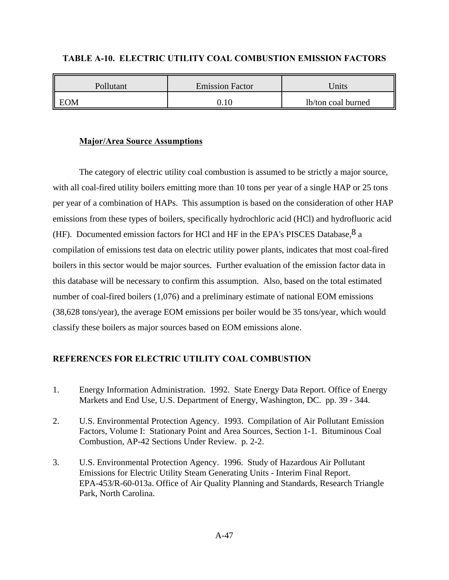| Pollutant  | <b>Emission Factor</b> | Jnits              |
|------------|------------------------|--------------------|
| <b>EOM</b> |                        | lb/ton coal burned |

## **TABLE A-10. ELECTRIC UTILITY COAL COMBUSTION EMISSION FACTORS**

## **Major/Area Source Assumptions**

The category of electric utility coal combustion is assumed to be strictly a major source, with all coal-fired utility boilers emitting more than 10 tons per year of a single HAP or 25 tons per year of a combination of HAPs. This assumption is based on the consideration of other HAP emissions from these types of boilers, specifically hydrochloric acid (HCl) and hydrofluoric acid (HF). Documented emission factors for HCl and HF in the EPA's PISCES Database,  $8a$ compilation of emissions test data on electric utility power plants, indicates that most coal-fired boilers in this sector would be major sources. Further evaluation of the emission factor data in this database will be necessary to confirm this assumption. Also, based on the total estimated number of coal-fired boilers (1,076) and a preliminary estimate of national EOM emissions (38,628 tons/year), the average EOM emissions per boiler would be 35 tons/year, which would classify these boilers as major sources based on EOM emissions alone.

# **REFERENCES FOR ELECTRIC UTILITY COAL COMBUSTION**

- 1. Energy Information Administration. 1992. State Energy Data Report. Office of Energy Markets and End Use, U.S. Department of Energy, Washington, DC. pp. 39 - 344.
- 2. U.S. Environmental Protection Agency. 1993. Compilation of Air Pollutant Emission Factors, Volume I: Stationary Point and Area Sources, Section 1-1. Bituminous Coal Combustion, AP-42 Sections Under Review. p. 2-2.
- 3. U.S. Environmental Protection Agency. 1996. Study of Hazardous Air Pollutant Emissions for Electric Utility Steam Generating Units - Interim Final Report. EPA-453/R-60-013a. Office of Air Quality Planning and Standards, Research Triangle Park, North Carolina.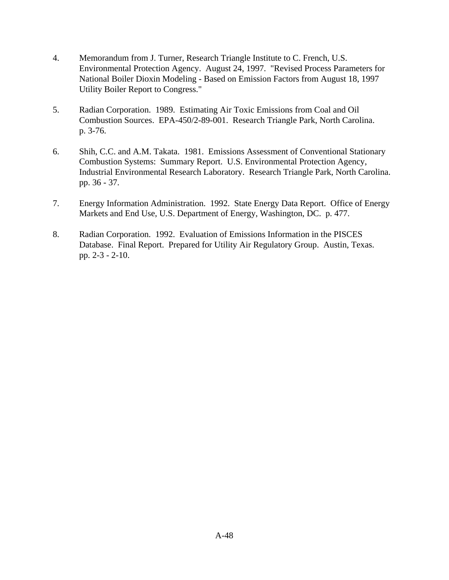- 4. Memorandum from J. Turner, Research Triangle Institute to C. French, U.S. Environmental Protection Agency. August 24, 1997. "Revised Process Parameters for National Boiler Dioxin Modeling - Based on Emission Factors from August 18, 1997 Utility Boiler Report to Congress."
- 5. Radian Corporation. 1989. Estimating Air Toxic Emissions from Coal and Oil Combustion Sources. EPA-450/2-89-001. Research Triangle Park, North Carolina. p. 3-76.
- 6. Shih, C.C. and A.M. Takata. 1981. Emissions Assessment of Conventional Stationary Combustion Systems: Summary Report. U.S. Environmental Protection Agency, Industrial Environmental Research Laboratory. Research Triangle Park, North Carolina. pp. 36 - 37.
- 7. Energy Information Administration. 1992. State Energy Data Report. Office of Energy Markets and End Use, U.S. Department of Energy, Washington, DC. p. 477.
- 8. Radian Corporation. 1992. Evaluation of Emissions Information in the PISCES Database. Final Report. Prepared for Utility Air Regulatory Group. Austin, Texas. pp. 2-3 - 2-10.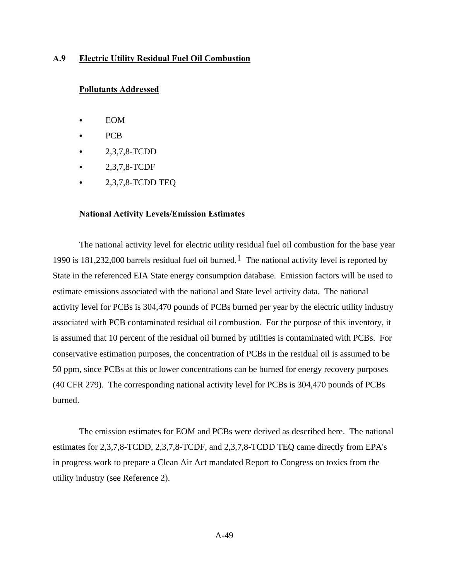### **A.9 Electric Utility Residual Fuel Oil Combustion**

### **Pollutants Addressed**

- **EOM**
- PC<sub>B</sub>
- C 2,3,7,8-TCDD
- C 2,3,7,8-TCDF
- $\bullet$  2,3,7,8-TCDD TEQ

#### **National Activity Levels/Emission Estimates**

The national activity level for electric utility residual fuel oil combustion for the base year 1990 is 181,232,000 barrels residual fuel oil burned.<sup>1</sup> The national activity level is reported by State in the referenced EIA State energy consumption database. Emission factors will be used to estimate emissions associated with the national and State level activity data. The national activity level for PCBs is 304,470 pounds of PCBs burned per year by the electric utility industry associated with PCB contaminated residual oil combustion. For the purpose of this inventory, it is assumed that 10 percent of the residual oil burned by utilities is contaminated with PCBs. For conservative estimation purposes, the concentration of PCBs in the residual oil is assumed to be 50 ppm, since PCBs at this or lower concentrations can be burned for energy recovery purposes (40 CFR 279). The corresponding national activity level for PCBs is 304,470 pounds of PCBs burned.

The emission estimates for EOM and PCBs were derived as described here. The national estimates for 2,3,7,8-TCDD, 2,3,7,8-TCDF, and 2,3,7,8-TCDD TEQ came directly from EPA's in progress work to prepare a Clean Air Act mandated Report to Congress on toxics from the utility industry (see Reference 2).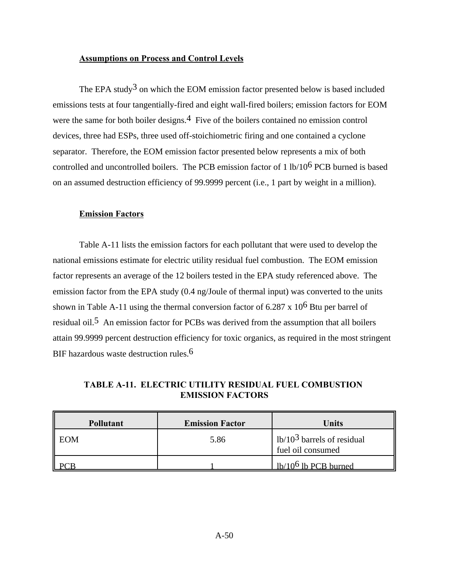## **Assumptions on Process and Control Levels**

The EPA study<sup>3</sup> on which the EOM emission factor presented below is based included emissions tests at four tangentially-fired and eight wall-fired boilers; emission factors for EOM were the same for both boiler designs.<sup>4</sup> Five of the boilers contained no emission control devices, three had ESPs, three used off-stoichiometric firing and one contained a cyclone separator. Therefore, the EOM emission factor presented below represents a mix of both controlled and uncontrolled boilers. The PCB emission factor of 1 lb/106 PCB burned is based on an assumed destruction efficiency of 99.9999 percent (i.e., 1 part by weight in a million).

### **Emission Factors**

Table A-11 lists the emission factors for each pollutant that were used to develop the national emissions estimate for electric utility residual fuel combustion. The EOM emission factor represents an average of the 12 boilers tested in the EPA study referenced above. The emission factor from the EPA study (0.4 ng/Joule of thermal input) was converted to the units shown in Table A-11 using the thermal conversion factor of  $6.287 \times 10^6$  Btu per barrel of residual oil.5 An emission factor for PCBs was derived from the assumption that all boilers attain 99.9999 percent destruction efficiency for toxic organics, as required in the most stringent BIF hazardous waste destruction rules.<sup>6</sup>

**TABLE A-11. ELECTRIC UTILITY RESIDUAL FUEL COMBUSTION EMISSION FACTORS**

| <b>Pollutant</b> | <b>Emission Factor</b> | Units                                             |
|------------------|------------------------|---------------------------------------------------|
| EOM              | 5.86                   | $1b/103$ barrels of residual<br>fuel oil consumed |
|                  |                        | $1b/106$ lb PCB burned                            |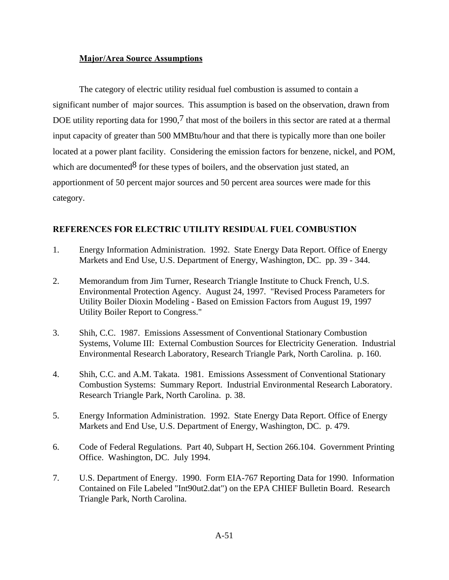# **Major/Area Source Assumptions**

The category of electric utility residual fuel combustion is assumed to contain a significant number of major sources. This assumption is based on the observation, drawn from DOE utility reporting data for 1990, $7$  that most of the boilers in this sector are rated at a thermal input capacity of greater than 500 MMBtu/hour and that there is typically more than one boiler located at a power plant facility. Considering the emission factors for benzene, nickel, and POM, which are documented  $8$  for these types of boilers, and the observation just stated, an apportionment of 50 percent major sources and 50 percent area sources were made for this category.

# **REFERENCES FOR ELECTRIC UTILITY RESIDUAL FUEL COMBUSTION**

- 1. Energy Information Administration. 1992. State Energy Data Report. Office of Energy Markets and End Use, U.S. Department of Energy, Washington, DC. pp. 39 - 344.
- 2. Memorandum from Jim Turner, Research Triangle Institute to Chuck French, U.S. Environmental Protection Agency. August 24, 1997. "Revised Process Parameters for Utility Boiler Dioxin Modeling - Based on Emission Factors from August 19, 1997 Utility Boiler Report to Congress."
- 3. Shih, C.C. 1987. Emissions Assessment of Conventional Stationary Combustion Systems, Volume III: External Combustion Sources for Electricity Generation. Industrial Environmental Research Laboratory, Research Triangle Park, North Carolina. p. 160.
- 4. Shih, C.C. and A.M. Takata. 1981. Emissions Assessment of Conventional Stationary Combustion Systems: Summary Report. Industrial Environmental Research Laboratory. Research Triangle Park, North Carolina. p. 38.
- 5. Energy Information Administration. 1992. State Energy Data Report. Office of Energy Markets and End Use, U.S. Department of Energy, Washington, DC. p. 479.
- 6. Code of Federal Regulations. Part 40, Subpart H, Section 266.104. Government Printing Office. Washington, DC. July 1994.
- 7. U.S. Department of Energy. 1990. Form EIA-767 Reporting Data for 1990. Information Contained on File Labeled "Int90ut2.dat") on the EPA CHIEF Bulletin Board. Research Triangle Park, North Carolina.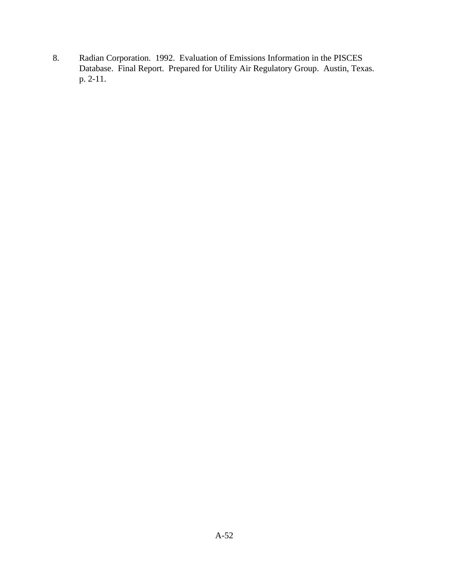8. Radian Corporation. 1992. Evaluation of Emissions Information in the PISCES Database. Final Report. Prepared for Utility Air Regulatory Group. Austin, Texas. p. 2-11.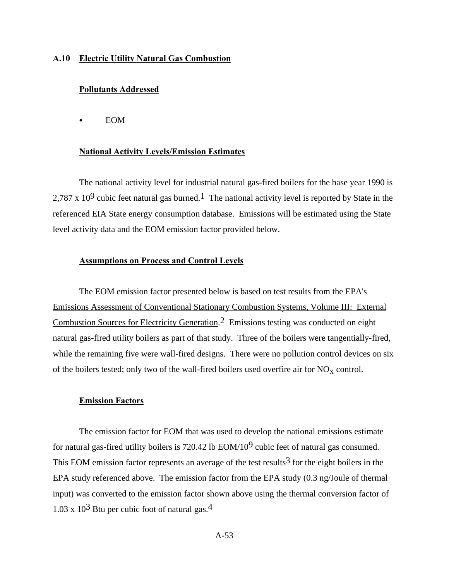### **A.10 Electric Utility Natural Gas Combustion**

#### **Pollutants Addressed**

**EOM** 

#### **National Activity Levels/Emission Estimates**

The national activity level for industrial natural gas-fired boilers for the base year 1990 is 2.787 x  $10^9$  cubic feet natural gas burned.<sup>1</sup> The national activity level is reported by State in the referenced EIA State energy consumption database. Emissions will be estimated using the State level activity data and the EOM emission factor provided below.

### **Assumptions on Process and Control Levels**

The EOM emission factor presented below is based on test results from the EPA's Emissions Assessment of Conventional Stationary Combustion Systems, Volume III: External Combustion Sources for Electricity Generation.<sup>2</sup> Emissions testing was conducted on eight natural gas-fired utility boilers as part of that study. Three of the boilers were tangentially-fired, while the remaining five were wall-fired designs. There were no pollution control devices on six of the boilers tested; only two of the wall-fired boilers used overfire air for  $NO_x$  control.

#### **Emission Factors**

The emission factor for EOM that was used to develop the national emissions estimate for natural gas-fired utility boilers is 720.42 lb  $EOM/10<sup>9</sup>$  cubic feet of natural gas consumed. This EOM emission factor represents an average of the test results<sup>3</sup> for the eight boilers in the EPA study referenced above. The emission factor from the EPA study (0.3 ng/Joule of thermal input) was converted to the emission factor shown above using the thermal conversion factor of 1.03 x  $10^3$  Btu per cubic foot of natural gas.<sup>4</sup>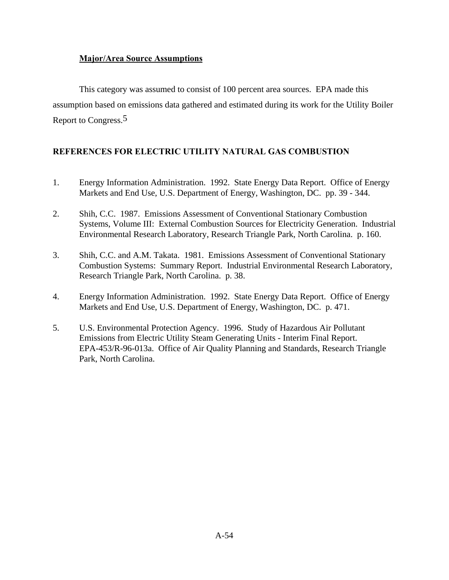# **Major/Area Source Assumptions**

This category was assumed to consist of 100 percent area sources. EPA made this assumption based on emissions data gathered and estimated during its work for the Utility Boiler Report to Congress.5

# **REFERENCES FOR ELECTRIC UTILITY NATURAL GAS COMBUSTION**

- 1. Energy Information Administration. 1992. State Energy Data Report. Office of Energy Markets and End Use, U.S. Department of Energy, Washington, DC. pp. 39 - 344.
- 2. Shih, C.C. 1987. Emissions Assessment of Conventional Stationary Combustion Systems, Volume III: External Combustion Sources for Electricity Generation. Industrial Environmental Research Laboratory, Research Triangle Park, North Carolina. p. 160.
- 3. Shih, C.C. and A.M. Takata. 1981. Emissions Assessment of Conventional Stationary Combustion Systems: Summary Report. Industrial Environmental Research Laboratory, Research Triangle Park, North Carolina. p. 38.
- 4. Energy Information Administration. 1992. State Energy Data Report. Office of Energy Markets and End Use, U.S. Department of Energy, Washington, DC. p. 471.
- 5. U.S. Environmental Protection Agency. 1996. Study of Hazardous Air Pollutant Emissions from Electric Utility Steam Generating Units - Interim Final Report. EPA-453/R-96-013a. Office of Air Quality Planning and Standards, Research Triangle Park, North Carolina.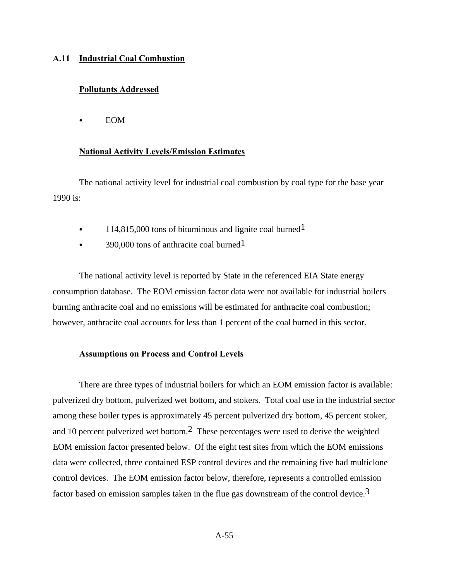#### **A.11 Industrial Coal Combustion**

### **Pollutants Addressed**

 $\bullet$  EOM

### **National Activity Levels/Emission Estimates**

The national activity level for industrial coal combustion by coal type for the base year 1990 is:

- $\cdot$  114,815,000 tons of bituminous and lignite coal burned<sup>1</sup>
- 390,000 tons of anthracite coal burned<sup>1</sup>

The national activity level is reported by State in the referenced EIA State energy consumption database. The EOM emission factor data were not available for industrial boilers burning anthracite coal and no emissions will be estimated for anthracite coal combustion; however, anthracite coal accounts for less than 1 percent of the coal burned in this sector.

### **Assumptions on Process and Control Levels**

There are three types of industrial boilers for which an EOM emission factor is available: pulverized dry bottom, pulverized wet bottom, and stokers. Total coal use in the industrial sector among these boiler types is approximately 45 percent pulverized dry bottom, 45 percent stoker, and 10 percent pulverized wet bottom.2 These percentages were used to derive the weighted EOM emission factor presented below. Of the eight test sites from which the EOM emissions data were collected, three contained ESP control devices and the remaining five had multiclone control devices. The EOM emission factor below, therefore, represents a controlled emission factor based on emission samples taken in the flue gas downstream of the control device.<sup>3</sup>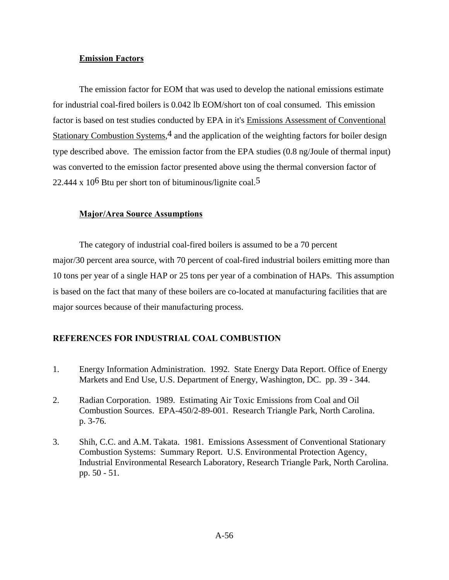## **Emission Factors**

The emission factor for EOM that was used to develop the national emissions estimate for industrial coal-fired boilers is 0.042 lb EOM/short ton of coal consumed. This emission factor is based on test studies conducted by EPA in it's Emissions Assessment of Conventional Stationary Combustion Systems,<sup>4</sup> and the application of the weighting factors for boiler design type described above. The emission factor from the EPA studies (0.8 ng/Joule of thermal input) was converted to the emission factor presented above using the thermal conversion factor of 22.444 x  $10^6$  Btu per short ton of bituminous/lignite coal.<sup>5</sup>

# **Major/Area Source Assumptions**

The category of industrial coal-fired boilers is assumed to be a 70 percent major/30 percent area source, with 70 percent of coal-fired industrial boilers emitting more than 10 tons per year of a single HAP or 25 tons per year of a combination of HAPs. This assumption is based on the fact that many of these boilers are co-located at manufacturing facilities that are major sources because of their manufacturing process.

# **REFERENCES FOR INDUSTRIAL COAL COMBUSTION**

- 1. Energy Information Administration. 1992. State Energy Data Report. Office of Energy Markets and End Use, U.S. Department of Energy, Washington, DC. pp. 39 - 344.
- 2. Radian Corporation. 1989. Estimating Air Toxic Emissions from Coal and Oil Combustion Sources. EPA-450/2-89-001. Research Triangle Park, North Carolina. p. 3-76.
- 3. Shih, C.C. and A.M. Takata. 1981. Emissions Assessment of Conventional Stationary Combustion Systems: Summary Report. U.S. Environmental Protection Agency, Industrial Environmental Research Laboratory, Research Triangle Park, North Carolina. pp. 50 - 51.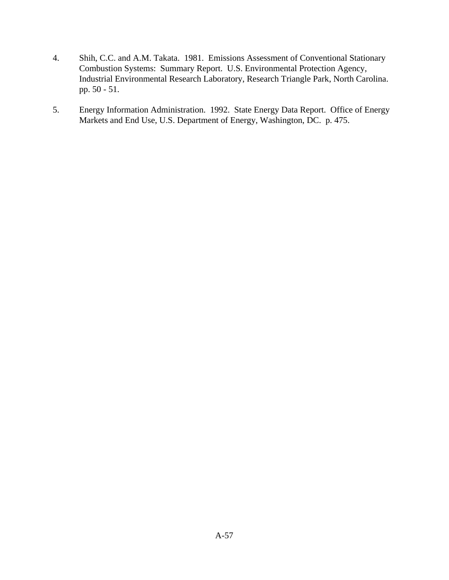- 4. Shih, C.C. and A.M. Takata. 1981. Emissions Assessment of Conventional Stationary Combustion Systems: Summary Report. U.S. Environmental Protection Agency, Industrial Environmental Research Laboratory, Research Triangle Park, North Carolina. pp. 50 - 51.
- 5. Energy Information Administration. 1992. State Energy Data Report. Office of Energy Markets and End Use, U.S. Department of Energy, Washington, DC. p. 475.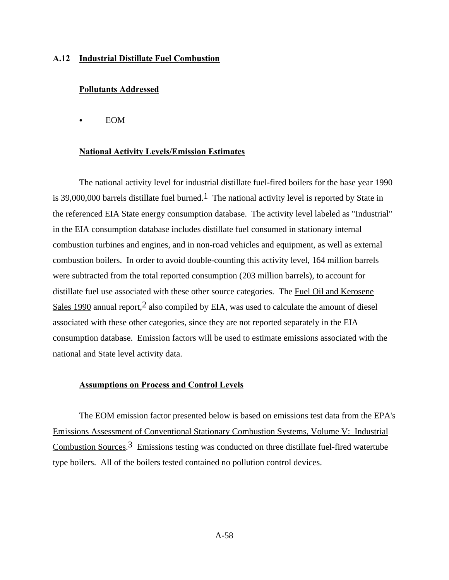### **A.12 Industrial Distillate Fuel Combustion**

### **Pollutants Addressed**

 $\bullet$  EOM

#### **National Activity Levels/Emission Estimates**

The national activity level for industrial distillate fuel-fired boilers for the base year 1990 is 39,000,000 barrels distillate fuel burned.<sup>1</sup> The national activity level is reported by State in the referenced EIA State energy consumption database. The activity level labeled as "Industrial" in the EIA consumption database includes distillate fuel consumed in stationary internal combustion turbines and engines, and in non-road vehicles and equipment, as well as external combustion boilers. In order to avoid double-counting this activity level, 164 million barrels were subtracted from the total reported consumption (203 million barrels), to account for distillate fuel use associated with these other source categories. The Fuel Oil and Kerosene Sales 1990 annual report,  $2$  also compiled by EIA, was used to calculate the amount of diesel associated with these other categories, since they are not reported separately in the EIA consumption database. Emission factors will be used to estimate emissions associated with the national and State level activity data.

#### **Assumptions on Process and Control Levels**

The EOM emission factor presented below is based on emissions test data from the EPA's Emissions Assessment of Conventional Stationary Combustion Systems, Volume V: Industrial Combustion Sources.3 Emissions testing was conducted on three distillate fuel-fired watertube type boilers. All of the boilers tested contained no pollution control devices.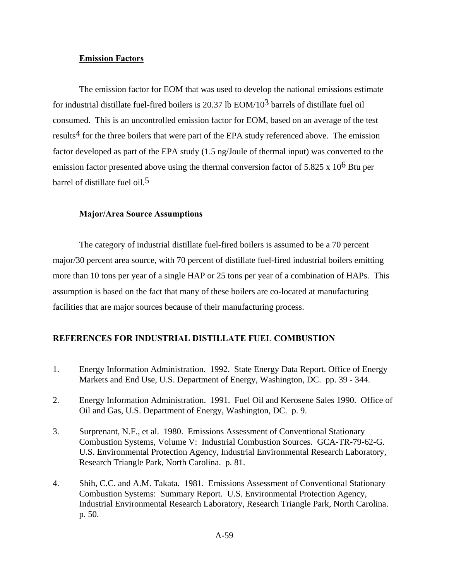### **Emission Factors**

The emission factor for EOM that was used to develop the national emissions estimate for industrial distillate fuel-fired boilers is 20.37 lb EOM/103 barrels of distillate fuel oil consumed. This is an uncontrolled emission factor for EOM, based on an average of the test results<sup>4</sup> for the three boilers that were part of the EPA study referenced above. The emission factor developed as part of the EPA study (1.5 ng/Joule of thermal input) was converted to the emission factor presented above using the thermal conversion factor of 5.825 x 10<sup>6</sup> Btu per barrel of distillate fuel oil.5

#### **Major/Area Source Assumptions**

The category of industrial distillate fuel-fired boilers is assumed to be a 70 percent major/30 percent area source, with 70 percent of distillate fuel-fired industrial boilers emitting more than 10 tons per year of a single HAP or 25 tons per year of a combination of HAPs. This assumption is based on the fact that many of these boilers are co-located at manufacturing facilities that are major sources because of their manufacturing process.

# **REFERENCES FOR INDUSTRIAL DISTILLATE FUEL COMBUSTION**

- 1. Energy Information Administration. 1992. State Energy Data Report. Office of Energy Markets and End Use, U.S. Department of Energy, Washington, DC. pp. 39 - 344.
- 2. Energy Information Administration. 1991. Fuel Oil and Kerosene Sales 1990. Office of Oil and Gas, U.S. Department of Energy, Washington, DC. p. 9.
- 3. Surprenant, N.F., et al. 1980. Emissions Assessment of Conventional Stationary Combustion Systems, Volume V: Industrial Combustion Sources. GCA-TR-79-62-G. U.S. Environmental Protection Agency, Industrial Environmental Research Laboratory, Research Triangle Park, North Carolina. p. 81.
- 4. Shih, C.C. and A.M. Takata. 1981. Emissions Assessment of Conventional Stationary Combustion Systems: Summary Report. U.S. Environmental Protection Agency, Industrial Environmental Research Laboratory, Research Triangle Park, North Carolina. p. 50.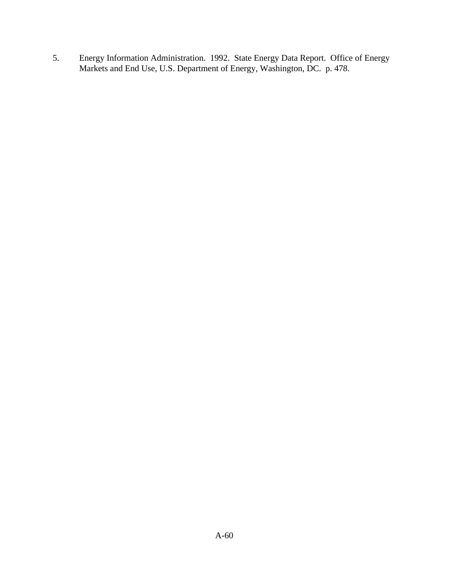5. Energy Information Administration. 1992. State Energy Data Report. Office of Energy Markets and End Use, U.S. Department of Energy, Washington, DC. p. 478.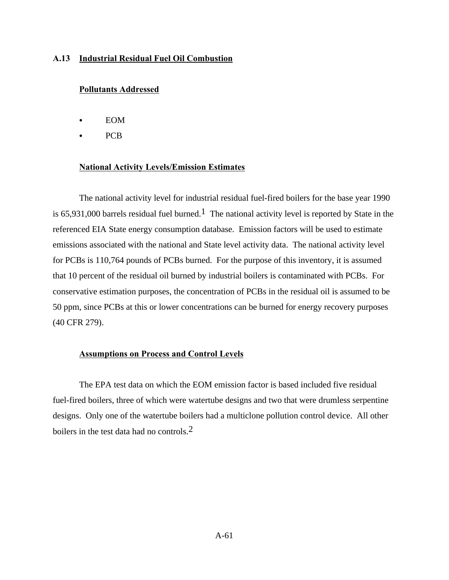### **A.13 Industrial Residual Fuel Oil Combustion**

### **Pollutants Addressed**

- **EOM**
- **PCB**

### **National Activity Levels/Emission Estimates**

The national activity level for industrial residual fuel-fired boilers for the base year 1990 is 65,931,000 barrels residual fuel burned.<sup>1</sup> The national activity level is reported by State in the referenced EIA State energy consumption database. Emission factors will be used to estimate emissions associated with the national and State level activity data. The national activity level for PCBs is 110,764 pounds of PCBs burned. For the purpose of this inventory, it is assumed that 10 percent of the residual oil burned by industrial boilers is contaminated with PCBs. For conservative estimation purposes, the concentration of PCBs in the residual oil is assumed to be 50 ppm, since PCBs at this or lower concentrations can be burned for energy recovery purposes (40 CFR 279).

### **Assumptions on Process and Control Levels**

The EPA test data on which the EOM emission factor is based included five residual fuel-fired boilers, three of which were watertube designs and two that were drumless serpentine designs. Only one of the watertube boilers had a multiclone pollution control device. All other boilers in the test data had no controls.<sup>2</sup>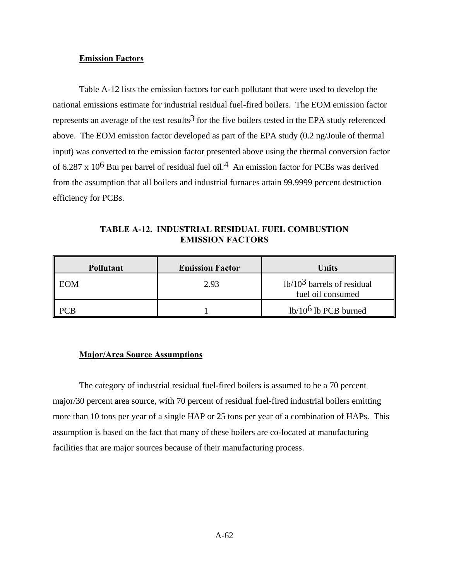### **Emission Factors**

Table A-12 lists the emission factors for each pollutant that were used to develop the national emissions estimate for industrial residual fuel-fired boilers. The EOM emission factor represents an average of the test results<sup>3</sup> for the five boilers tested in the EPA study referenced above. The EOM emission factor developed as part of the EPA study (0.2 ng/Joule of thermal input) was converted to the emission factor presented above using the thermal conversion factor of 6.287 x  $10^6$  Btu per barrel of residual fuel oil.<sup>4</sup> An emission factor for PCBs was derived from the assumption that all boilers and industrial furnaces attain 99.9999 percent destruction efficiency for PCBs.

**TABLE A-12. INDUSTRIAL RESIDUAL FUEL COMBUSTION EMISSION FACTORS**

| <b>Pollutant</b> | <b>Emission Factor</b> | <b>Units</b>                                      |
|------------------|------------------------|---------------------------------------------------|
| EOM              | 2.93                   | $1b/103$ barrels of residual<br>fuel oil consumed |
|                  |                        | $1b/106$ lb PCB burned                            |

#### **Major/Area Source Assumptions**

The category of industrial residual fuel-fired boilers is assumed to be a 70 percent major/30 percent area source, with 70 percent of residual fuel-fired industrial boilers emitting more than 10 tons per year of a single HAP or 25 tons per year of a combination of HAPs. This assumption is based on the fact that many of these boilers are co-located at manufacturing facilities that are major sources because of their manufacturing process.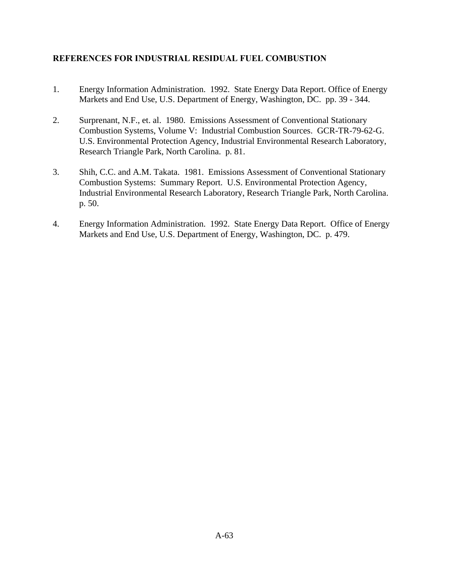# **REFERENCES FOR INDUSTRIAL RESIDUAL FUEL COMBUSTION**

- 1. Energy Information Administration. 1992. State Energy Data Report. Office of Energy Markets and End Use, U.S. Department of Energy, Washington, DC. pp. 39 - 344.
- 2. Surprenant, N.F., et. al. 1980. Emissions Assessment of Conventional Stationary Combustion Systems, Volume V: Industrial Combustion Sources. GCR-TR-79-62-G. U.S. Environmental Protection Agency, Industrial Environmental Research Laboratory, Research Triangle Park, North Carolina. p. 81.
- 3. Shih, C.C. and A.M. Takata. 1981. Emissions Assessment of Conventional Stationary Combustion Systems: Summary Report. U.S. Environmental Protection Agency, Industrial Environmental Research Laboratory, Research Triangle Park, North Carolina. p. 50.
- 4. Energy Information Administration. 1992. State Energy Data Report. Office of Energy Markets and End Use, U.S. Department of Energy, Washington, DC. p. 479.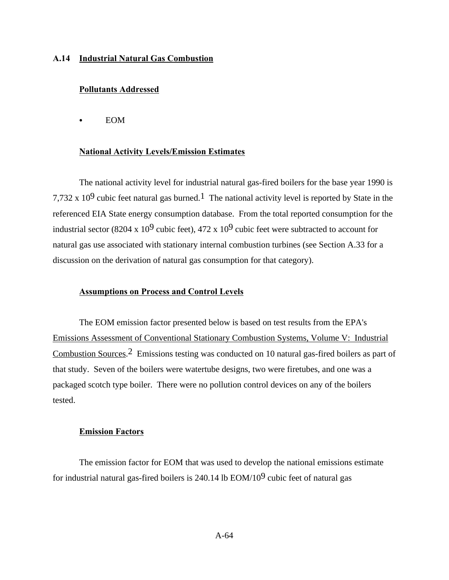### **A.14 Industrial Natural Gas Combustion**

### **Pollutants Addressed**

 $\bullet$  EOM

#### **National Activity Levels/Emission Estimates**

The national activity level for industrial natural gas-fired boilers for the base year 1990 is 7,732 x 10<sup>9</sup> cubic feet natural gas burned.<sup>1</sup> The national activity level is reported by State in the referenced EIA State energy consumption database. From the total reported consumption for the industrial sector (8204 x 10<sup>9</sup> cubic feet), 472 x 10<sup>9</sup> cubic feet were subtracted to account for natural gas use associated with stationary internal combustion turbines (see Section A.33 for a discussion on the derivation of natural gas consumption for that category).

#### **Assumptions on Process and Control Levels**

The EOM emission factor presented below is based on test results from the EPA's Emissions Assessment of Conventional Stationary Combustion Systems, Volume V: Industrial Combustion Sources.2 Emissions testing was conducted on 10 natural gas-fired boilers as part of that study. Seven of the boilers were watertube designs, two were firetubes, and one was a packaged scotch type boiler. There were no pollution control devices on any of the boilers tested.

#### **Emission Factors**

The emission factor for EOM that was used to develop the national emissions estimate for industrial natural gas-fired boilers is  $240.14$  lb EOM/ $10<sup>9</sup>$  cubic feet of natural gas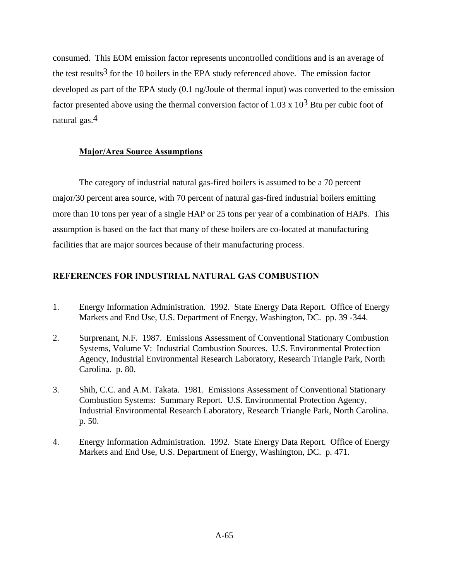consumed. This EOM emission factor represents uncontrolled conditions and is an average of the test results<sup>3</sup> for the 10 boilers in the EPA study referenced above. The emission factor developed as part of the EPA study (0.1 ng/Joule of thermal input) was converted to the emission factor presented above using the thermal conversion factor of 1.03 x  $10^3$  Btu per cubic foot of natural gas.4

## **Major/Area Source Assumptions**

The category of industrial natural gas-fired boilers is assumed to be a 70 percent major/30 percent area source, with 70 percent of natural gas-fired industrial boilers emitting more than 10 tons per year of a single HAP or 25 tons per year of a combination of HAPs. This assumption is based on the fact that many of these boilers are co-located at manufacturing facilities that are major sources because of their manufacturing process.

## **REFERENCES FOR INDUSTRIAL NATURAL GAS COMBUSTION**

- 1. Energy Information Administration. 1992. State Energy Data Report. Office of Energy Markets and End Use, U.S. Department of Energy, Washington, DC. pp. 39 -344.
- 2. Surprenant, N.F. 1987. Emissions Assessment of Conventional Stationary Combustion Systems, Volume V: Industrial Combustion Sources. U.S. Environmental Protection Agency, Industrial Environmental Research Laboratory, Research Triangle Park, North Carolina. p. 80.
- 3. Shih, C.C. and A.M. Takata. 1981. Emissions Assessment of Conventional Stationary Combustion Systems: Summary Report. U.S. Environmental Protection Agency, Industrial Environmental Research Laboratory, Research Triangle Park, North Carolina. p. 50.
- 4. Energy Information Administration. 1992. State Energy Data Report. Office of Energy Markets and End Use, U.S. Department of Energy, Washington, DC. p. 471.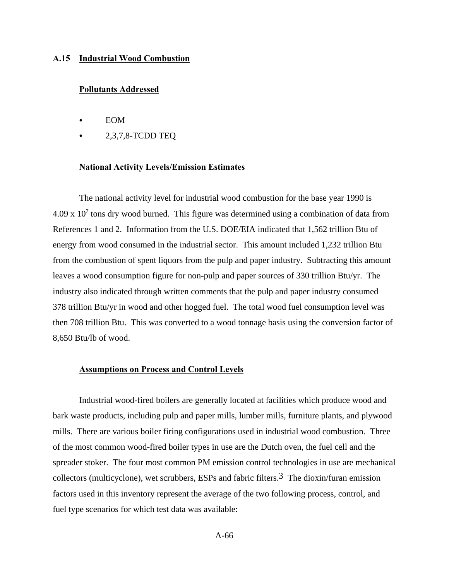#### **A.15 Industrial Wood Combustion**

### **Pollutants Addressed**

- **EOM**
- 2,3,7,8-TCDD TEQ

### **National Activity Levels/Emission Estimates**

The national activity level for industrial wood combustion for the base year 1990 is  $4.09 \times 10<sup>7</sup>$  tons dry wood burned. This figure was determined using a combination of data from References 1 and 2. Information from the U.S. DOE/EIA indicated that 1,562 trillion Btu of energy from wood consumed in the industrial sector. This amount included 1,232 trillion Btu from the combustion of spent liquors from the pulp and paper industry. Subtracting this amount leaves a wood consumption figure for non-pulp and paper sources of 330 trillion Btu/yr. The industry also indicated through written comments that the pulp and paper industry consumed 378 trillion Btu/yr in wood and other hogged fuel. The total wood fuel consumption level was then 708 trillion Btu. This was converted to a wood tonnage basis using the conversion factor of 8,650 Btu/lb of wood.

### **Assumptions on Process and Control Levels**

Industrial wood-fired boilers are generally located at facilities which produce wood and bark waste products, including pulp and paper mills, lumber mills, furniture plants, and plywood mills. There are various boiler firing configurations used in industrial wood combustion. Three of the most common wood-fired boiler types in use are the Dutch oven, the fuel cell and the spreader stoker. The four most common PM emission control technologies in use are mechanical collectors (multicyclone), wet scrubbers, ESPs and fabric filters.<sup>3</sup> The dioxin/furan emission factors used in this inventory represent the average of the two following process, control, and fuel type scenarios for which test data was available: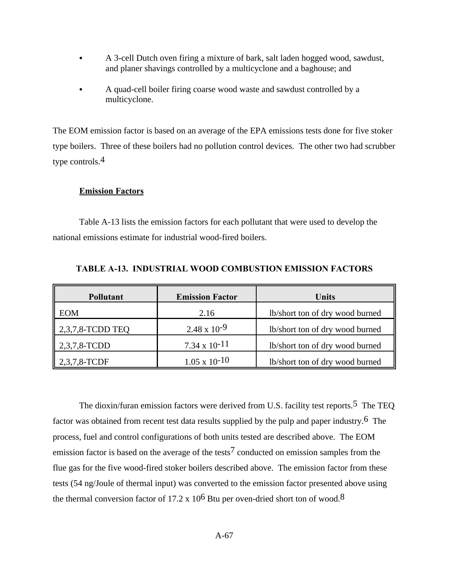- C A 3-cell Dutch oven firing a mixture of bark, salt laden hogged wood, sawdust, and planer shavings controlled by a multicyclone and a baghouse; and
- A quad-cell boiler firing coarse wood waste and sawdust controlled by a multicyclone.

The EOM emission factor is based on an average of the EPA emissions tests done for five stoker type boilers. Three of these boilers had no pollution control devices. The other two had scrubber type controls.4

## **Emission Factors**

Table A-13 lists the emission factors for each pollutant that were used to develop the national emissions estimate for industrial wood-fired boilers.

| <b>Pollutant</b>         | <b>Emission Factor</b> | Units                           |
|--------------------------|------------------------|---------------------------------|
| <b>EOM</b>               | 2.16                   | lb/short ton of dry wood burned |
| $\vert$ 2,3,7,8-TCDD TEQ | $2.48 \times 10^{-9}$  | lb/short ton of dry wood burned |
| 2,3,7,8-TCDD             | $7.34 \times 10^{-11}$ | lb/short ton of dry wood burned |
| $2,3,7,8$ -TCDF          | $1.05 \times 10^{-10}$ | lb/short ton of dry wood burned |

**TABLE A-13. INDUSTRIAL WOOD COMBUSTION EMISSION FACTORS**

The dioxin/furan emission factors were derived from U.S. facility test reports.<sup>5</sup> The TEO factor was obtained from recent test data results supplied by the pulp and paper industry.6 The process, fuel and control configurations of both units tested are described above. The EOM emission factor is based on the average of the tests<sup>7</sup> conducted on emission samples from the flue gas for the five wood-fired stoker boilers described above. The emission factor from these tests (54 ng/Joule of thermal input) was converted to the emission factor presented above using the thermal conversion factor of 17.2 x  $10^6$  Btu per oven-dried short ton of wood.<sup>8</sup>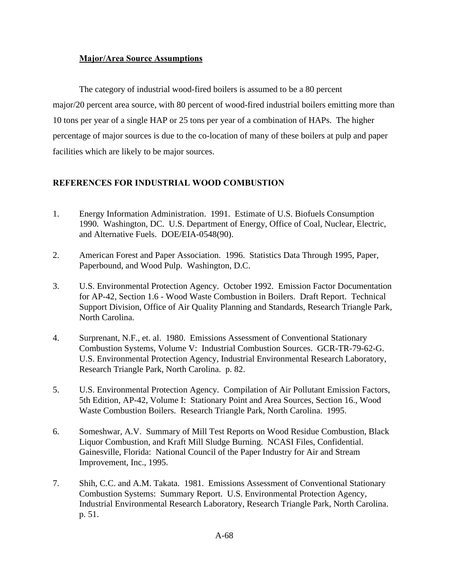# **Major/Area Source Assumptions**

The category of industrial wood-fired boilers is assumed to be a 80 percent major/20 percent area source, with 80 percent of wood-fired industrial boilers emitting more than 10 tons per year of a single HAP or 25 tons per year of a combination of HAPs. The higher percentage of major sources is due to the co-location of many of these boilers at pulp and paper facilities which are likely to be major sources.

# **REFERENCES FOR INDUSTRIAL WOOD COMBUSTION**

- 1. Energy Information Administration. 1991. Estimate of U.S. Biofuels Consumption 1990. Washington, DC. U.S. Department of Energy, Office of Coal, Nuclear, Electric, and Alternative Fuels. DOE/EIA-0548(90).
- 2. American Forest and Paper Association. 1996. Statistics Data Through 1995, Paper, Paperbound, and Wood Pulp. Washington, D.C.
- 3. U.S. Environmental Protection Agency. October 1992. Emission Factor Documentation for AP-42, Section 1.6 - Wood Waste Combustion in Boilers. Draft Report. Technical Support Division, Office of Air Quality Planning and Standards, Research Triangle Park, North Carolina.
- 4. Surprenant, N.F., et. al. 1980. Emissions Assessment of Conventional Stationary Combustion Systems, Volume V: Industrial Combustion Sources. GCR-TR-79-62-G. U.S. Environmental Protection Agency, Industrial Environmental Research Laboratory, Research Triangle Park, North Carolina. p. 82.
- 5. U.S. Environmental Protection Agency. Compilation of Air Pollutant Emission Factors, 5th Edition, AP-42, Volume I: Stationary Point and Area Sources, Section 16., Wood Waste Combustion Boilers. Research Triangle Park, North Carolina. 1995.
- 6. Someshwar, A.V. Summary of Mill Test Reports on Wood Residue Combustion, Black Liquor Combustion, and Kraft Mill Sludge Burning. NCASI Files, Confidential. Gainesville, Florida: National Council of the Paper Industry for Air and Stream Improvement, Inc., 1995.
- 7. Shih, C.C. and A.M. Takata. 1981. Emissions Assessment of Conventional Stationary Combustion Systems: Summary Report. U.S. Environmental Protection Agency, Industrial Environmental Research Laboratory, Research Triangle Park, North Carolina. p. 51.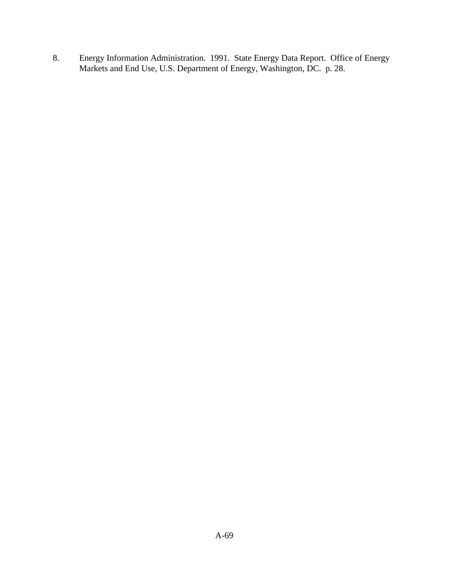8. Energy Information Administration. 1991. State Energy Data Report. Office of Energy Markets and End Use, U.S. Department of Energy, Washington, DC. p. 28.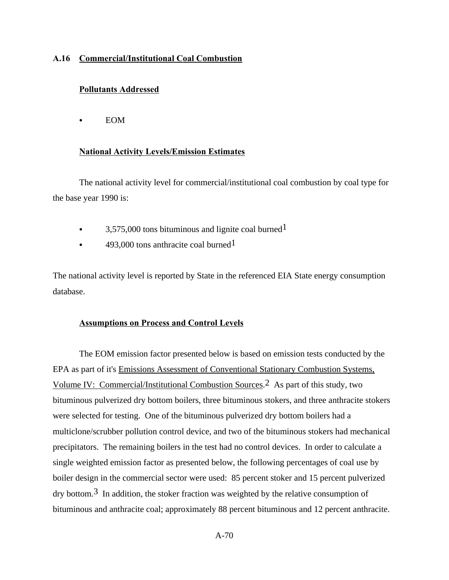## **A.16 Commercial/Institutional Coal Combustion**

## **Pollutants Addressed**

 $\bullet$  EOM

### **National Activity Levels/Emission Estimates**

The national activity level for commercial/institutional coal combustion by coal type for the base year 1990 is:

- $\bullet$  3,575,000 tons bituminous and lignite coal burned<sup>1</sup>
- $\cdot$  493,000 tons anthracite coal burned<sup>1</sup>

The national activity level is reported by State in the referenced EIA State energy consumption database.

### **Assumptions on Process and Control Levels**

The EOM emission factor presented below is based on emission tests conducted by the EPA as part of it's Emissions Assessment of Conventional Stationary Combustion Systems, Volume IV: Commercial/Institutional Combustion Sources.<sup>2</sup> As part of this study, two bituminous pulverized dry bottom boilers, three bituminous stokers, and three anthracite stokers were selected for testing. One of the bituminous pulverized dry bottom boilers had a multiclone/scrubber pollution control device, and two of the bituminous stokers had mechanical precipitators. The remaining boilers in the test had no control devices. In order to calculate a single weighted emission factor as presented below, the following percentages of coal use by boiler design in the commercial sector were used: 85 percent stoker and 15 percent pulverized  $\text{drv}$  bottom.<sup>3</sup> In addition, the stoker fraction was weighted by the relative consumption of bituminous and anthracite coal; approximately 88 percent bituminous and 12 percent anthracite.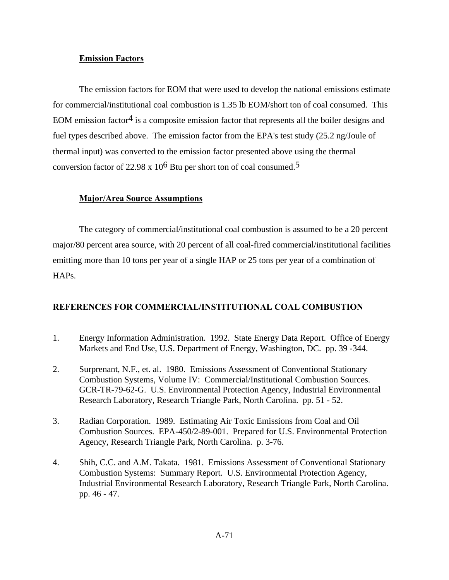### **Emission Factors**

The emission factors for EOM that were used to develop the national emissions estimate for commercial/institutional coal combustion is 1.35 lb EOM/short ton of coal consumed. This EOM emission factor<sup>4</sup> is a composite emission factor that represents all the boiler designs and fuel types described above. The emission factor from the EPA's test study (25.2 ng/Joule of thermal input) was converted to the emission factor presented above using the thermal conversion factor of 22.98 x  $10^6$  Btu per short ton of coal consumed.<sup>5</sup>

### **Major/Area Source Assumptions**

The category of commercial/institutional coal combustion is assumed to be a 20 percent major/80 percent area source, with 20 percent of all coal-fired commercial/institutional facilities emitting more than 10 tons per year of a single HAP or 25 tons per year of a combination of HAPs.

## **REFERENCES FOR COMMERCIAL/INSTITUTIONAL COAL COMBUSTION**

- 1. Energy Information Administration. 1992. State Energy Data Report. Office of Energy Markets and End Use, U.S. Department of Energy, Washington, DC. pp. 39 -344.
- 2. Surprenant, N.F., et. al. 1980. Emissions Assessment of Conventional Stationary Combustion Systems, Volume IV: Commercial/Institutional Combustion Sources. GCR-TR-79-62-G. U.S. Environmental Protection Agency, Industrial Environmental Research Laboratory, Research Triangle Park, North Carolina. pp. 51 - 52.
- 3. Radian Corporation. 1989. Estimating Air Toxic Emissions from Coal and Oil Combustion Sources. EPA-450/2-89-001. Prepared for U.S. Environmental Protection Agency, Research Triangle Park, North Carolina. p. 3-76.
- 4. Shih, C.C. and A.M. Takata. 1981. Emissions Assessment of Conventional Stationary Combustion Systems: Summary Report. U.S. Environmental Protection Agency, Industrial Environmental Research Laboratory, Research Triangle Park, North Carolina. pp. 46 - 47.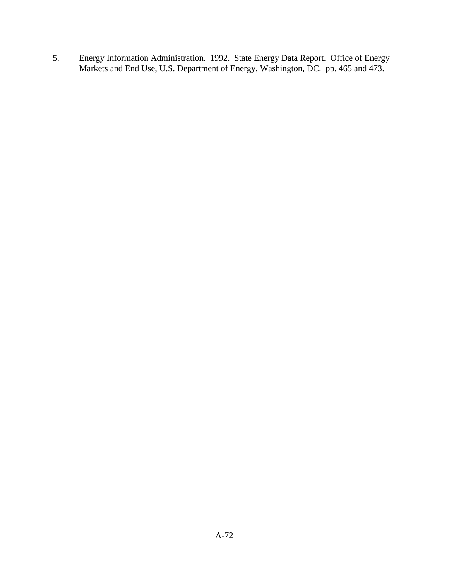5. Energy Information Administration. 1992. State Energy Data Report. Office of Energy Markets and End Use, U.S. Department of Energy, Washington, DC. pp. 465 and 473.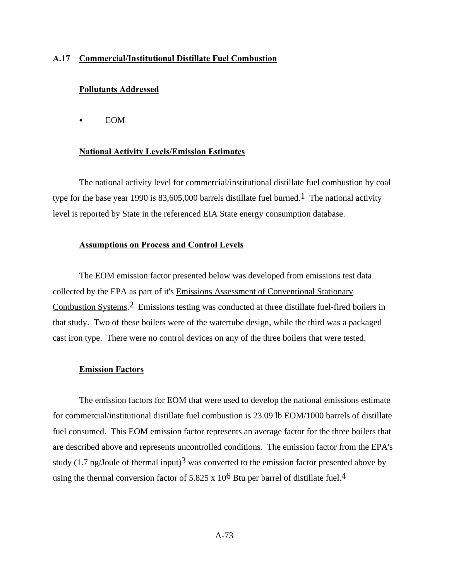### **A.17 Commercial/Institutional Distillate Fuel Combustion**

### **Pollutants Addressed**

 $\bullet$  EOM

#### **National Activity Levels/Emission Estimates**

The national activity level for commercial/institutional distillate fuel combustion by coal type for the base year 1990 is 83,605,000 barrels distillate fuel burned.<sup>1</sup> The national activity level is reported by State in the referenced EIA State energy consumption database.

### **Assumptions on Process and Control Levels**

The EOM emission factor presented below was developed from emissions test data collected by the EPA as part of it's Emissions Assessment of Conventional Stationary Combustion Systems.2 Emissions testing was conducted at three distillate fuel-fired boilers in that study. Two of these boilers were of the watertube design, while the third was a packaged cast iron type. There were no control devices on any of the three boilers that were tested.

#### **Emission Factors**

The emission factors for EOM that were used to develop the national emissions estimate for commercial/institutional distillate fuel combustion is 23.09 lb EOM/1000 barrels of distillate fuel consumed. This EOM emission factor represents an average factor for the three boilers that are described above and represents uncontrolled conditions. The emission factor from the EPA's study (1.7 ng/Joule of thermal input)<sup>3</sup> was converted to the emission factor presented above by using the thermal conversion factor of 5.825 x  $10^6$  Btu per barrel of distillate fuel.<sup>4</sup>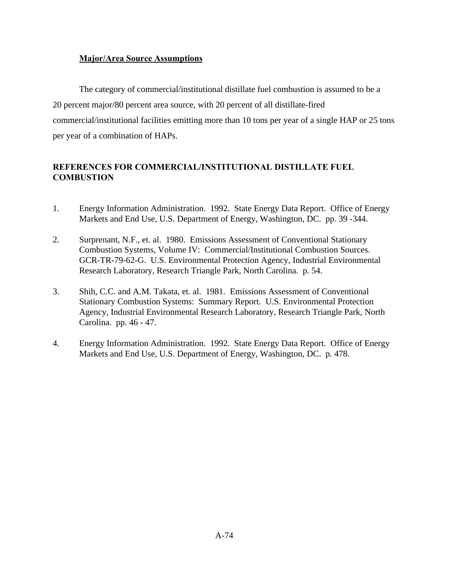## **Major/Area Source Assumptions**

The category of commercial/institutional distillate fuel combustion is assumed to be a 20 percent major/80 percent area source, with 20 percent of all distillate-fired commercial/institutional facilities emitting more than 10 tons per year of a single HAP or 25 tons per year of a combination of HAPs.

# **REFERENCES FOR COMMERCIAL/INSTITUTIONAL DISTILLATE FUEL COMBUSTION**

- 1. Energy Information Administration. 1992. State Energy Data Report. Office of Energy Markets and End Use, U.S. Department of Energy, Washington, DC. pp. 39 -344.
- 2. Surprenant, N.F., et. al. 1980. Emissions Assessment of Conventional Stationary Combustion Systems, Volume IV: Commercial/Institutional Combustion Sources. GCR-TR-79-62-G. U.S. Environmental Protection Agency, Industrial Environmental Research Laboratory, Research Triangle Park, North Carolina. p. 54.
- 3. Shih, C.C. and A.M. Takata, et. al. 1981. Emissions Assessment of Conventional Stationary Combustion Systems: Summary Report. U.S. Environmental Protection Agency, Industrial Environmental Research Laboratory, Research Triangle Park, North Carolina. pp. 46 - 47.
- 4. Energy Information Administration. 1992. State Energy Data Report. Office of Energy Markets and End Use, U.S. Department of Energy, Washington, DC. p. 478.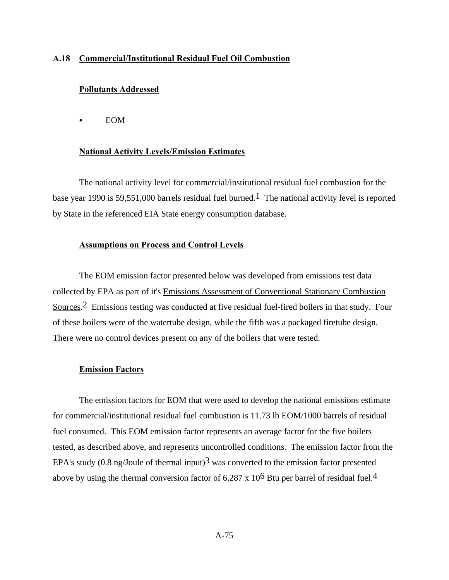### **A.18 Commercial/Institutional Residual Fuel Oil Combustion**

### **Pollutants Addressed**

 $\bullet$  EOM

### **National Activity Levels/Emission Estimates**

The national activity level for commercial/institutional residual fuel combustion for the base year 1990 is 59,551,000 barrels residual fuel burned.<sup>1</sup> The national activity level is reported by State in the referenced EIA State energy consumption database.

### **Assumptions on Process and Control Levels**

The EOM emission factor presented below was developed from emissions test data collected by EPA as part of it's Emissions Assessment of Conventional Stationary Combustion Sources.2 Emissions testing was conducted at five residual fuel-fired boilers in that study. Four of these boilers were of the watertube design, while the fifth was a packaged firetube design. There were no control devices present on any of the boilers that were tested.

#### **Emission Factors**

The emission factors for EOM that were used to develop the national emissions estimate for commercial/institutional residual fuel combustion is 11.73 lb EOM/1000 barrels of residual fuel consumed. This EOM emission factor represents an average factor for the five boilers tested, as described above, and represents uncontrolled conditions. The emission factor from the EPA's study (0.8 ng/Joule of thermal input)<sup>3</sup> was converted to the emission factor presented above by using the thermal conversion factor of  $6.287 \times 10^6$  Btu per barrel of residual fuel.<sup>4</sup>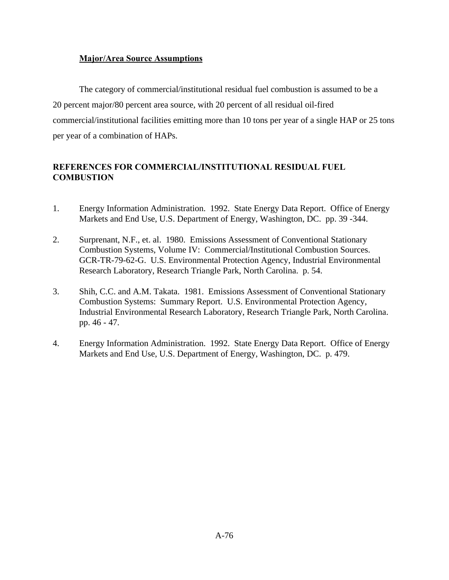## **Major/Area Source Assumptions**

The category of commercial/institutional residual fuel combustion is assumed to be a 20 percent major/80 percent area source, with 20 percent of all residual oil-fired commercial/institutional facilities emitting more than 10 tons per year of a single HAP or 25 tons per year of a combination of HAPs.

# **REFERENCES FOR COMMERCIAL/INSTITUTIONAL RESIDUAL FUEL COMBUSTION**

- 1. Energy Information Administration. 1992. State Energy Data Report. Office of Energy Markets and End Use, U.S. Department of Energy, Washington, DC. pp. 39 -344.
- 2. Surprenant, N.F., et. al. 1980. Emissions Assessment of Conventional Stationary Combustion Systems, Volume IV: Commercial/Institutional Combustion Sources. GCR-TR-79-62-G. U.S. Environmental Protection Agency, Industrial Environmental Research Laboratory, Research Triangle Park, North Carolina. p. 54.
- 3. Shih, C.C. and A.M. Takata. 1981. Emissions Assessment of Conventional Stationary Combustion Systems: Summary Report. U.S. Environmental Protection Agency, Industrial Environmental Research Laboratory, Research Triangle Park, North Carolina. pp. 46 - 47.
- 4. Energy Information Administration. 1992. State Energy Data Report. Office of Energy Markets and End Use, U.S. Department of Energy, Washington, DC. p. 479.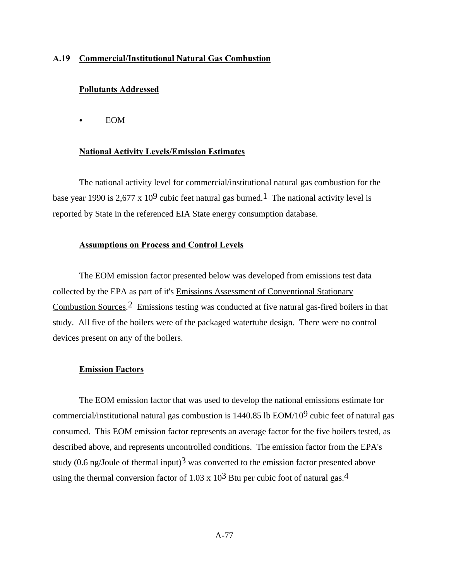### **A.19 Commercial/Institutional Natural Gas Combustion**

### **Pollutants Addressed**

 $\bullet$  EOM

#### **National Activity Levels/Emission Estimates**

The national activity level for commercial/institutional natural gas combustion for the base year 1990 is 2,677 x 10<sup>9</sup> cubic feet natural gas burned.<sup>1</sup> The national activity level is reported by State in the referenced EIA State energy consumption database.

### **Assumptions on Process and Control Levels**

The EOM emission factor presented below was developed from emissions test data collected by the EPA as part of it's Emissions Assessment of Conventional Stationary Combustion Sources.2 Emissions testing was conducted at five natural gas-fired boilers in that study. All five of the boilers were of the packaged watertube design. There were no control devices present on any of the boilers.

#### **Emission Factors**

The EOM emission factor that was used to develop the national emissions estimate for commercial/institutional natural gas combustion is  $1440.85$  lb EOM/10<sup>9</sup> cubic feet of natural gas consumed. This EOM emission factor represents an average factor for the five boilers tested, as described above, and represents uncontrolled conditions. The emission factor from the EPA's study (0.6 ng/Joule of thermal input)<sup>3</sup> was converted to the emission factor presented above using the thermal conversion factor of 1.03 x  $10^3$  Btu per cubic foot of natural gas.<sup>4</sup>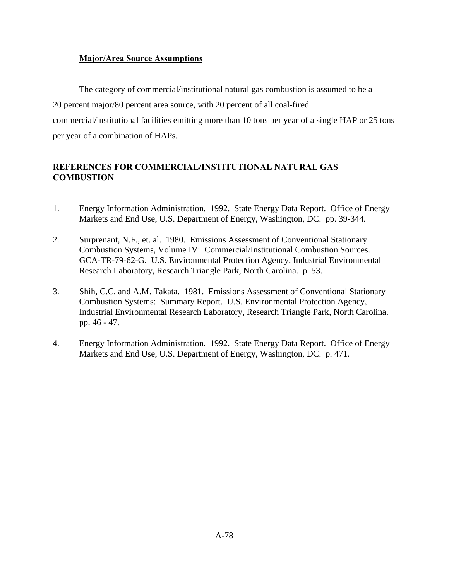## **Major/Area Source Assumptions**

The category of commercial/institutional natural gas combustion is assumed to be a 20 percent major/80 percent area source, with 20 percent of all coal-fired commercial/institutional facilities emitting more than 10 tons per year of a single HAP or 25 tons per year of a combination of HAPs.

# **REFERENCES FOR COMMERCIAL/INSTITUTIONAL NATURAL GAS COMBUSTION**

- 1. Energy Information Administration. 1992. State Energy Data Report. Office of Energy Markets and End Use, U.S. Department of Energy, Washington, DC. pp. 39-344.
- 2. Surprenant, N.F., et. al. 1980. Emissions Assessment of Conventional Stationary Combustion Systems, Volume IV: Commercial/Institutional Combustion Sources. GCA-TR-79-62-G. U.S. Environmental Protection Agency, Industrial Environmental Research Laboratory, Research Triangle Park, North Carolina. p. 53.
- 3. Shih, C.C. and A.M. Takata. 1981. Emissions Assessment of Conventional Stationary Combustion Systems: Summary Report. U.S. Environmental Protection Agency, Industrial Environmental Research Laboratory, Research Triangle Park, North Carolina. pp. 46 - 47.
- 4. Energy Information Administration. 1992. State Energy Data Report. Office of Energy Markets and End Use, U.S. Department of Energy, Washington, DC. p. 471.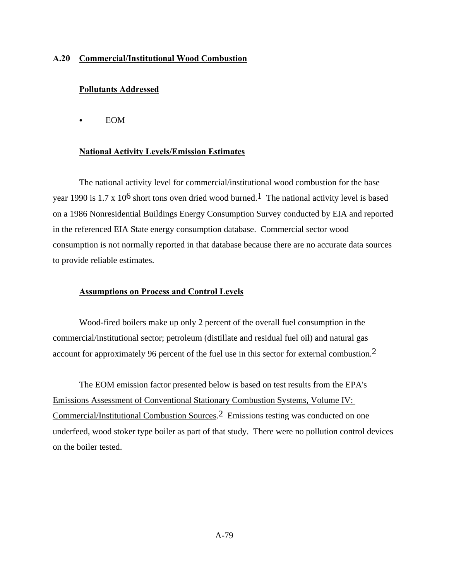### **A.20 Commercial/Institutional Wood Combustion**

## **Pollutants Addressed**

 $\bullet$  EOM

### **National Activity Levels/Emission Estimates**

The national activity level for commercial/institutional wood combustion for the base year 1990 is 1.7 x 10<sup>6</sup> short tons oven dried wood burned.<sup>1</sup> The national activity level is based on a 1986 Nonresidential Buildings Energy Consumption Survey conducted by EIA and reported in the referenced EIA State energy consumption database. Commercial sector wood consumption is not normally reported in that database because there are no accurate data sources to provide reliable estimates.

### **Assumptions on Process and Control Levels**

Wood-fired boilers make up only 2 percent of the overall fuel consumption in the commercial/institutional sector; petroleum (distillate and residual fuel oil) and natural gas account for approximately 96 percent of the fuel use in this sector for external combustion.2

The EOM emission factor presented below is based on test results from the EPA's Emissions Assessment of Conventional Stationary Combustion Systems, Volume IV: Commercial/Institutional Combustion Sources.2 Emissions testing was conducted on one underfeed, wood stoker type boiler as part of that study. There were no pollution control devices on the boiler tested.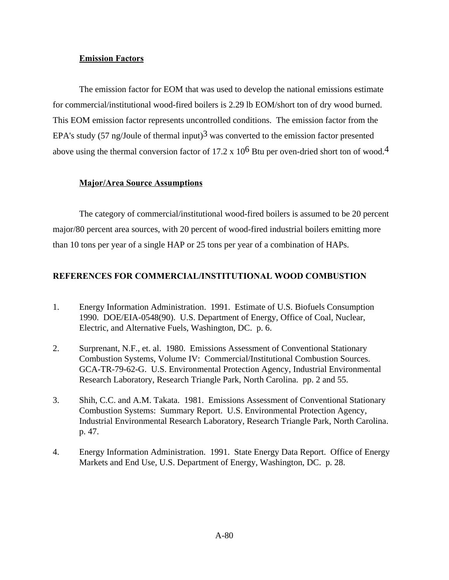### **Emission Factors**

The emission factor for EOM that was used to develop the national emissions estimate for commercial/institutional wood-fired boilers is 2.29 lb EOM/short ton of dry wood burned. This EOM emission factor represents uncontrolled conditions. The emission factor from the EPA's study (57 ng/Joule of thermal input)<sup>3</sup> was converted to the emission factor presented above using the thermal conversion factor of 17.2 x  $10^6$  Btu per oven-dried short ton of wood.<sup>4</sup>

## **Major/Area Source Assumptions**

The category of commercial/institutional wood-fired boilers is assumed to be 20 percent major/80 percent area sources, with 20 percent of wood-fired industrial boilers emitting more than 10 tons per year of a single HAP or 25 tons per year of a combination of HAPs.

# **REFERENCES FOR COMMERCIAL/INSTITUTIONAL WOOD COMBUSTION**

- 1. Energy Information Administration. 1991. Estimate of U.S. Biofuels Consumption 1990. DOE/EIA-0548(90). U.S. Department of Energy, Office of Coal, Nuclear, Electric, and Alternative Fuels, Washington, DC. p. 6.
- 2. Surprenant, N.F., et. al. 1980. Emissions Assessment of Conventional Stationary Combustion Systems, Volume IV: Commercial/Institutional Combustion Sources. GCA-TR-79-62-G. U.S. Environmental Protection Agency, Industrial Environmental Research Laboratory, Research Triangle Park, North Carolina. pp. 2 and 55.
- 3. Shih, C.C. and A.M. Takata. 1981. Emissions Assessment of Conventional Stationary Combustion Systems: Summary Report. U.S. Environmental Protection Agency, Industrial Environmental Research Laboratory, Research Triangle Park, North Carolina. p. 47.
- 4. Energy Information Administration. 1991. State Energy Data Report. Office of Energy Markets and End Use, U.S. Department of Energy, Washington, DC. p. 28.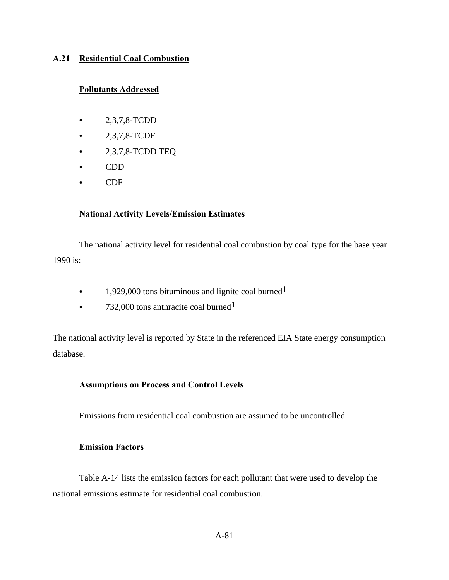## **A.21 Residential Coal Combustion**

## **Pollutants Addressed**

- $-2,3,7,8$ -TCDD
- $2,3,7,8$ -TCDF
- $\bullet$  2,3,7,8-TCDD TEQ
- $\bullet$  CDD
- $\bullet$  CDF

# **National Activity Levels/Emission Estimates**

The national activity level for residential coal combustion by coal type for the base year 1990 is:

- $\cdot$  1,929,000 tons bituminous and lignite coal burned<sup>1</sup>
- 732,000 tons anthracite coal burned<sup>1</sup>

The national activity level is reported by State in the referenced EIA State energy consumption database.

# **Assumptions on Process and Control Levels**

Emissions from residential coal combustion are assumed to be uncontrolled.

## **Emission Factors**

Table A-14 lists the emission factors for each pollutant that were used to develop the national emissions estimate for residential coal combustion.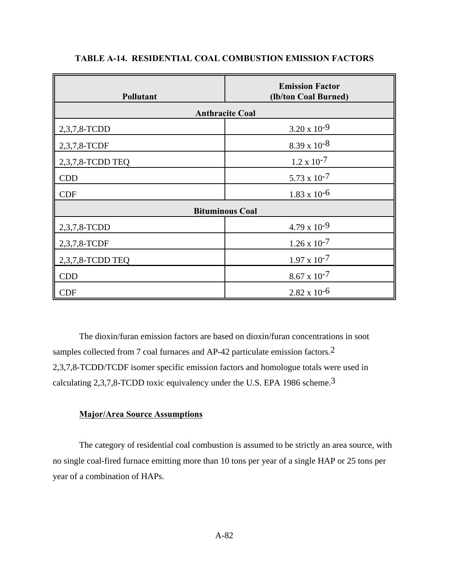| Pollutant              | <b>Emission Factor</b><br>(lb/ton Coal Burned) |  |  |
|------------------------|------------------------------------------------|--|--|
| <b>Anthracite Coal</b> |                                                |  |  |
| 2,3,7,8-TCDD           | $3.20 \times 10^{-9}$                          |  |  |
| 2,3,7,8-TCDF           | $8.39 \times 10^{-8}$                          |  |  |
| 2,3,7,8-TCDD TEQ       | $1.2 \times 10^{-7}$                           |  |  |
| <b>CDD</b>             | $5.73 \times 10^{-7}$                          |  |  |
| <b>CDF</b>             | $1.83 \times 10^{-6}$                          |  |  |
| <b>Bituminous Coal</b> |                                                |  |  |
| 2,3,7,8-TCDD           | $4.79 \times 10^{-9}$                          |  |  |
| 2,3,7,8-TCDF           | $1.26 \times 10^{-7}$                          |  |  |
| 2,3,7,8-TCDD TEQ       | $1.97 \times 10^{-7}$                          |  |  |
| <b>CDD</b>             | $8.67 \times 10^{-7}$                          |  |  |
| <b>CDF</b>             | $2.82 \times 10^{-6}$                          |  |  |

# **TABLE A-14. RESIDENTIAL COAL COMBUSTION EMISSION FACTORS**

The dioxin/furan emission factors are based on dioxin/furan concentrations in soot samples collected from 7 coal furnaces and AP-42 particulate emission factors.<sup>2</sup> 2,3,7,8-TCDD/TCDF isomer specific emission factors and homologue totals were used in calculating 2,3,7,8-TCDD toxic equivalency under the U.S. EPA 1986 scheme.3

## **Major/Area Source Assumptions**

The category of residential coal combustion is assumed to be strictly an area source, with no single coal-fired furnace emitting more than 10 tons per year of a single HAP or 25 tons per year of a combination of HAPs.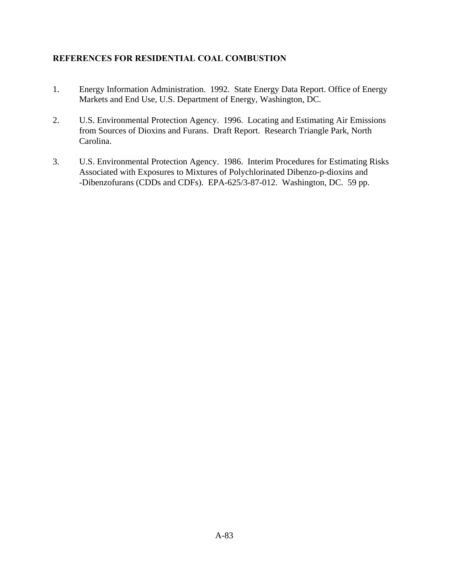# **REFERENCES FOR RESIDENTIAL COAL COMBUSTION**

- 1. Energy Information Administration. 1992. State Energy Data Report. Office of Energy Markets and End Use, U.S. Department of Energy, Washington, DC.
- 2. U.S. Environmental Protection Agency. 1996. Locating and Estimating Air Emissions from Sources of Dioxins and Furans. Draft Report. Research Triangle Park, North Carolina.
- 3. U.S. Environmental Protection Agency. 1986. Interim Procedures for Estimating Risks Associated with Exposures to Mixtures of Polychlorinated Dibenzo-p-dioxins and -Dibenzofurans (CDDs and CDFs). EPA-625/3-87-012. Washington, DC. 59 pp.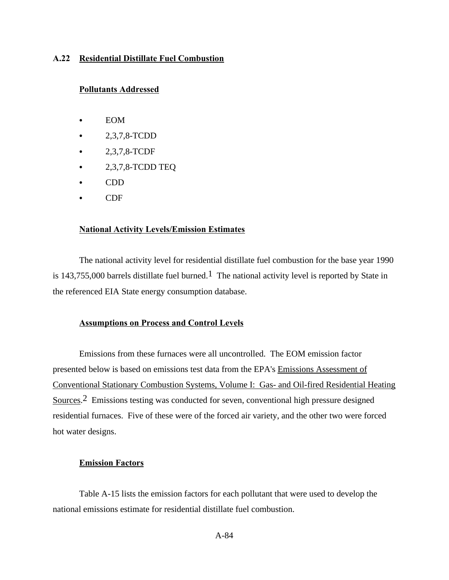### **A.22 Residential Distillate Fuel Combustion**

### **Pollutants Addressed**

- $\bullet$  EOM
- C 2,3,7,8-TCDD
- $2,3,7,8$ -TCDF
- $\bullet$  2,3,7,8-TCDD TEQ
- $\bullet$  CDD
- $\bullet$  CDF

### **National Activity Levels/Emission Estimates**

The national activity level for residential distillate fuel combustion for the base year 1990 is 143,755,000 barrels distillate fuel burned.<sup>1</sup> The national activity level is reported by State in the referenced EIA State energy consumption database.

## **Assumptions on Process and Control Levels**

Emissions from these furnaces were all uncontrolled. The EOM emission factor presented below is based on emissions test data from the EPA's Emissions Assessment of Conventional Stationary Combustion Systems, Volume I: Gas- and Oil-fired Residential Heating Sources.2 Emissions testing was conducted for seven, conventional high pressure designed residential furnaces. Five of these were of the forced air variety, and the other two were forced hot water designs.

### **Emission Factors**

Table A-15 lists the emission factors for each pollutant that were used to develop the national emissions estimate for residential distillate fuel combustion.

A-84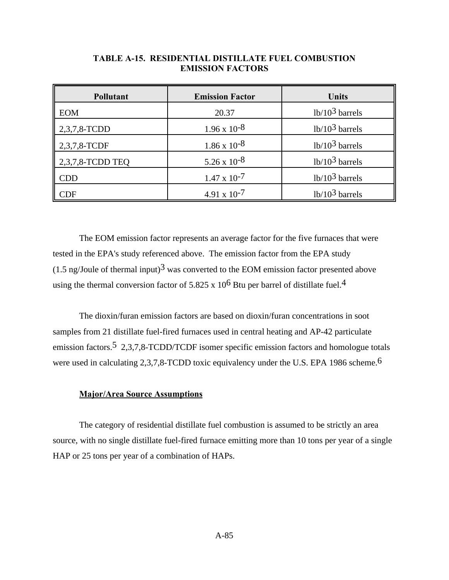| <b>Pollutant</b>            | <b>Emission Factor</b> | Units            |
|-----------------------------|------------------------|------------------|
| <b>EOM</b>                  | 20.37                  | $1b/103$ barrels |
| 2,3,7,8-TCDD                | $1.96 \times 10^{-8}$  | $1b/103$ barrels |
| 2,3,7,8-TCDF                | $1.86 \times 10^{-8}$  | $1b/103$ barrels |
| 2,3,7,8-TCDD TEQ            | $5.26 \times 10^{-8}$  | $1b/103$ barrels |
| <b>CDD</b>                  | $1.47 \times 10^{-7}$  | $1b/103$ barrels |
| $\mathop{\rm CDF}\nolimits$ | $4.91 \times 10^{-7}$  | $1b/103$ barrels |

## **TABLE A-15. RESIDENTIAL DISTILLATE FUEL COMBUSTION EMISSION FACTORS**

The EOM emission factor represents an average factor for the five furnaces that were tested in the EPA's study referenced above. The emission factor from the EPA study  $(1.5 \text{ ng/Joule of thermal input})^3$  was converted to the EOM emission factor presented above using the thermal conversion factor of 5.825 x  $10^6$  Btu per barrel of distillate fuel.<sup>4</sup>

The dioxin/furan emission factors are based on dioxin/furan concentrations in soot samples from 21 distillate fuel-fired furnaces used in central heating and AP-42 particulate emission factors.<sup>5</sup> 2,3,7,8-TCDD/TCDF isomer specific emission factors and homologue totals were used in calculating 2,3,7,8-TCDD toxic equivalency under the U.S. EPA 1986 scheme.<sup>6</sup>

## **Major/Area Source Assumptions**

The category of residential distillate fuel combustion is assumed to be strictly an area source, with no single distillate fuel-fired furnace emitting more than 10 tons per year of a single HAP or 25 tons per year of a combination of HAPs.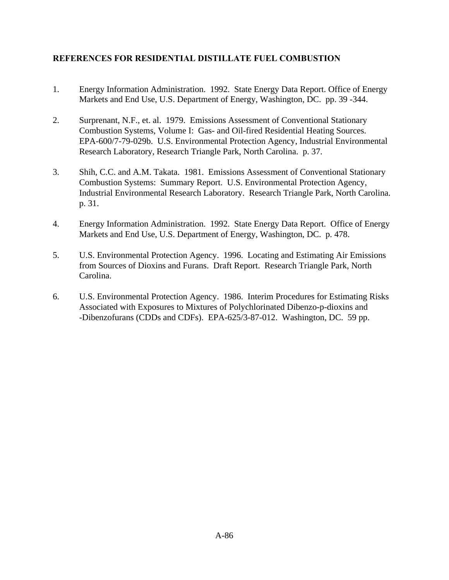# **REFERENCES FOR RESIDENTIAL DISTILLATE FUEL COMBUSTION**

- 1. Energy Information Administration. 1992. State Energy Data Report. Office of Energy Markets and End Use, U.S. Department of Energy, Washington, DC. pp. 39 -344.
- 2. Surprenant, N.F., et. al. 1979. Emissions Assessment of Conventional Stationary Combustion Systems, Volume I: Gas- and Oil-fired Residential Heating Sources. EPA-600/7-79-029b. U.S. Environmental Protection Agency, Industrial Environmental Research Laboratory, Research Triangle Park, North Carolina. p. 37.
- 3. Shih, C.C. and A.M. Takata. 1981. Emissions Assessment of Conventional Stationary Combustion Systems: Summary Report. U.S. Environmental Protection Agency, Industrial Environmental Research Laboratory. Research Triangle Park, North Carolina. p. 31.
- 4. Energy Information Administration. 1992. State Energy Data Report. Office of Energy Markets and End Use, U.S. Department of Energy, Washington, DC. p. 478.
- 5. U.S. Environmental Protection Agency. 1996. Locating and Estimating Air Emissions from Sources of Dioxins and Furans. Draft Report. Research Triangle Park, North Carolina.
- 6. U.S. Environmental Protection Agency. 1986. Interim Procedures for Estimating Risks Associated with Exposures to Mixtures of Polychlorinated Dibenzo-p-dioxins and -Dibenzofurans (CDDs and CDFs). EPA-625/3-87-012. Washington, DC. 59 pp.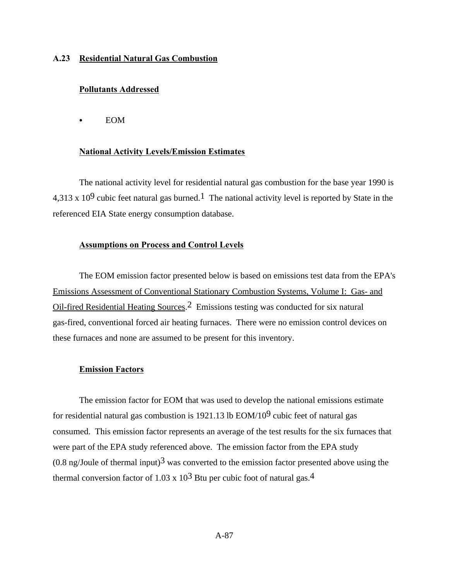### **A.23 Residential Natural Gas Combustion**

### **Pollutants Addressed**

 $\bullet$  EOM

### **National Activity Levels/Emission Estimates**

The national activity level for residential natural gas combustion for the base year 1990 is 4,313 x 10<sup>9</sup> cubic feet natural gas burned.<sup>1</sup> The national activity level is reported by State in the referenced EIA State energy consumption database.

### **Assumptions on Process and Control Levels**

The EOM emission factor presented below is based on emissions test data from the EPA's Emissions Assessment of Conventional Stationary Combustion Systems, Volume I: Gas- and Oil-fired Residential Heating Sources.2 Emissions testing was conducted for six natural gas-fired, conventional forced air heating furnaces. There were no emission control devices on these furnaces and none are assumed to be present for this inventory.

#### **Emission Factors**

The emission factor for EOM that was used to develop the national emissions estimate for residential natural gas combustion is 1921.13 lb  $EOM/10^9$  cubic feet of natural gas consumed. This emission factor represents an average of the test results for the six furnaces that were part of the EPA study referenced above. The emission factor from the EPA study  $(0.8 \text{ ng/Joule of thermal input})^3$  was converted to the emission factor presented above using the thermal conversion factor of 1.03 x  $10^3$  Btu per cubic foot of natural gas.<sup>4</sup>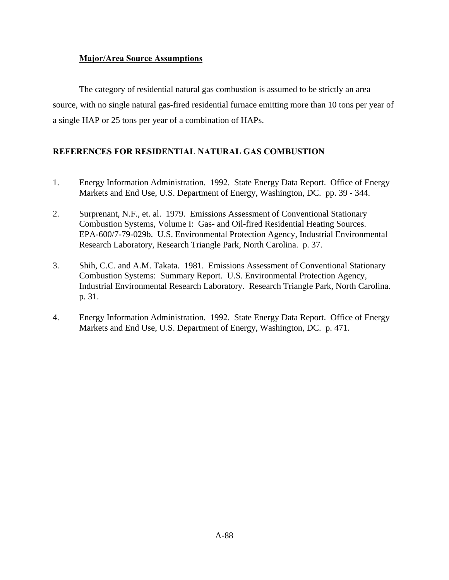## **Major/Area Source Assumptions**

The category of residential natural gas combustion is assumed to be strictly an area source, with no single natural gas-fired residential furnace emitting more than 10 tons per year of a single HAP or 25 tons per year of a combination of HAPs.

# **REFERENCES FOR RESIDENTIAL NATURAL GAS COMBUSTION**

- 1. Energy Information Administration. 1992. State Energy Data Report. Office of Energy Markets and End Use, U.S. Department of Energy, Washington, DC. pp. 39 - 344.
- 2. Surprenant, N.F., et. al. 1979. Emissions Assessment of Conventional Stationary Combustion Systems, Volume I: Gas- and Oil-fired Residential Heating Sources. EPA-600/7-79-029b. U.S. Environmental Protection Agency, Industrial Environmental Research Laboratory, Research Triangle Park, North Carolina. p. 37.
- 3. Shih, C.C. and A.M. Takata. 1981. Emissions Assessment of Conventional Stationary Combustion Systems: Summary Report. U.S. Environmental Protection Agency, Industrial Environmental Research Laboratory. Research Triangle Park, North Carolina. p. 31.
- 4. Energy Information Administration. 1992. State Energy Data Report. Office of Energy Markets and End Use, U.S. Department of Energy, Washington, DC. p. 471.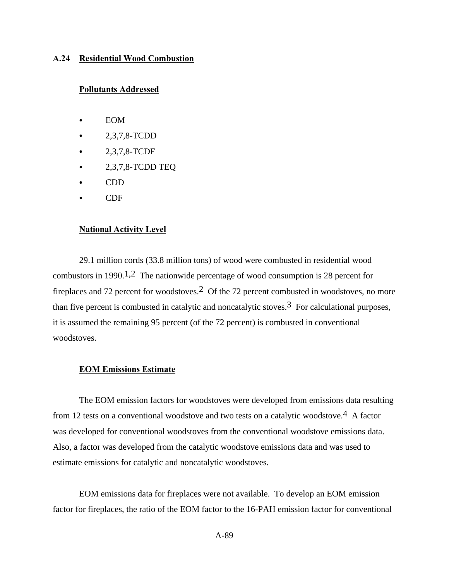### **A.24 Residential Wood Combustion**

### **Pollutants Addressed**

- **EOM**
- C 2,3,7,8-TCDD
- $2,3,7,8$ -TCDF
- $\bullet$  2,3,7,8-TCDD TEQ
- C CDD
- C<sub>DF</sub>

### **National Activity Level**

29.1 million cords (33.8 million tons) of wood were combusted in residential wood combustors in 1990.<sup>1,2</sup> The nationwide percentage of wood consumption is 28 percent for fireplaces and 72 percent for woodstoves.2 Of the 72 percent combusted in woodstoves, no more than five percent is combusted in catalytic and noncatalytic stoves.<sup>3</sup> For calculational purposes, it is assumed the remaining 95 percent (of the 72 percent) is combusted in conventional woodstoves.

#### **EOM Emissions Estimate**

The EOM emission factors for woodstoves were developed from emissions data resulting from 12 tests on a conventional woodstove and two tests on a catalytic woodstove.<sup>4</sup> A factor was developed for conventional woodstoves from the conventional woodstove emissions data. Also, a factor was developed from the catalytic woodstove emissions data and was used to estimate emissions for catalytic and noncatalytic woodstoves.

EOM emissions data for fireplaces were not available. To develop an EOM emission factor for fireplaces, the ratio of the EOM factor to the 16-PAH emission factor for conventional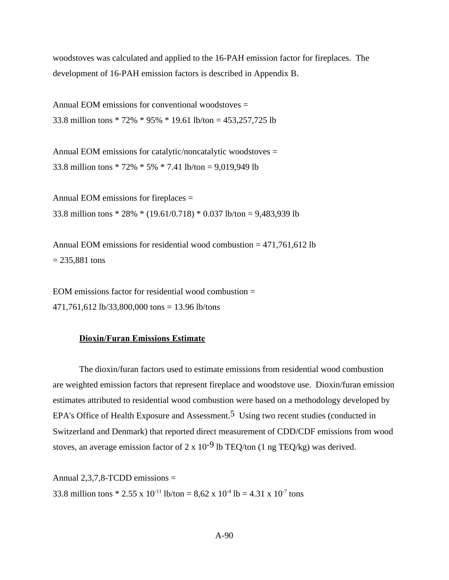woodstoves was calculated and applied to the 16-PAH emission factor for fireplaces. The development of 16-PAH emission factors is described in Appendix B.

Annual EOM emissions for conventional woodstoves = 33.8 million tons \* 72% \* 95% \* 19.61 lb/ton = 453,257,725 lb

Annual EOM emissions for catalytic/noncatalytic woodstoves = 33.8 million tons \* 72% \* 5% \* 7.41 lb/ton = 9,019,949 lb

Annual EOM emissions for fireplaces = 33.8 million tons \* 28% \* (19.61/0.718) \* 0.037 lb/ton = 9,483,939 lb

Annual EOM emissions for residential wood combustion = 471,761,612 lb  $= 235,881 \text{ tons}$ 

EOM emissions factor for residential wood combustion  $=$ 471,761,612 lb/33,800,000 tons = 13.96 lb/tons

### **Dioxin/Furan Emissions Estimate**

The dioxin/furan factors used to estimate emissions from residential wood combustion are weighted emission factors that represent fireplace and woodstove use. Dioxin/furan emission estimates attributed to residential wood combustion were based on a methodology developed by EPA's Office of Health Exposure and Assessment.<sup>5</sup> Using two recent studies (conducted in Switzerland and Denmark) that reported direct measurement of CDD/CDF emissions from wood stoves, an average emission factor of  $2 \times 10^{-9}$  lb TEQ/ton (1 ng TEQ/kg) was derived.

Annual 2,3,7,8-TCDD emissions = 33.8 million tons \* 2.55 x 10<sup>-11</sup> lb/ton = 8,62 x 10<sup>-4</sup> lb = 4.31 x 10<sup>-7</sup> tons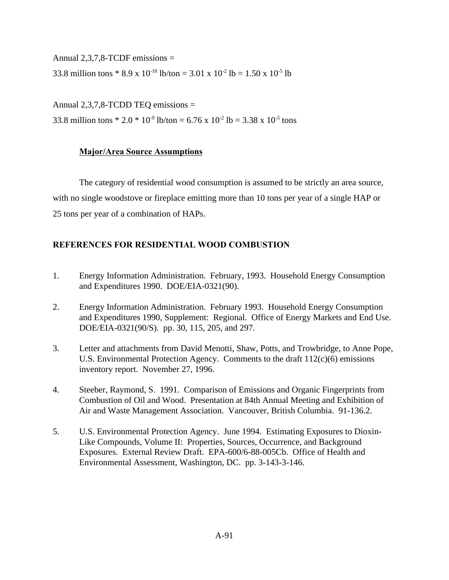Annual  $2.3.7.8$ -TCDF emissions  $=$ 

33.8 million tons \* 8.9 x 10<sup>-10</sup> lb/ton = 3.01 x 10<sup>-2</sup> lb = 1.50 x 10<sup>-5</sup> lb

Annual 2,3,7,8-TCDD TEQ emissions = 33.8 million tons \* 2.0 \* 10<sup>-9</sup> lb/ton = 6.76 x 10<sup>-2</sup> lb = 3.38 x 10<sup>-5</sup> tons

## **Major/Area Source Assumptions**

The category of residential wood consumption is assumed to be strictly an area source, with no single woodstove or fireplace emitting more than 10 tons per year of a single HAP or 25 tons per year of a combination of HAPs.

# **REFERENCES FOR RESIDENTIAL WOOD COMBUSTION**

- 1. Energy Information Administration. February, 1993. Household Energy Consumption and Expenditures 1990. DOE/EIA-0321(90).
- 2. Energy Information Administration. February 1993. Household Energy Consumption and Expenditures 1990, Supplement: Regional. Office of Energy Markets and End Use. DOE/EIA-0321(90/S). pp. 30, 115, 205, and 297.
- 3. Letter and attachments from David Menotti, Shaw, Potts, and Trowbridge, to Anne Pope, U.S. Environmental Protection Agency. Comments to the draft  $112(c)(6)$  emissions inventory report. November 27, 1996.
- 4. Steeber, Raymond, S. 1991. Comparison of Emissions and Organic Fingerprints from Combustion of Oil and Wood. Presentation at 84th Annual Meeting and Exhibition of Air and Waste Management Association. Vancouver, British Columbia. 91-136.2.
- 5. U.S. Environmental Protection Agency. June 1994. Estimating Exposures to Dioxin-Like Compounds, Volume II: Properties, Sources, Occurrence, and Background Exposures. External Review Draft. EPA-600/6-88-005Cb. Office of Health and Environmental Assessment, Washington, DC. pp. 3-143-3-146.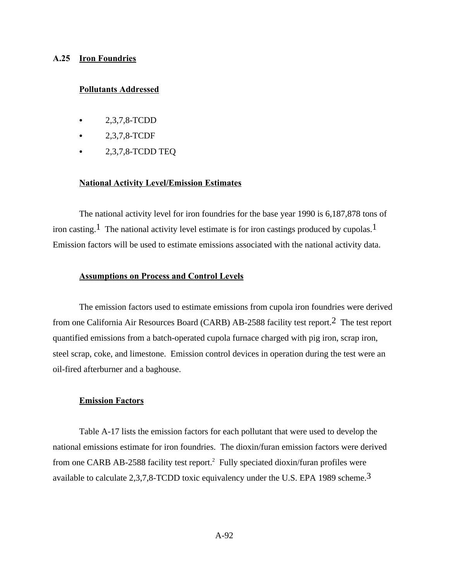### **A.25 Iron Foundries**

### **Pollutants Addressed**

- C 2,3,7,8-TCDD
- 2,3,7,8-TCDF
- $\bullet$  2,3,7,8-TCDD TEQ

### **National Activity Level/Emission Estimates**

The national activity level for iron foundries for the base year 1990 is 6,187,878 tons of iron casting.<sup>1</sup> The national activity level estimate is for iron castings produced by cupolas.<sup>1</sup> Emission factors will be used to estimate emissions associated with the national activity data.

### **Assumptions on Process and Control Levels**

The emission factors used to estimate emissions from cupola iron foundries were derived from one California Air Resources Board (CARB) AB-2588 facility test report.2 The test report quantified emissions from a batch-operated cupola furnace charged with pig iron, scrap iron, steel scrap, coke, and limestone. Emission control devices in operation during the test were an oil-fired afterburner and a baghouse.

### **Emission Factors**

Table A-17 lists the emission factors for each pollutant that were used to develop the national emissions estimate for iron foundries. The dioxin/furan emission factors were derived from one CARB AB-2588 facility test report.<sup>2</sup> Fully speciated dioxin/furan profiles were available to calculate 2,3,7,8-TCDD toxic equivalency under the U.S. EPA 1989 scheme.3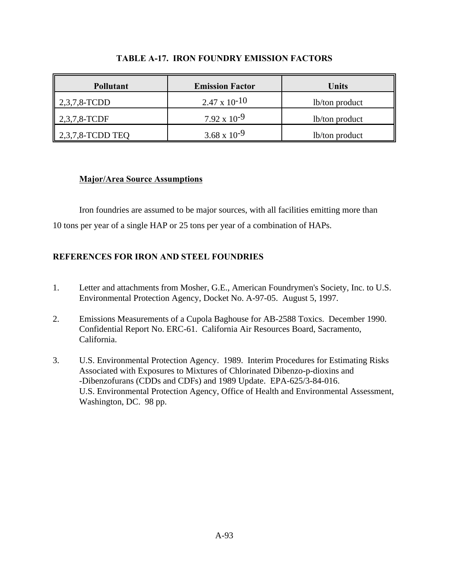| <b>Pollutant</b>             | <b>Emission Factor</b> | Units          |
|------------------------------|------------------------|----------------|
| $\parallel 2,3,7,8$ -TCDD    | $2.47 \times 10^{-10}$ | lb/ton product |
| $\parallel$ 2,3,7,8-TCDF     | $7.92 \times 10^{-9}$  | lb/ton product |
| $\parallel$ 2,3,7,8-TCDD TEQ | $3.68 \times 10^{-9}$  | lb/ton product |

## **TABLE A-17. IRON FOUNDRY EMISSION FACTORS**

## **Major/Area Source Assumptions**

Iron foundries are assumed to be major sources, with all facilities emitting more than 10 tons per year of a single HAP or 25 tons per year of a combination of HAPs.

# **REFERENCES FOR IRON AND STEEL FOUNDRIES**

- 1. Letter and attachments from Mosher, G.E., American Foundrymen's Society, Inc. to U.S. Environmental Protection Agency, Docket No. A-97-05. August 5, 1997.
- 2. Emissions Measurements of a Cupola Baghouse for AB-2588 Toxics. December 1990. Confidential Report No. ERC-61. California Air Resources Board, Sacramento, California.
- 3. U.S. Environmental Protection Agency. 1989. Interim Procedures for Estimating Risks Associated with Exposures to Mixtures of Chlorinated Dibenzo-p-dioxins and -Dibenzofurans (CDDs and CDFs) and 1989 Update. EPA-625/3-84-016. U.S. Environmental Protection Agency, Office of Health and Environmental Assessment, Washington, DC. 98 pp.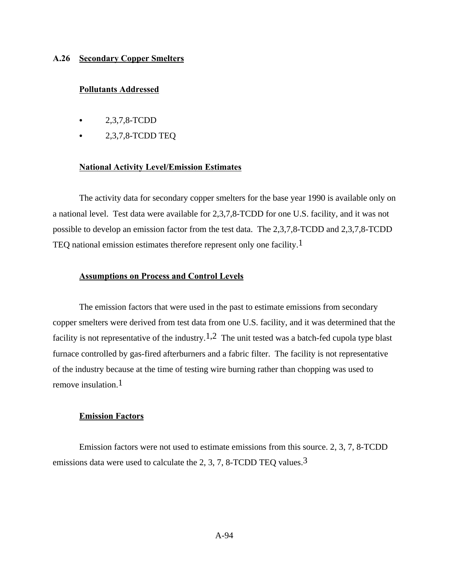### **A.26 Secondary Copper Smelters**

### **Pollutants Addressed**

- C 2,3,7,8-TCDD
- 2,3,7,8-TCDD TEQ

### **National Activity Level/Emission Estimates**

The activity data for secondary copper smelters for the base year 1990 is available only on a national level. Test data were available for 2,3,7,8-TCDD for one U.S. facility, and it was not possible to develop an emission factor from the test data. The 2,3,7,8-TCDD and 2,3,7,8-TCDD TEQ national emission estimates therefore represent only one facility.1

### **Assumptions on Process and Control Levels**

The emission factors that were used in the past to estimate emissions from secondary copper smelters were derived from test data from one U.S. facility, and it was determined that the facility is not representative of the industry.<sup>1,2</sup> The unit tested was a batch-fed cupola type blast furnace controlled by gas-fired afterburners and a fabric filter. The facility is not representative of the industry because at the time of testing wire burning rather than chopping was used to remove insulation.  $1$ 

### **Emission Factors**

Emission factors were not used to estimate emissions from this source. 2, 3, 7, 8-TCDD emissions data were used to calculate the 2, 3, 7, 8-TCDD TEQ values.<sup>3</sup>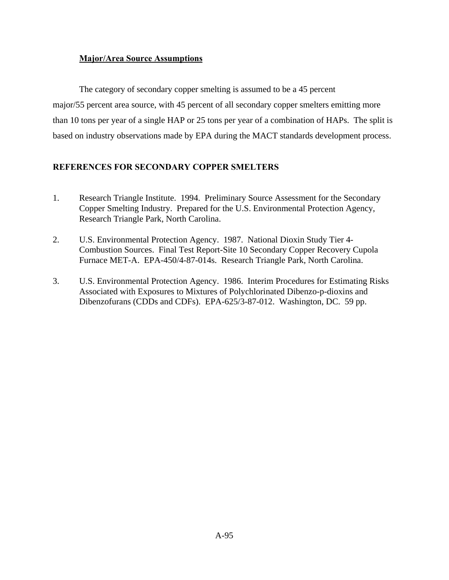## **Major/Area Source Assumptions**

The category of secondary copper smelting is assumed to be a 45 percent major/55 percent area source, with 45 percent of all secondary copper smelters emitting more than 10 tons per year of a single HAP or 25 tons per year of a combination of HAPs. The split is based on industry observations made by EPA during the MACT standards development process.

# **REFERENCES FOR SECONDARY COPPER SMELTERS**

- 1. Research Triangle Institute. 1994. Preliminary Source Assessment for the Secondary Copper Smelting Industry. Prepared for the U.S. Environmental Protection Agency, Research Triangle Park, North Carolina.
- 2. U.S. Environmental Protection Agency. 1987. National Dioxin Study Tier 4- Combustion Sources. Final Test Report-Site 10 Secondary Copper Recovery Cupola Furnace MET-A. EPA-450/4-87-014s. Research Triangle Park, North Carolina.
- 3. U.S. Environmental Protection Agency. 1986. Interim Procedures for Estimating Risks Associated with Exposures to Mixtures of Polychlorinated Dibenzo-p-dioxins and Dibenzofurans (CDDs and CDFs). EPA-625/3-87-012. Washington, DC. 59 pp.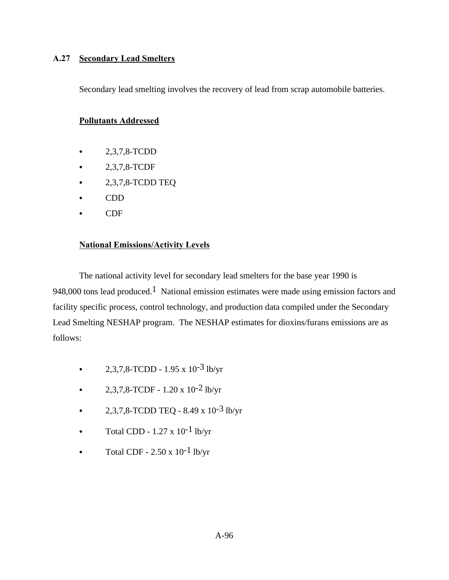# **A.27 Secondary Lead Smelters**

Secondary lead smelting involves the recovery of lead from scrap automobile batteries.

## **Pollutants Addressed**

- $2,3,7,8$ -TCDD
- $-2,3,7,8$ -TCDF
- $\bullet$  2,3,7,8-TCDD TEQ
- $\bullet$  CDD
- $\bullet$  CDF

## **National Emissions/Activity Levels**

The national activity level for secondary lead smelters for the base year 1990 is 948,000 tons lead produced.<sup>1</sup> National emission estimates were made using emission factors and facility specific process, control technology, and production data compiled under the Secondary Lead Smelting NESHAP program. The NESHAP estimates for dioxins/furans emissions are as follows:

- 2,3,7,8-TCDD 1.95 x  $10^{-3}$  lb/yr
- 2,3,7,8-TCDF 1.20 x  $10^{-2}$  lb/yr
- 2,3,7,8-TCDD TEQ 8.49 x  $10^{-3}$  lb/yr
- Total CDD  $1.27 \times 10^{-1}$  lb/yr
- Total CDF  $2.50 \times 10^{-1}$  lb/yr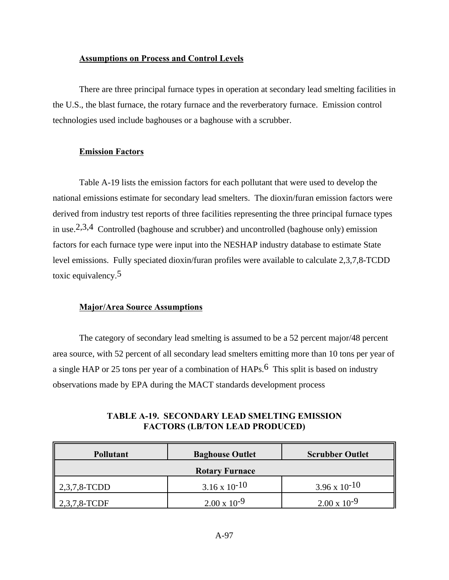### **Assumptions on Process and Control Levels**

There are three principal furnace types in operation at secondary lead smelting facilities in the U.S., the blast furnace, the rotary furnace and the reverberatory furnace. Emission control technologies used include baghouses or a baghouse with a scrubber.

### **Emission Factors**

Table A-19 lists the emission factors for each pollutant that were used to develop the national emissions estimate for secondary lead smelters. The dioxin/furan emission factors were derived from industry test reports of three facilities representing the three principal furnace types in use.<sup>2,3,4</sup> Controlled (baghouse and scrubber) and uncontrolled (baghouse only) emission factors for each furnace type were input into the NESHAP industry database to estimate State level emissions. Fully speciated dioxin/furan profiles were available to calculate 2,3,7,8-TCDD toxic equivalency.5

### **Major/Area Source Assumptions**

The category of secondary lead smelting is assumed to be a 52 percent major/48 percent area source, with 52 percent of all secondary lead smelters emitting more than 10 tons per year of a single HAP or 25 tons per year of a combination of  $HAPs$ .<sup>6</sup> This split is based on industry observations made by EPA during the MACT standards development process

| <b>Pollutant</b>          | <b>Baghouse Outlet</b> | <b>Scrubber Outlet</b> |  |
|---------------------------|------------------------|------------------------|--|
| <b>Rotary Furnace</b>     |                        |                        |  |
| $\parallel 2,3,7,8$ -TCDD | $3.16 \times 10^{-10}$ | $3.96 \times 10^{-10}$ |  |
| $\parallel$ 2,3,7,8-TCDF  | $2.00 \times 10^{-9}$  | $2.00 \times 10^{-9}$  |  |

## **TABLE A-19. SECONDARY LEAD SMELTING EMISSION FACTORS (LB/TON LEAD PRODUCED)**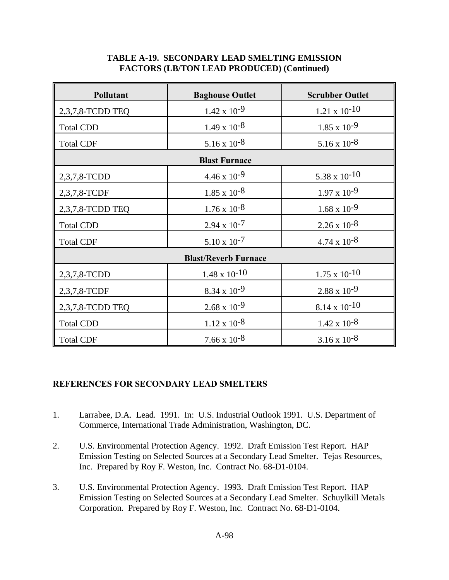# **TABLE A-19. SECONDARY LEAD SMELTING EMISSION FACTORS (LB/TON LEAD PRODUCED) (Continued)**

| Pollutant                   | <b>Baghouse Outlet</b> | <b>Scrubber Outlet</b> |  |
|-----------------------------|------------------------|------------------------|--|
| 2,3,7,8-TCDD TEQ            | $1.42 \times 10^{-9}$  | $1.21 \times 10^{-10}$ |  |
| <b>Total CDD</b>            | $1.49 \times 10^{-8}$  | $1.85 \times 10^{-9}$  |  |
| <b>Total CDF</b>            | $5.16 \times 10^{-8}$  | $5.16 \times 10^{-8}$  |  |
|                             | <b>Blast Furnace</b>   |                        |  |
| 2,3,7,8-TCDD                | $4.46 \times 10^{-9}$  | $5.38 \times 10^{-10}$ |  |
| 2,3,7,8-TCDF                | $1.85 \times 10^{-8}$  | $1.97 \times 10^{-9}$  |  |
| 2,3,7,8-TCDD TEQ            | $1.76 \times 10^{-8}$  | $1.68 \times 10^{-9}$  |  |
| <b>Total CDD</b>            | $2.94 \times 10^{-7}$  | $2.26 \times 10^{-8}$  |  |
| <b>Total CDF</b>            | $5.10 \times 10^{-7}$  | $4.74 \times 10^{-8}$  |  |
| <b>Blast/Reverb Furnace</b> |                        |                        |  |
| 2,3,7,8-TCDD                | $1.48 \times 10^{-10}$ | $1.75 \times 10^{-10}$ |  |
| 2,3,7,8-TCDF                | $8.34 \times 10^{-9}$  | $2.88 \times 10^{-9}$  |  |
| 2,3,7,8-TCDD TEQ            | $2.68 \times 10^{-9}$  | $8.14 \times 10^{-10}$ |  |
| <b>Total CDD</b>            | $1.12 \times 10^{-8}$  | $1.42 \times 10^{-8}$  |  |
| <b>Total CDF</b>            | $7.66 \times 10^{-8}$  | $3.16 \times 10^{-8}$  |  |

# **REFERENCES FOR SECONDARY LEAD SMELTERS**

- 1. Larrabee, D.A. Lead. 1991. In: U.S. Industrial Outlook 1991. U.S. Department of Commerce, International Trade Administration, Washington, DC.
- 2. U.S. Environmental Protection Agency. 1992. Draft Emission Test Report. HAP Emission Testing on Selected Sources at a Secondary Lead Smelter. Tejas Resources, Inc. Prepared by Roy F. Weston, Inc. Contract No. 68-D1-0104.
- 3. U.S. Environmental Protection Agency. 1993. Draft Emission Test Report. HAP Emission Testing on Selected Sources at a Secondary Lead Smelter. Schuylkill Metals Corporation. Prepared by Roy F. Weston, Inc. Contract No. 68-D1-0104.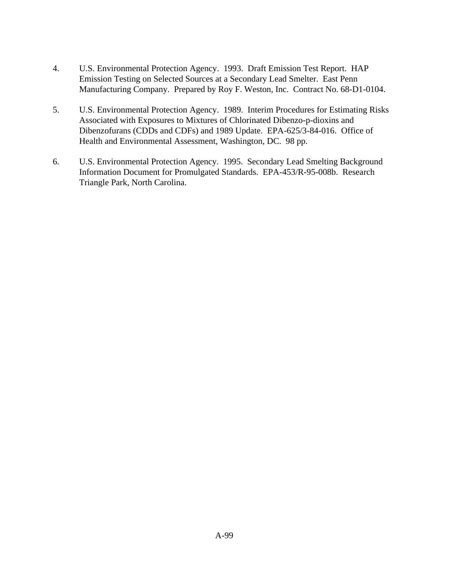- 4. U.S. Environmental Protection Agency. 1993. Draft Emission Test Report. HAP Emission Testing on Selected Sources at a Secondary Lead Smelter. East Penn Manufacturing Company. Prepared by Roy F. Weston, Inc. Contract No. 68-D1-0104.
- 5. U.S. Environmental Protection Agency. 1989. Interim Procedures for Estimating Risks Associated with Exposures to Mixtures of Chlorinated Dibenzo-p-dioxins and Dibenzofurans (CDDs and CDFs) and 1989 Update. EPA-625/3-84-016. Office of Health and Environmental Assessment, Washington, DC. 98 pp.
- 6. U.S. Environmental Protection Agency. 1995. Secondary Lead Smelting Background Information Document for Promulgated Standards. EPA-453/R-95-008b. Research Triangle Park, North Carolina.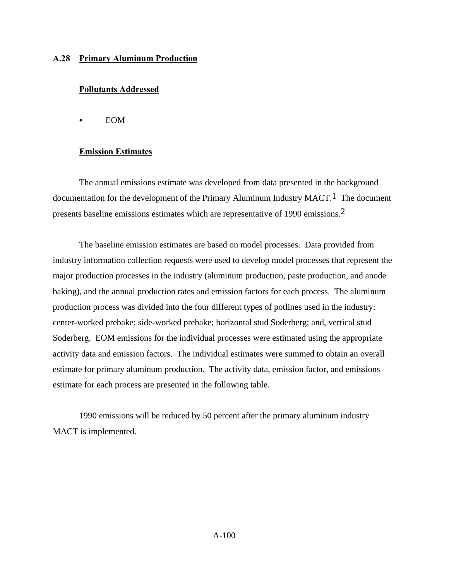### **A.28 Primary Aluminum Production**

### **Pollutants Addressed**

 $\bullet$  EOM

### **Emission Estimates**

The annual emissions estimate was developed from data presented in the background documentation for the development of the Primary Aluminum Industry MACT.<sup>1</sup> The document presents baseline emissions estimates which are representative of 1990 emissions.2

The baseline emission estimates are based on model processes. Data provided from industry information collection requests were used to develop model processes that represent the major production processes in the industry (aluminum production, paste production, and anode baking), and the annual production rates and emission factors for each process. The aluminum production process was divided into the four different types of potlines used in the industry: center-worked prebake; side-worked prebake; horizontal stud Soderberg; and, vertical stud Soderberg. EOM emissions for the individual processes were estimated using the appropriate activity data and emission factors. The individual estimates were summed to obtain an overall estimate for primary aluminum production. The activity data, emission factor, and emissions estimate for each process are presented in the following table.

1990 emissions will be reduced by 50 percent after the primary aluminum industry MACT is implemented.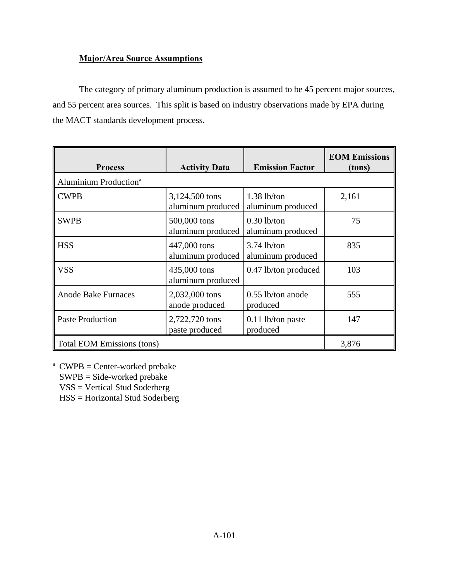# **Major/Area Source Assumptions**

The category of primary aluminum production is assumed to be 45 percent major sources, and 55 percent area sources. This split is based on industry observations made by EPA during the MACT standards development process.

| <b>Process</b>                    | <b>Activity Data</b>                | <b>Emission Factor</b>             | <b>EOM Emissions</b><br>(tons) |
|-----------------------------------|-------------------------------------|------------------------------------|--------------------------------|
| Aluminium Production <sup>a</sup> |                                     |                                    |                                |
| <b>CWPB</b>                       | 3,124,500 tons<br>aluminum produced | $1.38$ lb/ton<br>aluminum produced | 2,161                          |
| <b>SWPB</b>                       | 500,000 tons<br>aluminum produced   | $0.30$ lb/ton<br>aluminum produced | 75                             |
| <b>HSS</b>                        | 447,000 tons<br>aluminum produced   | $3.74$ lb/ton<br>aluminum produced | 835                            |
| <b>VSS</b>                        | 435,000 tons<br>aluminum produced   | 0.47 lb/ton produced               | 103                            |
| <b>Anode Bake Furnaces</b>        | 2,032,000 tons<br>anode produced    | $0.55$ lb/ton anode<br>produced    | 555                            |
| <b>Paste Production</b>           | 2,722,720 tons<br>paste produced    | 0.11 lb/ton paste<br>produced      | 147                            |
| Total EOM Emissions (tons)        |                                     |                                    | 3,876                          |

 $^{\text{a}}$  CWPB = Center-worked prebake

SWPB = Side-worked prebake

VSS = Vertical Stud Soderberg

HSS = Horizontal Stud Soderberg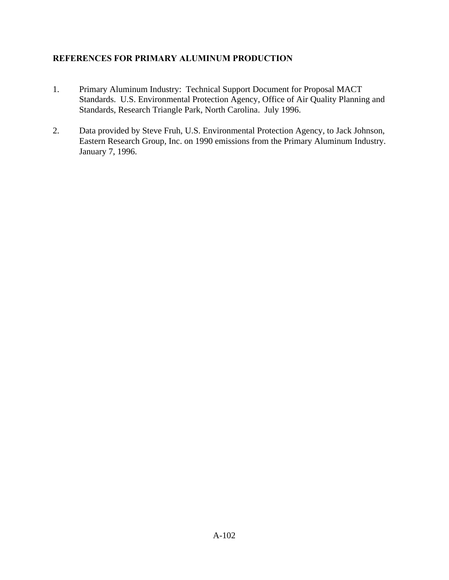# **REFERENCES FOR PRIMARY ALUMINUM PRODUCTION**

- 1. Primary Aluminum Industry: Technical Support Document for Proposal MACT Standards. U.S. Environmental Protection Agency, Office of Air Quality Planning and Standards, Research Triangle Park, North Carolina. July 1996.
- 2. Data provided by Steve Fruh, U.S. Environmental Protection Agency, to Jack Johnson, Eastern Research Group, Inc. on 1990 emissions from the Primary Aluminum Industry. January 7, 1996.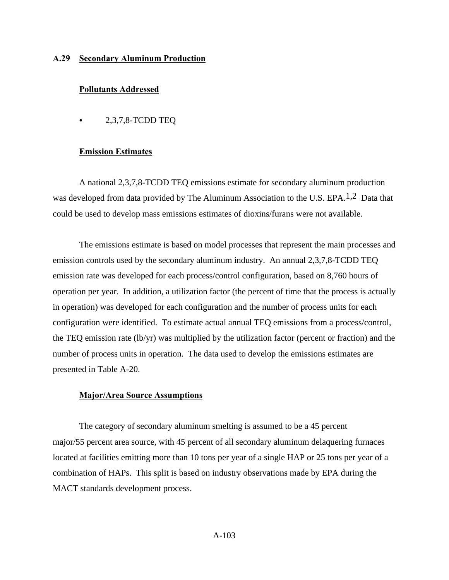### **A.29 Secondary Aluminum Production**

### **Pollutants Addressed**

 $\bullet$  2,3,7,8-TCDD TEQ

### **Emission Estimates**

A national 2,3,7,8-TCDD TEQ emissions estimate for secondary aluminum production was developed from data provided by The Aluminum Association to the U.S. EPA.<sup>1,2</sup> Data that could be used to develop mass emissions estimates of dioxins/furans were not available.

The emissions estimate is based on model processes that represent the main processes and emission controls used by the secondary aluminum industry. An annual 2,3,7,8-TCDD TEQ emission rate was developed for each process/control configuration, based on 8,760 hours of operation per year. In addition, a utilization factor (the percent of time that the process is actually in operation) was developed for each configuration and the number of process units for each configuration were identified. To estimate actual annual TEQ emissions from a process/control, the TEQ emission rate (lb/yr) was multiplied by the utilization factor (percent or fraction) and the number of process units in operation. The data used to develop the emissions estimates are presented in Table A-20.

### **Major/Area Source Assumptions**

The category of secondary aluminum smelting is assumed to be a 45 percent major/55 percent area source, with 45 percent of all secondary aluminum delaquering furnaces located at facilities emitting more than 10 tons per year of a single HAP or 25 tons per year of a combination of HAPs. This split is based on industry observations made by EPA during the MACT standards development process.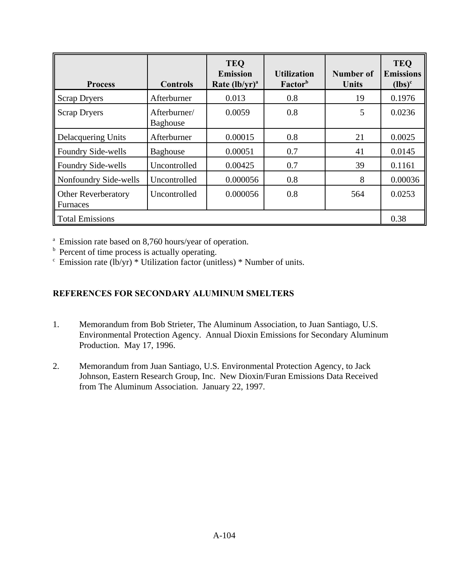| <b>Process</b>                                | <b>Controls</b>                 | <b>TEQ</b><br><b>Emission</b><br>Rate $(lb/yr)^a$ | <b>Utilization</b><br>Factor <sup>b</sup> | Number of<br><b>Units</b> | <b>TEO</b><br><b>Emissions</b><br>$(lbs)^c$ |
|-----------------------------------------------|---------------------------------|---------------------------------------------------|-------------------------------------------|---------------------------|---------------------------------------------|
| <b>Scrap Dryers</b>                           | Afterburner                     | 0.013                                             | 0.8                                       | 19                        | 0.1976                                      |
| <b>Scrap Dryers</b>                           | Afterburner/<br><b>Baghouse</b> | 0.0059                                            | 0.8                                       | 5                         | 0.0236                                      |
| <b>Delacquering Units</b>                     | Afterburner                     | 0.00015                                           | 0.8                                       | 21                        | 0.0025                                      |
| Foundry Side-wells                            | Baghouse                        | 0.00051                                           | 0.7                                       | 41                        | 0.0145                                      |
| Foundry Side-wells                            | Uncontrolled                    | 0.00425                                           | 0.7                                       | 39                        | 0.1161                                      |
| Nonfoundry Side-wells                         | Uncontrolled                    | 0.000056                                          | 0.8                                       | 8                         | 0.00036                                     |
| <b>Other Reverberatory</b><br><b>Furnaces</b> | Uncontrolled                    | 0.000056                                          | 0.8                                       | 564                       | 0.0253                                      |
| <b>Total Emissions</b>                        |                                 |                                                   |                                           | 0.38                      |                                             |

<sup>a</sup> Emission rate based on 8,760 hours/year of operation.

<sup>b</sup> Percent of time process is actually operating.

 $\epsilon$  Emission rate (lb/yr) \* Utilization factor (unitless) \* Number of units.

# **REFERENCES FOR SECONDARY ALUMINUM SMELTERS**

- 1. Memorandum from Bob Strieter, The Aluminum Association, to Juan Santiago, U.S. Environmental Protection Agency. Annual Dioxin Emissions for Secondary Aluminum Production. May 17, 1996.
- 2. Memorandum from Juan Santiago, U.S. Environmental Protection Agency, to Jack Johnson, Eastern Research Group, Inc. New Dioxin/Furan Emissions Data Received from The Aluminum Association. January 22, 1997.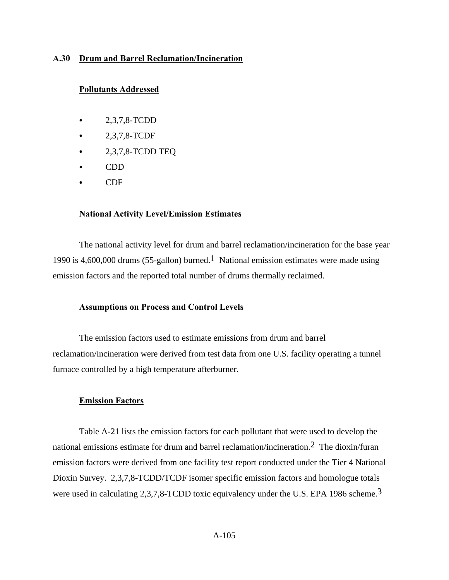### **A.30 Drum and Barrel Reclamation/Incineration**

### **Pollutants Addressed**

- $-2,3,7,8$ -TCDD
- C 2,3,7,8-TCDF
- $\bullet$  2,3,7,8-TCDD TEQ
- $\bullet$  CDD
- $\bullet$  CDF

### **National Activity Level/Emission Estimates**

The national activity level for drum and barrel reclamation/incineration for the base year 1990 is 4,600,000 drums (55-gallon) burned.<sup>1</sup> National emission estimates were made using emission factors and the reported total number of drums thermally reclaimed.

## **Assumptions on Process and Control Levels**

The emission factors used to estimate emissions from drum and barrel reclamation/incineration were derived from test data from one U.S. facility operating a tunnel furnace controlled by a high temperature afterburner.

### **Emission Factors**

Table A-21 lists the emission factors for each pollutant that were used to develop the national emissions estimate for drum and barrel reclamation/incineration.2 The dioxin/furan emission factors were derived from one facility test report conducted under the Tier 4 National Dioxin Survey. 2,3,7,8-TCDD/TCDF isomer specific emission factors and homologue totals were used in calculating 2,3,7,8-TCDD toxic equivalency under the U.S. EPA 1986 scheme.3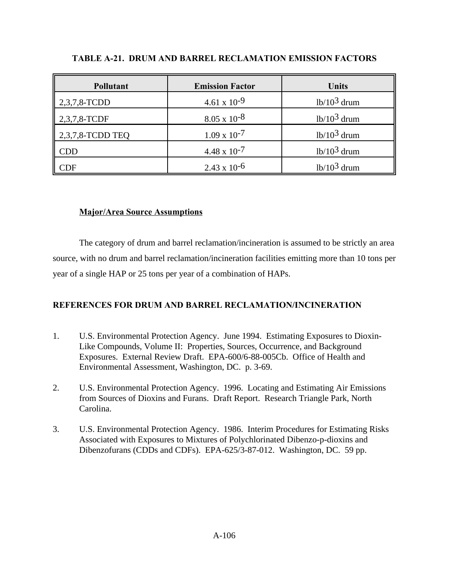| <b>Pollutant</b> | <b>Emission Factor</b> | <b>Units</b>  |
|------------------|------------------------|---------------|
| 2,3,7,8-TCDD     | $4.61 \times 10^{-9}$  | $1b/103$ drum |
| 2,3,7,8-TCDF     | $8.05 \times 10^{-8}$  | $1b/103$ drum |
| 2,3,7,8-TCDD TEQ | $1.09 \times 10^{-7}$  | $1b/103$ drum |
| <b>CDD</b>       | $4.48 \times 10^{-7}$  | $1b/103$ drum |
| <b>CDF</b>       | $2.43 \times 10^{-6}$  | $1b/103$ drum |

## **TABLE A-21. DRUM AND BARREL RECLAMATION EMISSION FACTORS**

# **Major/Area Source Assumptions**

The category of drum and barrel reclamation/incineration is assumed to be strictly an area source, with no drum and barrel reclamation/incineration facilities emitting more than 10 tons per year of a single HAP or 25 tons per year of a combination of HAPs.

# **REFERENCES FOR DRUM AND BARREL RECLAMATION/INCINERATION**

- 1. U.S. Environmental Protection Agency. June 1994. Estimating Exposures to Dioxin-Like Compounds, Volume II: Properties, Sources, Occurrence, and Background Exposures. External Review Draft. EPA-600/6-88-005Cb. Office of Health and Environmental Assessment, Washington, DC. p. 3-69.
- 2. U.S. Environmental Protection Agency. 1996. Locating and Estimating Air Emissions from Sources of Dioxins and Furans. Draft Report. Research Triangle Park, North Carolina.
- 3. U.S. Environmental Protection Agency. 1986. Interim Procedures for Estimating Risks Associated with Exposures to Mixtures of Polychlorinated Dibenzo-p-dioxins and Dibenzofurans (CDDs and CDFs). EPA-625/3-87-012. Washington, DC. 59 pp.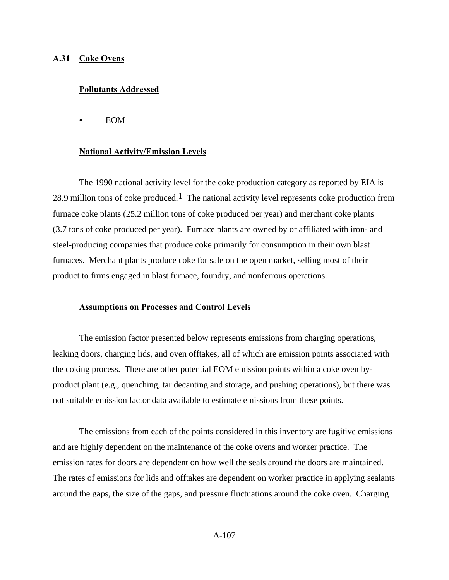### **A.31 Coke Ovens**

### **Pollutants Addressed**

**EOM** 

### **National Activity/Emission Levels**

The 1990 national activity level for the coke production category as reported by EIA is 28.9 million tons of coke produced.<sup>1</sup> The national activity level represents coke production from furnace coke plants (25.2 million tons of coke produced per year) and merchant coke plants (3.7 tons of coke produced per year). Furnace plants are owned by or affiliated with iron- and steel-producing companies that produce coke primarily for consumption in their own blast furnaces. Merchant plants produce coke for sale on the open market, selling most of their product to firms engaged in blast furnace, foundry, and nonferrous operations.

## **Assumptions on Processes and Control Levels**

The emission factor presented below represents emissions from charging operations, leaking doors, charging lids, and oven offtakes, all of which are emission points associated with the coking process. There are other potential EOM emission points within a coke oven byproduct plant (e.g., quenching, tar decanting and storage, and pushing operations), but there was not suitable emission factor data available to estimate emissions from these points.

The emissions from each of the points considered in this inventory are fugitive emissions and are highly dependent on the maintenance of the coke ovens and worker practice. The emission rates for doors are dependent on how well the seals around the doors are maintained. The rates of emissions for lids and offtakes are dependent on worker practice in applying sealants around the gaps, the size of the gaps, and pressure fluctuations around the coke oven. Charging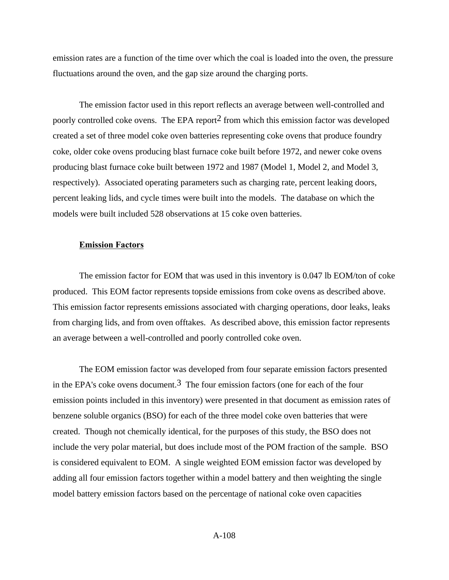emission rates are a function of the time over which the coal is loaded into the oven, the pressure fluctuations around the oven, and the gap size around the charging ports.

The emission factor used in this report reflects an average between well-controlled and poorly controlled coke ovens. The EPA report<sup>2</sup> from which this emission factor was developed created a set of three model coke oven batteries representing coke ovens that produce foundry coke, older coke ovens producing blast furnace coke built before 1972, and newer coke ovens producing blast furnace coke built between 1972 and 1987 (Model 1, Model 2, and Model 3, respectively). Associated operating parameters such as charging rate, percent leaking doors, percent leaking lids, and cycle times were built into the models. The database on which the models were built included 528 observations at 15 coke oven batteries.

#### **Emission Factors**

The emission factor for EOM that was used in this inventory is 0.047 lb EOM/ton of coke produced. This EOM factor represents topside emissions from coke ovens as described above. This emission factor represents emissions associated with charging operations, door leaks, leaks from charging lids, and from oven offtakes. As described above, this emission factor represents an average between a well-controlled and poorly controlled coke oven.

The EOM emission factor was developed from four separate emission factors presented in the EPA's coke ovens document.<sup>3</sup> The four emission factors (one for each of the four emission points included in this inventory) were presented in that document as emission rates of benzene soluble organics (BSO) for each of the three model coke oven batteries that were created. Though not chemically identical, for the purposes of this study, the BSO does not include the very polar material, but does include most of the POM fraction of the sample. BSO is considered equivalent to EOM. A single weighted EOM emission factor was developed by adding all four emission factors together within a model battery and then weighting the single model battery emission factors based on the percentage of national coke oven capacities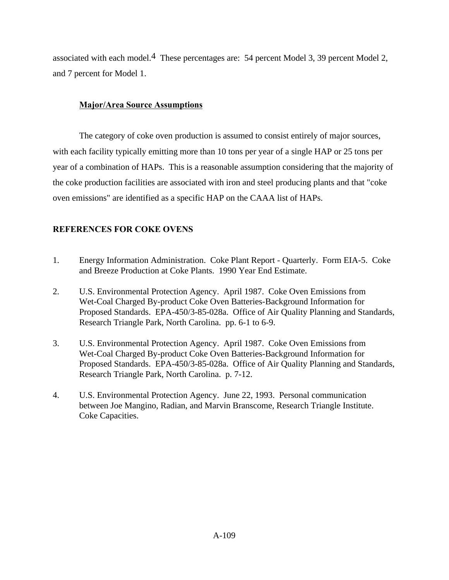associated with each model.<sup>4</sup> These percentages are: 54 percent Model 3, 39 percent Model 2, and 7 percent for Model 1.

# **Major/Area Source Assumptions**

The category of coke oven production is assumed to consist entirely of major sources, with each facility typically emitting more than 10 tons per year of a single HAP or 25 tons per year of a combination of HAPs. This is a reasonable assumption considering that the majority of the coke production facilities are associated with iron and steel producing plants and that "coke oven emissions" are identified as a specific HAP on the CAAA list of HAPs.

# **REFERENCES FOR COKE OVENS**

- 1. Energy Information Administration. Coke Plant Report Quarterly. Form EIA-5. Coke and Breeze Production at Coke Plants. 1990 Year End Estimate.
- 2. U.S. Environmental Protection Agency. April 1987. Coke Oven Emissions from Wet-Coal Charged By-product Coke Oven Batteries-Background Information for Proposed Standards. EPA-450/3-85-028a. Office of Air Quality Planning and Standards, Research Triangle Park, North Carolina. pp. 6-1 to 6-9.
- 3. U.S. Environmental Protection Agency. April 1987. Coke Oven Emissions from Wet-Coal Charged By-product Coke Oven Batteries-Background Information for Proposed Standards. EPA-450/3-85-028a. Office of Air Quality Planning and Standards, Research Triangle Park, North Carolina. p. 7-12.
- 4. U.S. Environmental Protection Agency. June 22, 1993. Personal communication between Joe Mangino, Radian, and Marvin Branscome, Research Triangle Institute. Coke Capacities.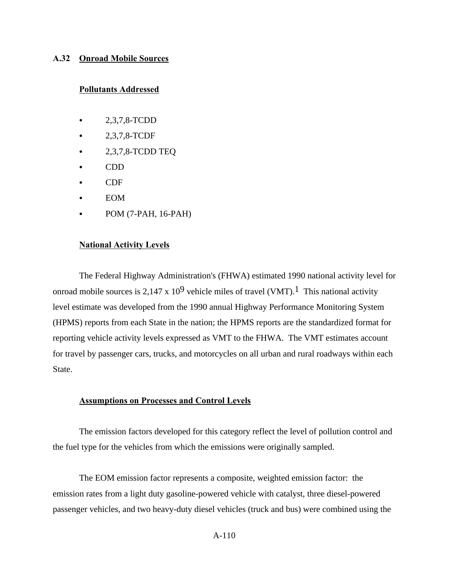### **A.32 Onroad Mobile Sources**

#### **Pollutants Addressed**

- $-2,3,7,8$ -TCDD
- 2,3,7,8-TCDF
- $\bullet$  2,3,7,8-TCDD TEQ
- $\bullet$  CDD
- $\bullet$  CDF
- **EOM**
- POM (7-PAH, 16-PAH)

#### **National Activity Levels**

The Federal Highway Administration's (FHWA) estimated 1990 national activity level for onroad mobile sources is 2,147 x 10<sup>9</sup> vehicle miles of travel (VMT).<sup>1</sup> This national activity level estimate was developed from the 1990 annual Highway Performance Monitoring System (HPMS) reports from each State in the nation; the HPMS reports are the standardized format for reporting vehicle activity levels expressed as VMT to the FHWA. The VMT estimates account for travel by passenger cars, trucks, and motorcycles on all urban and rural roadways within each State.

#### **Assumptions on Processes and Control Levels**

The emission factors developed for this category reflect the level of pollution control and the fuel type for the vehicles from which the emissions were originally sampled.

The EOM emission factor represents a composite, weighted emission factor: the emission rates from a light duty gasoline-powered vehicle with catalyst, three diesel-powered passenger vehicles, and two heavy-duty diesel vehicles (truck and bus) were combined using the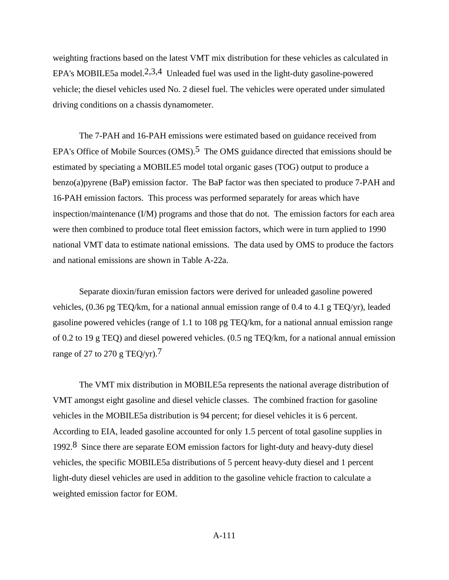weighting fractions based on the latest VMT mix distribution for these vehicles as calculated in EPA's MOBILE5a model.<sup>2,3,4</sup> Unleaded fuel was used in the light-duty gasoline-powered vehicle; the diesel vehicles used No. 2 diesel fuel. The vehicles were operated under simulated driving conditions on a chassis dynamometer.

The 7-PAH and 16-PAH emissions were estimated based on guidance received from EPA's Office of Mobile Sources  $(OMS)$ <sup>5</sup>. The OMS guidance directed that emissions should be estimated by speciating a MOBILE5 model total organic gases (TOG) output to produce a benzo(a)pyrene (BaP) emission factor. The BaP factor was then speciated to produce 7-PAH and 16-PAH emission factors. This process was performed separately for areas which have inspection/maintenance (I/M) programs and those that do not. The emission factors for each area were then combined to produce total fleet emission factors, which were in turn applied to 1990 national VMT data to estimate national emissions. The data used by OMS to produce the factors and national emissions are shown in Table A-22a.

Separate dioxin/furan emission factors were derived for unleaded gasoline powered vehicles, (0.36 pg TEQ/km, for a national annual emission range of 0.4 to 4.1 g TEQ/yr), leaded gasoline powered vehicles (range of 1.1 to 108 pg TEQ/km, for a national annual emission range of 0.2 to 19 g TEQ) and diesel powered vehicles. (0.5 ng TEQ/km, for a national annual emission range of 27 to 270 g TEQ/yr).<sup>7</sup>

The VMT mix distribution in MOBILE5a represents the national average distribution of VMT amongst eight gasoline and diesel vehicle classes. The combined fraction for gasoline vehicles in the MOBILE5a distribution is 94 percent; for diesel vehicles it is 6 percent. According to EIA, leaded gasoline accounted for only 1.5 percent of total gasoline supplies in 1992.8 Since there are separate EOM emission factors for light-duty and heavy-duty diesel vehicles, the specific MOBILE5a distributions of 5 percent heavy-duty diesel and 1 percent light-duty diesel vehicles are used in addition to the gasoline vehicle fraction to calculate a weighted emission factor for EOM.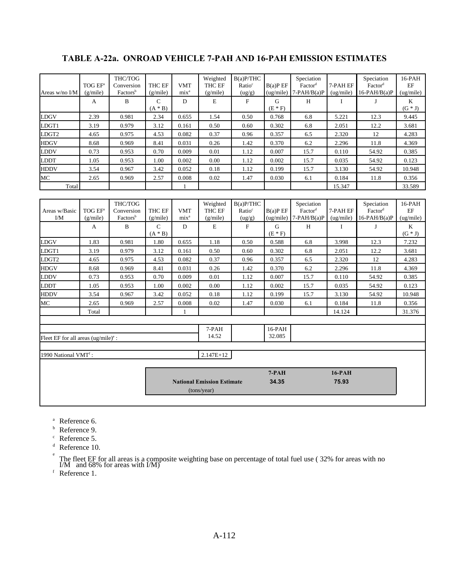|                                        |                     | THC/TOG              |                   |                                   | Weighted       | $B(a)$ P/THC       |                    | Speciation          |              | Speciation          | $16$ -PAH          |
|----------------------------------------|---------------------|----------------------|-------------------|-----------------------------------|----------------|--------------------|--------------------|---------------------|--------------|---------------------|--------------------|
|                                        | TOG EF <sup>a</sup> | Conversion           | THC EF            | <b>VMT</b>                        | <b>THC EF</b>  | Ratio <sup>c</sup> | B(a)P EF           | Factor <sup>d</sup> | 7-PAH EF     | Factor <sup>d</sup> | EF                 |
| Areas w/no I/M                         | (g/mile)            | Factors <sup>b</sup> | (g/mile)          | mix <sup>a</sup>                  | (g/mile)       | (ug/g)             | (ug/mile)          | $7-PAH/B(a)P$       | (ug/mile)    | $16-PAH/B(a)P$      | (ug/mile)          |
|                                        | A                   | B                    | $\mathbf C$       | D                                 | E              | $\mathbf F$        | G                  | H                   | $\mathbf{I}$ | J                   | $\mathbf K$        |
|                                        |                     |                      | $(A * B)$         |                                   |                |                    | $(E * F)$          |                     |              |                     | $(G * J)$          |
| LDGV                                   | 2.39                | 0.981                | 2.34              | 0.655                             | 1.54           | 0.50               | 0.768              | 6.8                 | 5.221        | 12.3                | 9.445              |
| LDGT1                                  | 3.19                | 0.979                | 3.12              | 0.161                             | 0.50           | 0.60               | 0.302              | 6.8                 | 2.051        | 12.2                | 3.681              |
| LDGT <sub>2</sub>                      | 4.65                | 0.975                | 4.53              | 0.082                             | 0.37           | 0.96               | 0.357              | 6.5                 | 2.320        | 12                  | 4.283              |
| <b>HDGV</b>                            | 8.68                | 0.969                | 8.41              | 0.031                             | 0.26           | 1.42               | 0.370              | 6.2                 | 2.296        | 11.8                | 4.369              |
| LDDV                                   | 0.73                | 0.953                | 0.70              | 0.009                             | 0.01           | 1.12               | 0.007              | 15.7                | 0.110        | 54.92               | 0.385              |
| LDDT                                   | 1.05                | 0.953                | 1.00              | 0.002                             | 0.00           | 1.12               | 0.002              | 15.7                | 0.035        | 54.92               | 0.123              |
| <b>HDDV</b>                            | 3.54                | 0.967                | 3.42              | 0.052                             | 0.18           | 1.12               | 0.199              | 15.7                | 3.130        | 54.92               | 10.948             |
| MC                                     | 2.65                | 0.969                | 2.57              | 0.008                             | 0.02           | 1.47               | 0.030              | 6.1                 | 0.184        | 11.8                | 0.356              |
| Total                                  |                     |                      |                   |                                   |                |                    |                    |                     | 15.347       |                     | 33.589             |
|                                        |                     |                      |                   |                                   |                |                    |                    |                     |              |                     |                    |
|                                        |                     | THC/TOG              |                   |                                   | Weighted       | B(a)P/THC          |                    | Speciation          |              | Speciation          | $16$ -PAH          |
| Areas w/Basic                          | TOG EF <sup>a</sup> | Conversion           | THC EF            | <b>VMT</b>                        | THC EF         | Ratio <sup>c</sup> | B(a)P E F          | Factor <sup>d</sup> | 7-PAH EF     | Factor <sup>d</sup> | EF                 |
| $VM$                                   | (g/mile)            | Factors <sup>b</sup> | (g/mile)          | mix <sup>a</sup>                  | (g/mile)       | (ug/g)             | (ug/mile)          | $7-PAH/B(a)P$       | (ug/mile)    | $16-PAH/B(a)P$      | (ug/mile)          |
|                                        | A                   | $\mathbf{B}$         | $\mathcal{C}$     | D                                 | E              | F                  | G                  | H                   | $\mathbf{I}$ | $\mathbf{I}$        | $\mathbf K$        |
| <b>LDGV</b>                            | 1.83                | 0.981                | $(A * B)$<br>1.80 | 0.655                             | 1.18           | 0.50               | $(E * F)$<br>0.588 | 6.8                 | 3.998        | 12.3                | $(G * J)$<br>7.232 |
|                                        |                     |                      |                   |                                   |                |                    |                    |                     |              |                     |                    |
| LDGT1                                  | 3.19                | 0.979                | 3.12              | 0.161                             | 0.50           | 0.60               | 0.302              | 6.8                 | 2.051        | 12.2                | 3.681              |
| LDGT <sub>2</sub>                      | 4.65                | 0.975                | 4.53              | 0.082                             | 0.37           | 0.96               | 0.357              | 6.5                 | 2.320        | 12                  | 4.283              |
| <b>HDGV</b>                            | 8.68                | 0.969                | 8.41              | 0.031                             | 0.26           | 1.42               | 0.370              | 6.2                 | 2.296        | 11.8                | 4.369              |
| <b>LDDV</b>                            | 0.73                | 0.953                | 0.70              | 0.009                             | 0.01           | 1.12               | 0.007              | 15.7                | 0.110        | 54.92               | 0.385              |
| LDDT                                   | 1.05                | 0.953                | 1.00              | 0.002                             | 0.00           | 1.12               | 0.002              | 15.7                | 0.035        | 54.92               | 0.123              |
| <b>HDDV</b>                            | 3.54                | 0.967                | 3.42              | 0.052                             | 0.18           | 1.12               | 0.199              | 15.7                | 3.130        | 54.92               | 10.948             |
| МC                                     | 2.65                | 0.969                | 2.57              | 0.008                             | 0.02           | 1.47               | 0.030              | 6.1                 | 0.184        | 11.8                | 0.356              |
|                                        | Total               |                      |                   | 1                                 |                |                    |                    |                     | 14.124       |                     | 31.376             |
|                                        |                     |                      |                   |                                   |                |                    |                    |                     |              |                     |                    |
|                                        |                     |                      |                   |                                   | 7-PAH<br>14.52 |                    | 16-PAH<br>32.085   |                     |              |                     |                    |
| Fleet EF for all areas $(ug/mile)^e$ : |                     |                      |                   |                                   |                |                    |                    |                     |              |                     |                    |
| 1990 National VMT <sup>f</sup> :       |                     |                      |                   |                                   | $2.147E+12$    |                    |                    |                     |              |                     |                    |
|                                        |                     |                      |                   |                                   |                |                    |                    |                     |              |                     |                    |
|                                        |                     |                      |                   |                                   |                |                    | $7-PAH$            |                     | $16-PAH$     |                     |                    |
|                                        |                     |                      |                   | <b>National Emission Estimate</b> |                | 34.35              |                    | 75.93               |              |                     |                    |
|                                        |                     |                      |                   | (tons/year)                       |                |                    |                    |                     |              |                     |                    |
|                                        |                     |                      |                   |                                   |                |                    |                    |                     |              |                     |                    |
|                                        |                     |                      |                   |                                   |                |                    |                    |                     |              |                     |                    |

# **TABLE A-22a. ONROAD VEHICLE 7-PAH AND 16-PAH EMISSION ESTIMATES**

<sup>a</sup> Reference 6.

<sup>b</sup> Reference 9.

<sup>c</sup> Reference 5.

<sup>d</sup> Reference 10. e

The fleet EF for all areas is a composite weighting base on percentage of total fuel use ( 32% for areas with no I/M and 68% for areas with I/M)

<sup>f</sup> Reference 1.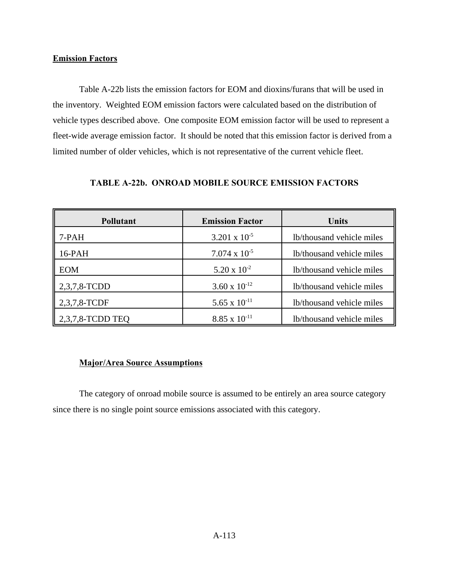### **Emission Factors**

Table A-22b lists the emission factors for EOM and dioxins/furans that will be used in the inventory. Weighted EOM emission factors were calculated based on the distribution of vehicle types described above. One composite EOM emission factor will be used to represent a fleet-wide average emission factor. It should be noted that this emission factor is derived from a limited number of older vehicles, which is not representative of the current vehicle fleet.

| <b>Pollutant</b>    | <b>Emission Factor</b> | <b>Units</b>              |
|---------------------|------------------------|---------------------------|
| 7-PAH               | $3.201 \times 10^{-5}$ | lb/thousand vehicle miles |
| 16-PAH              | $7.074 \times 10^{-5}$ | lb/thousand vehicle miles |
| <b>EOM</b>          | $5.20 \times 10^{-2}$  | lb/thousand vehicle miles |
| 2,3,7,8-TCDD        | 3.60 x $10^{-12}$      | lb/thousand vehicle miles |
| 2,3,7,8-TCDF        | 5.65 x $10^{-11}$      | lb/thousand vehicle miles |
| $2,3,7,8$ -TCDD TEQ | $8.85 \times 10^{-11}$ | lb/thousand vehicle miles |

## **TABLE A-22b. ONROAD MOBILE SOURCE EMISSION FACTORS**

## **Major/Area Source Assumptions**

The category of onroad mobile source is assumed to be entirely an area source category since there is no single point source emissions associated with this category.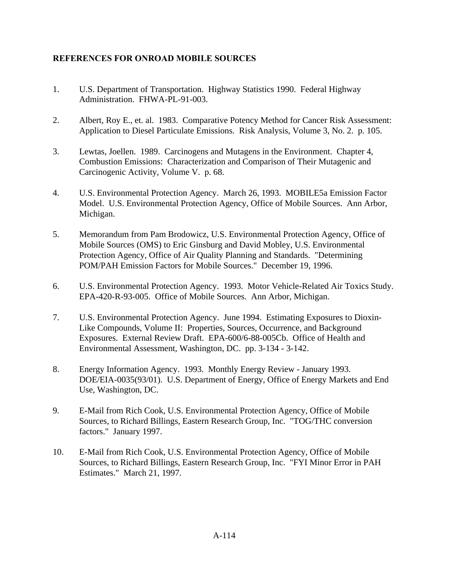# **REFERENCES FOR ONROAD MOBILE SOURCES**

- 1. U.S. Department of Transportation. Highway Statistics 1990. Federal Highway Administration. FHWA-PL-91-003.
- 2. Albert, Roy E., et. al. 1983. Comparative Potency Method for Cancer Risk Assessment: Application to Diesel Particulate Emissions. Risk Analysis, Volume 3, No. 2. p. 105.
- 3. Lewtas, Joellen. 1989. Carcinogens and Mutagens in the Environment. Chapter 4, Combustion Emissions: Characterization and Comparison of Their Mutagenic and Carcinogenic Activity, Volume V. p. 68.
- 4. U.S. Environmental Protection Agency. March 26, 1993. MOBILE5a Emission Factor Model. U.S. Environmental Protection Agency, Office of Mobile Sources. Ann Arbor, Michigan.
- 5. Memorandum from Pam Brodowicz, U.S. Environmental Protection Agency, Office of Mobile Sources (OMS) to Eric Ginsburg and David Mobley, U.S. Environmental Protection Agency, Office of Air Quality Planning and Standards. "Determining POM/PAH Emission Factors for Mobile Sources." December 19, 1996.
- 6. U.S. Environmental Protection Agency. 1993. Motor Vehicle-Related Air Toxics Study. EPA-420-R-93-005. Office of Mobile Sources. Ann Arbor, Michigan.
- 7. U.S. Environmental Protection Agency. June 1994. Estimating Exposures to Dioxin-Like Compounds, Volume II: Properties, Sources, Occurrence, and Background Exposures. External Review Draft. EPA-600/6-88-005Cb. Office of Health and Environmental Assessment, Washington, DC. pp. 3-134 - 3-142.
- 8. Energy Information Agency. 1993. Monthly Energy Review January 1993. DOE/EIA-0035(93/01). U.S. Department of Energy, Office of Energy Markets and End Use, Washington, DC.
- 9. E-Mail from Rich Cook, U.S. Environmental Protection Agency, Office of Mobile Sources, to Richard Billings, Eastern Research Group, Inc. "TOG/THC conversion factors." January 1997.
- 10. E-Mail from Rich Cook, U.S. Environmental Protection Agency, Office of Mobile Sources, to Richard Billings, Eastern Research Group, Inc. "FYI Minor Error in PAH Estimates." March 21, 1997.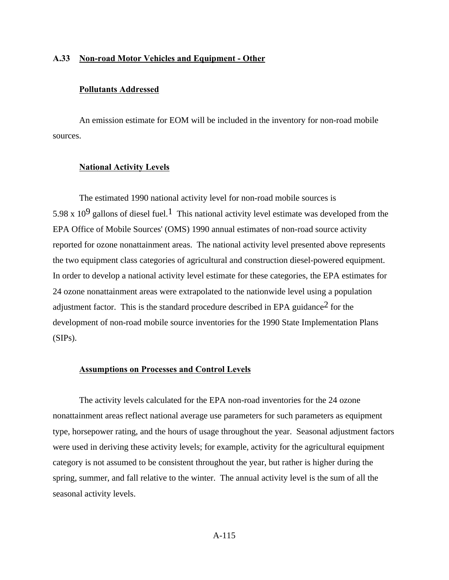### **A.33 Non-road Motor Vehicles and Equipment - Other**

#### **Pollutants Addressed**

An emission estimate for EOM will be included in the inventory for non-road mobile sources.

#### **National Activity Levels**

The estimated 1990 national activity level for non-road mobile sources is 5.98 x 10<sup>9</sup> gallons of diesel fuel.<sup>1</sup> This national activity level estimate was developed from the EPA Office of Mobile Sources' (OMS) 1990 annual estimates of non-road source activity reported for ozone nonattainment areas. The national activity level presented above represents the two equipment class categories of agricultural and construction diesel-powered equipment. In order to develop a national activity level estimate for these categories, the EPA estimates for 24 ozone nonattainment areas were extrapolated to the nationwide level using a population adjustment factor. This is the standard procedure described in EPA guidance2 for the development of non-road mobile source inventories for the 1990 State Implementation Plans (SIPs).

#### **Assumptions on Processes and Control Levels**

The activity levels calculated for the EPA non-road inventories for the 24 ozone nonattainment areas reflect national average use parameters for such parameters as equipment type, horsepower rating, and the hours of usage throughout the year. Seasonal adjustment factors were used in deriving these activity levels; for example, activity for the agricultural equipment category is not assumed to be consistent throughout the year, but rather is higher during the spring, summer, and fall relative to the winter. The annual activity level is the sum of all the seasonal activity levels.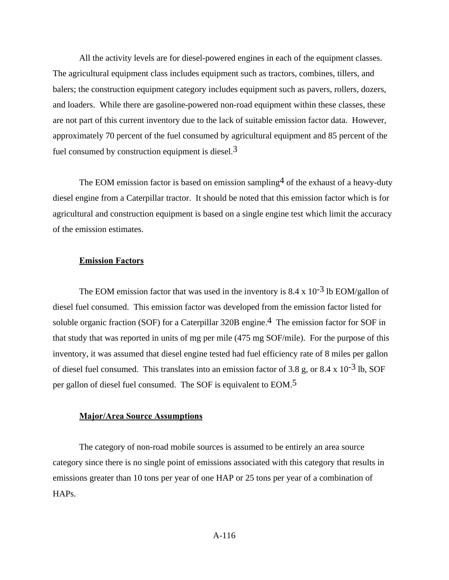All the activity levels are for diesel-powered engines in each of the equipment classes. The agricultural equipment class includes equipment such as tractors, combines, tillers, and balers; the construction equipment category includes equipment such as pavers, rollers, dozers, and loaders. While there are gasoline-powered non-road equipment within these classes, these are not part of this current inventory due to the lack of suitable emission factor data. However, approximately 70 percent of the fuel consumed by agricultural equipment and 85 percent of the fuel consumed by construction equipment is diesel. $3$ 

The EOM emission factor is based on emission sampling  $4$  of the exhaust of a heavy-duty diesel engine from a Caterpillar tractor. It should be noted that this emission factor which is for agricultural and construction equipment is based on a single engine test which limit the accuracy of the emission estimates.

#### **Emission Factors**

The EOM emission factor that was used in the inventory is  $8.4 \times 10^{-3}$  lb EOM/gallon of diesel fuel consumed. This emission factor was developed from the emission factor listed for soluble organic fraction (SOF) for a Caterpillar 320B engine.<sup>4</sup> The emission factor for SOF in that study that was reported in units of mg per mile (475 mg SOF/mile). For the purpose of this inventory, it was assumed that diesel engine tested had fuel efficiency rate of 8 miles per gallon of diesel fuel consumed. This translates into an emission factor of 3.8 g, or 8.4 x  $10^{-3}$  lb, SOF per gallon of diesel fuel consumed. The SOF is equivalent to EOM.5

#### **Major/Area Source Assumptions**

The category of non-road mobile sources is assumed to be entirely an area source category since there is no single point of emissions associated with this category that results in emissions greater than 10 tons per year of one HAP or 25 tons per year of a combination of HAPs.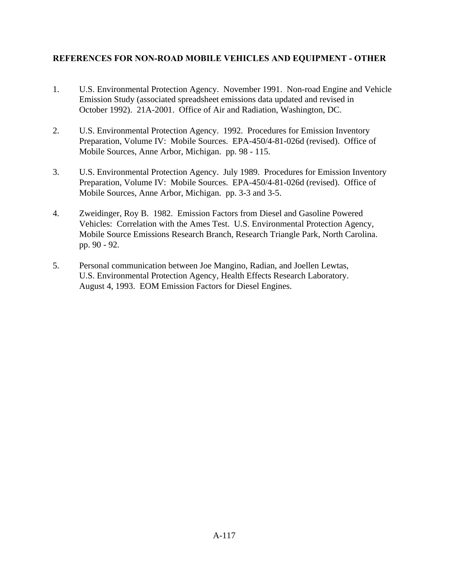# **REFERENCES FOR NON-ROAD MOBILE VEHICLES AND EQUIPMENT - OTHER**

- 1. U.S. Environmental Protection Agency. November 1991. Non-road Engine and Vehicle Emission Study (associated spreadsheet emissions data updated and revised in October 1992). 21A-2001. Office of Air and Radiation, Washington, DC.
- 2. U.S. Environmental Protection Agency. 1992. Procedures for Emission Inventory Preparation, Volume IV: Mobile Sources. EPA-450/4-81-026d (revised). Office of Mobile Sources, Anne Arbor, Michigan. pp. 98 - 115.
- 3. U.S. Environmental Protection Agency. July 1989. Procedures for Emission Inventory Preparation, Volume IV: Mobile Sources. EPA-450/4-81-026d (revised). Office of Mobile Sources, Anne Arbor, Michigan. pp. 3-3 and 3-5.
- 4. Zweidinger, Roy B. 1982. Emission Factors from Diesel and Gasoline Powered Vehicles: Correlation with the Ames Test. U.S. Environmental Protection Agency, Mobile Source Emissions Research Branch, Research Triangle Park, North Carolina. pp. 90 - 92.
- 5. Personal communication between Joe Mangino, Radian, and Joellen Lewtas, U.S. Environmental Protection Agency, Health Effects Research Laboratory. August 4, 1993. EOM Emission Factors for Diesel Engines.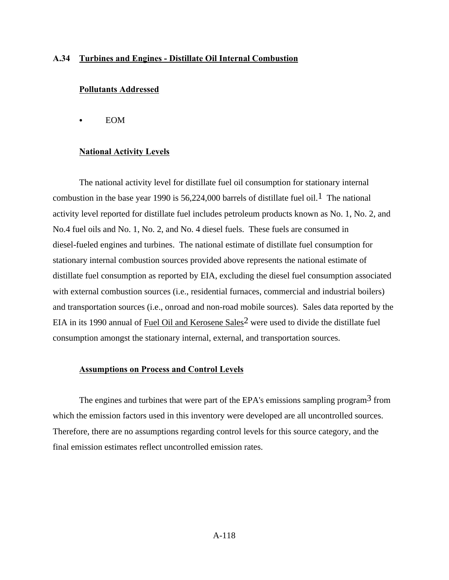#### **A.34 Turbines and Engines - Distillate Oil Internal Combustion**

#### **Pollutants Addressed**

 $\bullet$  EOM

#### **National Activity Levels**

The national activity level for distillate fuel oil consumption for stationary internal combustion in the base year 1990 is 56,224,000 barrels of distillate fuel oil.<sup>1</sup> The national activity level reported for distillate fuel includes petroleum products known as No. 1, No. 2, and No.4 fuel oils and No. 1, No. 2, and No. 4 diesel fuels. These fuels are consumed in diesel-fueled engines and turbines. The national estimate of distillate fuel consumption for stationary internal combustion sources provided above represents the national estimate of distillate fuel consumption as reported by EIA, excluding the diesel fuel consumption associated with external combustion sources (i.e., residential furnaces, commercial and industrial boilers) and transportation sources (i.e., onroad and non-road mobile sources). Sales data reported by the EIA in its 1990 annual of Fuel Oil and Kerosene Sales<sup>2</sup> were used to divide the distillate fuel consumption amongst the stationary internal, external, and transportation sources.

#### **Assumptions on Process and Control Levels**

The engines and turbines that were part of the EPA's emissions sampling program<sup>3</sup> from which the emission factors used in this inventory were developed are all uncontrolled sources. Therefore, there are no assumptions regarding control levels for this source category, and the final emission estimates reflect uncontrolled emission rates.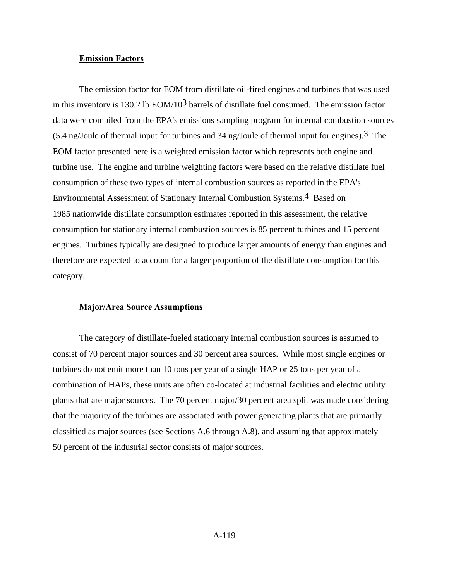### **Emission Factors**

The emission factor for EOM from distillate oil-fired engines and turbines that was used in this inventory is 130.2 lb  $EOM/10<sup>3</sup>$  barrels of distillate fuel consumed. The emission factor data were compiled from the EPA's emissions sampling program for internal combustion sources  $(5.4 \text{ ng/Joule of thermal input for turbins and } 34 \text{ ng/Joule of thermal input for engines})$ .<sup>3</sup> The EOM factor presented here is a weighted emission factor which represents both engine and turbine use. The engine and turbine weighting factors were based on the relative distillate fuel consumption of these two types of internal combustion sources as reported in the EPA's Environmental Assessment of Stationary Internal Combustion Systems.4 Based on 1985 nationwide distillate consumption estimates reported in this assessment, the relative consumption for stationary internal combustion sources is 85 percent turbines and 15 percent engines. Turbines typically are designed to produce larger amounts of energy than engines and therefore are expected to account for a larger proportion of the distillate consumption for this category.

#### **Major/Area Source Assumptions**

The category of distillate-fueled stationary internal combustion sources is assumed to consist of 70 percent major sources and 30 percent area sources. While most single engines or turbines do not emit more than 10 tons per year of a single HAP or 25 tons per year of a combination of HAPs, these units are often co-located at industrial facilities and electric utility plants that are major sources. The 70 percent major/30 percent area split was made considering that the majority of the turbines are associated with power generating plants that are primarily classified as major sources (see Sections A.6 through A.8), and assuming that approximately 50 percent of the industrial sector consists of major sources.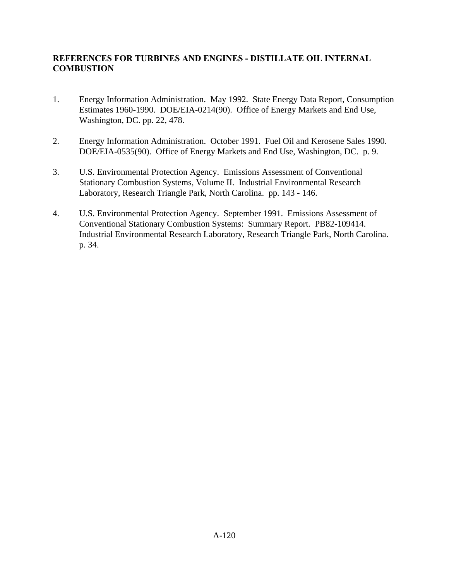# **REFERENCES FOR TURBINES AND ENGINES - DISTILLATE OIL INTERNAL COMBUSTION**

- 1. Energy Information Administration. May 1992. State Energy Data Report, Consumption Estimates 1960-1990. DOE/EIA-0214(90). Office of Energy Markets and End Use, Washington, DC. pp. 22, 478.
- 2. Energy Information Administration. October 1991. Fuel Oil and Kerosene Sales 1990. DOE/EIA-0535(90). Office of Energy Markets and End Use, Washington, DC. p. 9.
- 3. U.S. Environmental Protection Agency. Emissions Assessment of Conventional Stationary Combustion Systems, Volume II. Industrial Environmental Research Laboratory, Research Triangle Park, North Carolina. pp. 143 - 146.
- 4. U.S. Environmental Protection Agency. September 1991. Emissions Assessment of Conventional Stationary Combustion Systems: Summary Report. PB82-109414. Industrial Environmental Research Laboratory, Research Triangle Park, North Carolina. p. 34.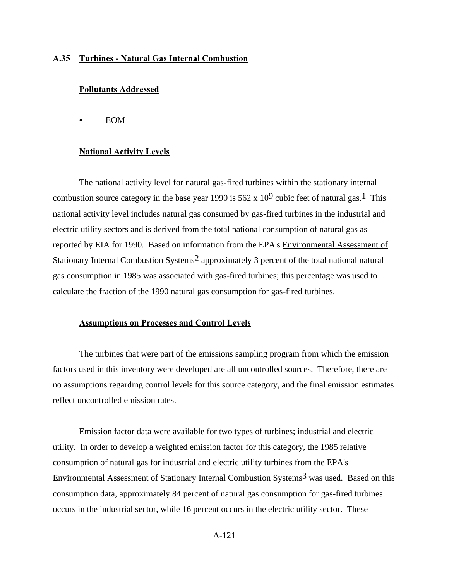## **A.35 Turbines - Natural Gas Internal Combustion**

#### **Pollutants Addressed**

**EOM** 

### **National Activity Levels**

The national activity level for natural gas-fired turbines within the stationary internal combustion source category in the base year 1990 is  $562 \times 10^9$  cubic feet of natural gas.<sup>1</sup> This national activity level includes natural gas consumed by gas-fired turbines in the industrial and electric utility sectors and is derived from the total national consumption of natural gas as reported by EIA for 1990. Based on information from the EPA's Environmental Assessment of Stationary Internal Combustion Systems2 approximately 3 percent of the total national natural gas consumption in 1985 was associated with gas-fired turbines; this percentage was used to calculate the fraction of the 1990 natural gas consumption for gas-fired turbines.

## **Assumptions on Processes and Control Levels**

The turbines that were part of the emissions sampling program from which the emission factors used in this inventory were developed are all uncontrolled sources. Therefore, there are no assumptions regarding control levels for this source category, and the final emission estimates reflect uncontrolled emission rates.

Emission factor data were available for two types of turbines; industrial and electric utility. In order to develop a weighted emission factor for this category, the 1985 relative consumption of natural gas for industrial and electric utility turbines from the EPA's Environmental Assessment of Stationary Internal Combustion Systems<sup>3</sup> was used. Based on this consumption data, approximately 84 percent of natural gas consumption for gas-fired turbines occurs in the industrial sector, while 16 percent occurs in the electric utility sector. These

A-121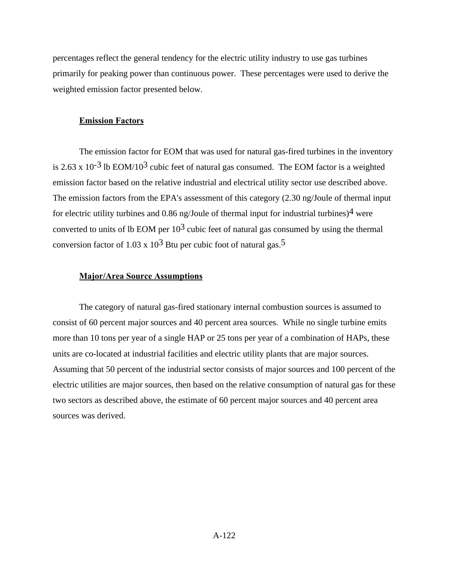percentages reflect the general tendency for the electric utility industry to use gas turbines primarily for peaking power than continuous power. These percentages were used to derive the weighted emission factor presented below.

#### **Emission Factors**

The emission factor for EOM that was used for natural gas-fired turbines in the inventory is 2.63 x 10<sup>-3</sup> lb EOM/10<sup>3</sup> cubic feet of natural gas consumed. The EOM factor is a weighted emission factor based on the relative industrial and electrical utility sector use described above. The emission factors from the EPA's assessment of this category (2.30 ng/Joule of thermal input for electric utility turbines and 0.86 ng/Joule of thermal input for industrial turbines)<sup>4</sup> were converted to units of lb EOM per  $10<sup>3</sup>$  cubic feet of natural gas consumed by using the thermal conversion factor of  $1.03 \times 10^3$  Btu per cubic foot of natural gas.<sup>5</sup>

#### **Major/Area Source Assumptions**

The category of natural gas-fired stationary internal combustion sources is assumed to consist of 60 percent major sources and 40 percent area sources. While no single turbine emits more than 10 tons per year of a single HAP or 25 tons per year of a combination of HAPs, these units are co-located at industrial facilities and electric utility plants that are major sources. Assuming that 50 percent of the industrial sector consists of major sources and 100 percent of the electric utilities are major sources, then based on the relative consumption of natural gas for these two sectors as described above, the estimate of 60 percent major sources and 40 percent area sources was derived.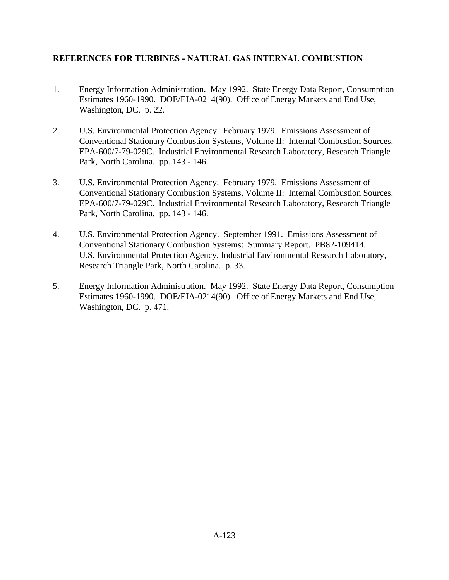# **REFERENCES FOR TURBINES - NATURAL GAS INTERNAL COMBUSTION**

- 1. Energy Information Administration. May 1992. State Energy Data Report, Consumption Estimates 1960-1990. DOE/EIA-0214(90). Office of Energy Markets and End Use, Washington, DC. p. 22.
- 2. U.S. Environmental Protection Agency. February 1979. Emissions Assessment of Conventional Stationary Combustion Systems, Volume II: Internal Combustion Sources. EPA-600/7-79-029C. Industrial Environmental Research Laboratory, Research Triangle Park, North Carolina. pp. 143 - 146.
- 3. U.S. Environmental Protection Agency. February 1979. Emissions Assessment of Conventional Stationary Combustion Systems, Volume II: Internal Combustion Sources. EPA-600/7-79-029C. Industrial Environmental Research Laboratory, Research Triangle Park, North Carolina. pp. 143 - 146.
- 4. U.S. Environmental Protection Agency. September 1991. Emissions Assessment of Conventional Stationary Combustion Systems: Summary Report. PB82-109414. U.S. Environmental Protection Agency, Industrial Environmental Research Laboratory, Research Triangle Park, North Carolina. p. 33.
- 5. Energy Information Administration. May 1992. State Energy Data Report, Consumption Estimates 1960-1990. DOE/EIA-0214(90). Office of Energy Markets and End Use, Washington, DC. p. 471.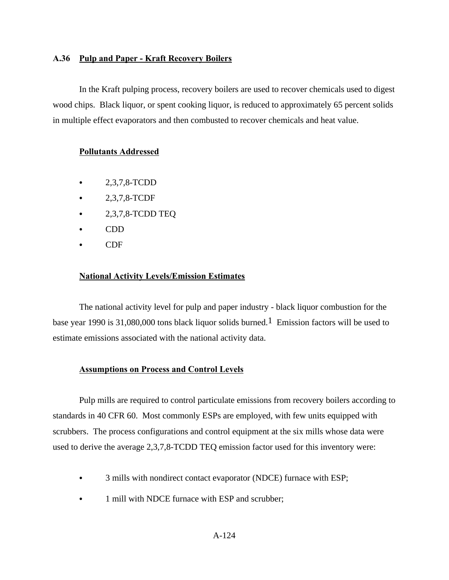### **A.36 Pulp and Paper - Kraft Recovery Boilers**

In the Kraft pulping process, recovery boilers are used to recover chemicals used to digest wood chips. Black liquor, or spent cooking liquor, is reduced to approximately 65 percent solids in multiple effect evaporators and then combusted to recover chemicals and heat value.

### **Pollutants Addressed**

- $\bullet$  2,3,7,8-TCDD
- $-2,3,7,8$ -TCDF
- $\bullet$  2,3,7,8-TCDD TEQ
- $\bullet$  CDD
- $\bullet$  CDF

#### **National Activity Levels/Emission Estimates**

The national activity level for pulp and paper industry - black liquor combustion for the base year 1990 is 31,080,000 tons black liquor solids burned.<sup>1</sup> Emission factors will be used to estimate emissions associated with the national activity data.

### **Assumptions on Process and Control Levels**

Pulp mills are required to control particulate emissions from recovery boilers according to standards in 40 CFR 60. Most commonly ESPs are employed, with few units equipped with scrubbers. The process configurations and control equipment at the six mills whose data were used to derive the average 2,3,7,8-TCDD TEQ emission factor used for this inventory were:

- 3 mills with nondirect contact evaporator (NDCE) furnace with ESP;
- 1 mill with NDCE furnace with ESP and scrubber;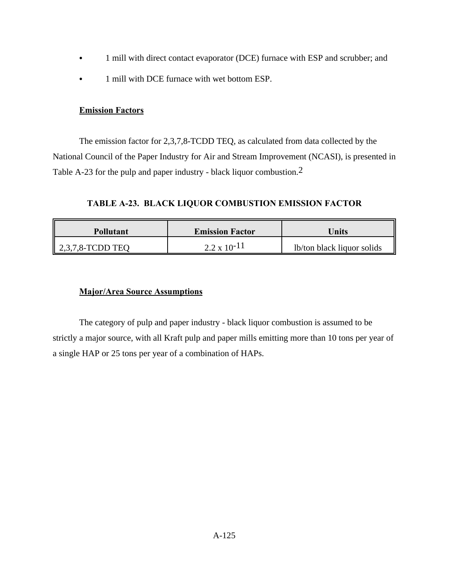- 1 mill with direct contact evaporator (DCE) furnace with ESP and scrubber; and
- 1 mill with DCE furnace with wet bottom ESP.

## **Emission Factors**

The emission factor for 2,3,7,8-TCDD TEQ, as calculated from data collected by the National Council of the Paper Industry for Air and Stream Improvement (NCASI), is presented in Table A-23 for the pulp and paper industry - black liquor combustion.2

**TABLE A-23. BLACK LIQUOR COMBUSTION EMISSION FACTOR**

| <b>Pollutant</b>    | <b>Emission Factor</b> | Units                      |  |  |
|---------------------|------------------------|----------------------------|--|--|
| $2,3,7,8$ -TCDD TEO | $2.2 \times 10^{-11}$  | lb/ton black liquor solids |  |  |

# **Major/Area Source Assumptions**

The category of pulp and paper industry - black liquor combustion is assumed to be strictly a major source, with all Kraft pulp and paper mills emitting more than 10 tons per year of a single HAP or 25 tons per year of a combination of HAPs.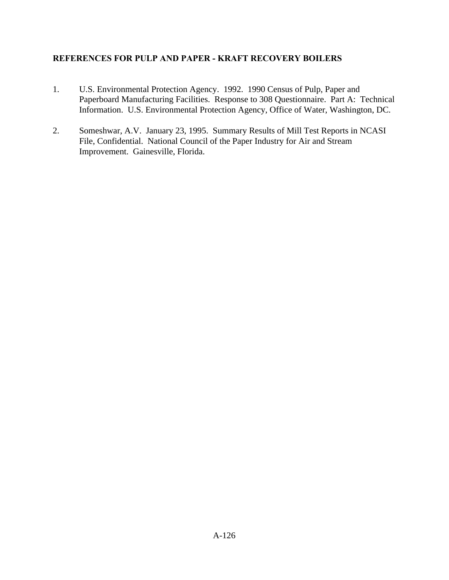# **REFERENCES FOR PULP AND PAPER - KRAFT RECOVERY BOILERS**

- 1. U.S. Environmental Protection Agency. 1992. 1990 Census of Pulp, Paper and Paperboard Manufacturing Facilities. Response to 308 Questionnaire. Part A: Technical Information. U.S. Environmental Protection Agency, Office of Water, Washington, DC.
- 2. Someshwar, A.V. January 23, 1995. Summary Results of Mill Test Reports in NCASI File, Confidential. National Council of the Paper Industry for Air and Stream Improvement. Gainesville, Florida.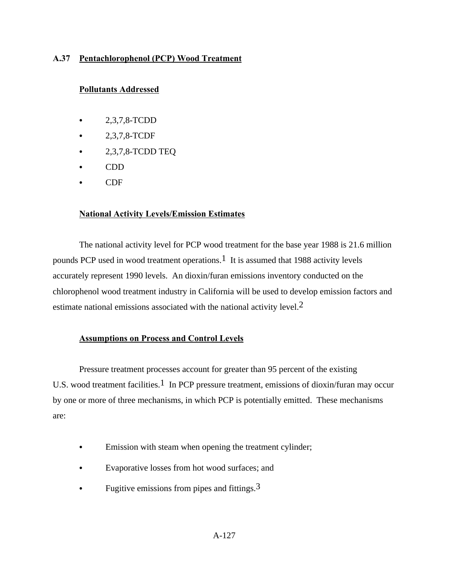## **A.37 Pentachlorophenol (PCP) Wood Treatment**

### **Pollutants Addressed**

- $\bullet$  2,3,7,8-TCDD
- C 2,3,7,8-TCDF
- $\bullet$  2,3,7,8-TCDD TEQ
- C CDD
- CDF

### **National Activity Levels/Emission Estimates**

The national activity level for PCP wood treatment for the base year 1988 is 21.6 million pounds PCP used in wood treatment operations.1 It is assumed that 1988 activity levels accurately represent 1990 levels. An dioxin/furan emissions inventory conducted on the chlorophenol wood treatment industry in California will be used to develop emission factors and estimate national emissions associated with the national activity level.<sup>2</sup>

## **Assumptions on Process and Control Levels**

Pressure treatment processes account for greater than 95 percent of the existing U.S. wood treatment facilities.<sup>1</sup> In PCP pressure treatment, emissions of dioxin/furan may occur by one or more of three mechanisms, in which PCP is potentially emitted. These mechanisms are:

- Emission with steam when opening the treatment cylinder;
- Evaporative losses from hot wood surfaces; and
- Fugitive emissions from pipes and fittings.  $3$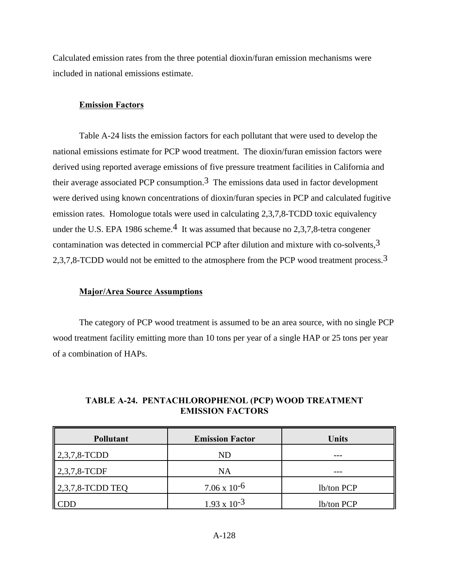Calculated emission rates from the three potential dioxin/furan emission mechanisms were included in national emissions estimate.

### **Emission Factors**

Table A-24 lists the emission factors for each pollutant that were used to develop the national emissions estimate for PCP wood treatment. The dioxin/furan emission factors were derived using reported average emissions of five pressure treatment facilities in California and their average associated PCP consumption.<sup>3</sup> The emissions data used in factor development were derived using known concentrations of dioxin/furan species in PCP and calculated fugitive emission rates. Homologue totals were used in calculating 2,3,7,8-TCDD toxic equivalency under the U.S. EPA 1986 scheme.<sup>4</sup> It was assumed that because no 2,3,7,8-tetra congener contamination was detected in commercial PCP after dilution and mixture with co-solvents,  $3$ 2,3,7,8-TCDD would not be emitted to the atmosphere from the PCP wood treatment process.3

### **Major/Area Source Assumptions**

The category of PCP wood treatment is assumed to be an area source, with no single PCP wood treatment facility emitting more than 10 tons per year of a single HAP or 25 tons per year of a combination of HAPs.

| <b>Pollutant</b>         | <b>Emission Factor</b> | <b>Units</b> |
|--------------------------|------------------------|--------------|
| $  2,3,7,8$ -TCDD        | ND                     |              |
| $\parallel$ 2,3,7,8-TCDF | NA                     |              |
| $\vert$ 2,3,7,8-TCDD TEQ | $7.06 \times 10^{-6}$  | lb/ton PCP   |
|                          | $1.93 \times 10^{-3}$  | lb/ton PCP   |

## **TABLE A-24. PENTACHLOROPHENOL (PCP) WOOD TREATMENT EMISSION FACTORS**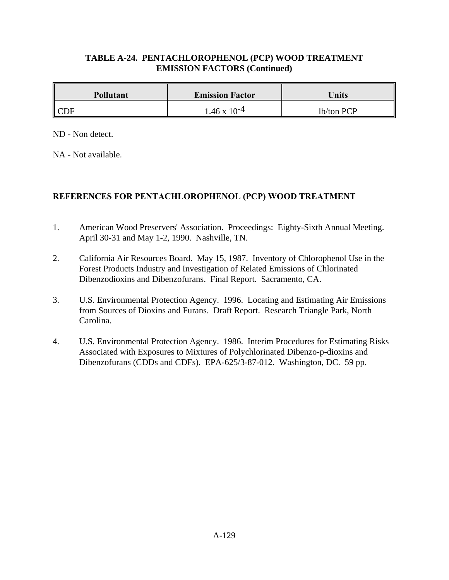# **TABLE A-24. PENTACHLOROPHENOL (PCP) WOOD TREATMENT EMISSION FACTORS (Continued)**

| <b>Pollutant</b> | <b>Emission Factor</b> | Units      |
|------------------|------------------------|------------|
| ICDF             | $.46 \times 10^{-4}$   | lb/ton PCP |

ND - Non detect.

NA - Not available.

# **REFERENCES FOR PENTACHLOROPHENOL (PCP) WOOD TREATMENT**

- 1. American Wood Preservers' Association. Proceedings: Eighty-Sixth Annual Meeting. April 30-31 and May 1-2, 1990. Nashville, TN.
- 2. California Air Resources Board. May 15, 1987. Inventory of Chlorophenol Use in the Forest Products Industry and Investigation of Related Emissions of Chlorinated Dibenzodioxins and Dibenzofurans. Final Report. Sacramento, CA.
- 3. U.S. Environmental Protection Agency. 1996. Locating and Estimating Air Emissions from Sources of Dioxins and Furans. Draft Report. Research Triangle Park, North Carolina.
- 4. U.S. Environmental Protection Agency. 1986. Interim Procedures for Estimating Risks Associated with Exposures to Mixtures of Polychlorinated Dibenzo-p-dioxins and Dibenzofurans (CDDs and CDFs). EPA-625/3-87-012. Washington, DC. 59 pp.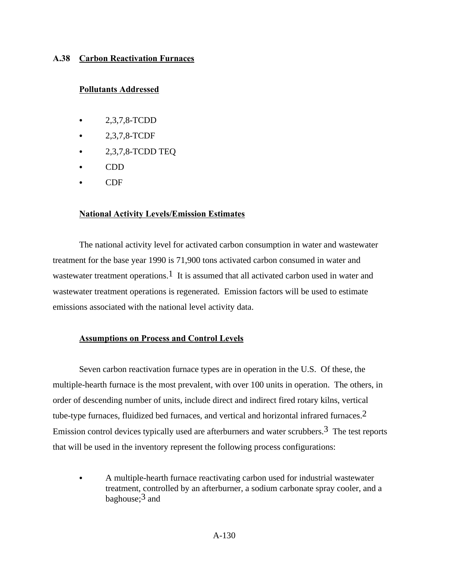## **A.38 Carbon Reactivation Furnaces**

## **Pollutants Addressed**

- $\bullet$  2,3,7,8-TCDD
- 2,3,7,8-TCDF
- $\bullet$  2,3,7,8-TCDD TEQ
- C CDD
- C<sub>DF</sub>

### **National Activity Levels/Emission Estimates**

The national activity level for activated carbon consumption in water and wastewater treatment for the base year 1990 is 71,900 tons activated carbon consumed in water and wastewater treatment operations.<sup>1</sup> It is assumed that all activated carbon used in water and wastewater treatment operations is regenerated. Emission factors will be used to estimate emissions associated with the national level activity data.

### **Assumptions on Process and Control Levels**

Seven carbon reactivation furnace types are in operation in the U.S. Of these, the multiple-hearth furnace is the most prevalent, with over 100 units in operation. The others, in order of descending number of units, include direct and indirect fired rotary kilns, vertical tube-type furnaces, fluidized bed furnaces, and vertical and horizontal infrared furnaces.<sup>2</sup> Emission control devices typically used are afterburners and water scrubbers.<sup>3</sup> The test reports that will be used in the inventory represent the following process configurations:

A multiple-hearth furnace reactivating carbon used for industrial wastewater treatment, controlled by an afterburner, a sodium carbonate spray cooler, and a baghouse: $3$  and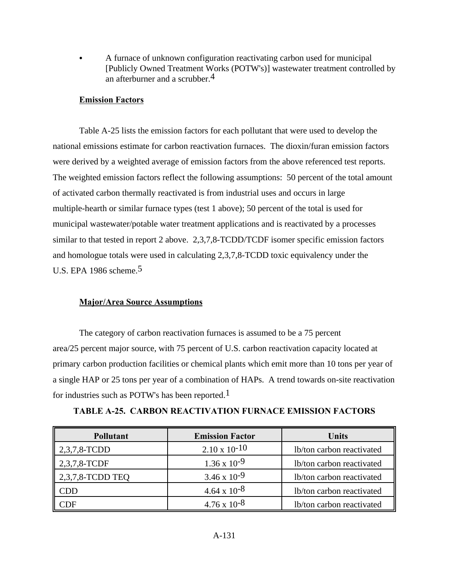A furnace of unknown configuration reactivating carbon used for municipal [Publicly Owned Treatment Works (POTW's)] wastewater treatment controlled by an afterburner and a scrubber.4

## **Emission Factors**

Table A-25 lists the emission factors for each pollutant that were used to develop the national emissions estimate for carbon reactivation furnaces. The dioxin/furan emission factors were derived by a weighted average of emission factors from the above referenced test reports. The weighted emission factors reflect the following assumptions: 50 percent of the total amount of activated carbon thermally reactivated is from industrial uses and occurs in large multiple-hearth or similar furnace types (test 1 above); 50 percent of the total is used for municipal wastewater/potable water treatment applications and is reactivated by a processes similar to that tested in report 2 above. 2,3,7,8-TCDD/TCDF isomer specific emission factors and homologue totals were used in calculating 2,3,7,8-TCDD toxic equivalency under the U.S. EPA 1986 scheme.5

### **Major/Area Source Assumptions**

The category of carbon reactivation furnaces is assumed to be a 75 percent area/25 percent major source, with 75 percent of U.S. carbon reactivation capacity located at primary carbon production facilities or chemical plants which emit more than 10 tons per year of a single HAP or 25 tons per year of a combination of HAPs. A trend towards on-site reactivation for industries such as POTW's has been reported.<sup>1</sup>

| <b>Pollutant</b> | <b>Emission Factor</b> | <b>Units</b>              |
|------------------|------------------------|---------------------------|
| 2,3,7,8-TCDD     | $2.10 \times 10^{-10}$ | lb/ton carbon reactivated |
| 2,3,7,8-TCDF     | $1.36 \times 10^{-9}$  | lb/ton carbon reactivated |
| 2,3,7,8-TCDD TEQ | $3.46 \times 10^{-9}$  | lb/ton carbon reactivated |
| CDD              | $4.64 \times 10^{-8}$  | lb/ton carbon reactivated |
| `DF              | $4.76 \times 10^{-8}$  | lb/ton carbon reactivated |

**TABLE A-25. CARBON REACTIVATION FURNACE EMISSION FACTORS**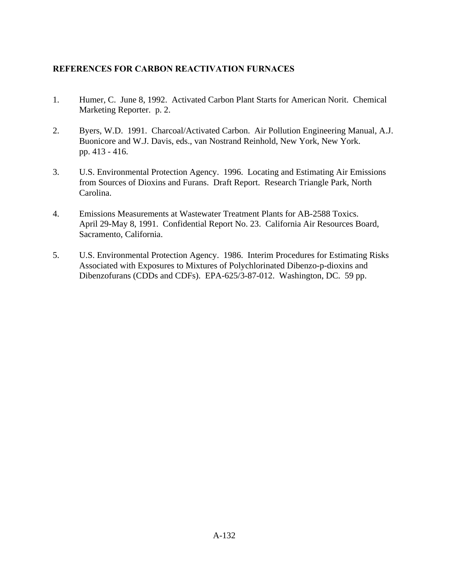# **REFERENCES FOR CARBON REACTIVATION FURNACES**

- 1. Humer, C. June 8, 1992. Activated Carbon Plant Starts for American Norit. Chemical Marketing Reporter. p. 2.
- 2. Byers, W.D. 1991. Charcoal/Activated Carbon. Air Pollution Engineering Manual, A.J. Buonicore and W.J. Davis, eds., van Nostrand Reinhold, New York, New York. pp. 413 - 416.
- 3. U.S. Environmental Protection Agency. 1996. Locating and Estimating Air Emissions from Sources of Dioxins and Furans. Draft Report. Research Triangle Park, North Carolina.
- 4. Emissions Measurements at Wastewater Treatment Plants for AB-2588 Toxics. April 29-May 8, 1991. Confidential Report No. 23. California Air Resources Board, Sacramento, California.
- 5. U.S. Environmental Protection Agency. 1986. Interim Procedures for Estimating Risks Associated with Exposures to Mixtures of Polychlorinated Dibenzo-p-dioxins and Dibenzofurans (CDDs and CDFs). EPA-625/3-87-012. Washington, DC. 59 pp.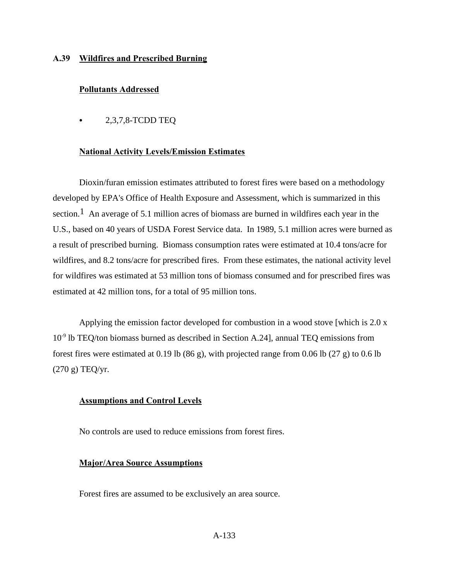#### **A.39 Wildfires and Prescribed Burning**

#### **Pollutants Addressed**

 $\bullet$  2,3,7,8-TCDD TEQ

#### **National Activity Levels/Emission Estimates**

Dioxin/furan emission estimates attributed to forest fires were based on a methodology developed by EPA's Office of Health Exposure and Assessment, which is summarized in this section.<sup>1</sup> An average of 5.1 million acres of biomass are burned in wildfires each year in the U.S., based on 40 years of USDA Forest Service data. In 1989, 5.1 million acres were burned as a result of prescribed burning. Biomass consumption rates were estimated at 10.4 tons/acre for wildfires, and 8.2 tons/acre for prescribed fires. From these estimates, the national activity level for wildfires was estimated at 53 million tons of biomass consumed and for prescribed fires was estimated at 42 million tons, for a total of 95 million tons.

Applying the emission factor developed for combustion in a wood stove [which is 2.0 x  $10<sup>-9</sup>$  lb TEQ/ton biomass burned as described in Section A.24], annual TEQ emissions from forest fires were estimated at 0.19 lb (86 g), with projected range from 0.06 lb (27 g) to 0.6 lb (270 g) TEQ/yr.

#### **Assumptions and Control Levels**

No controls are used to reduce emissions from forest fires.

#### **Major/Area Source Assumptions**

Forest fires are assumed to be exclusively an area source.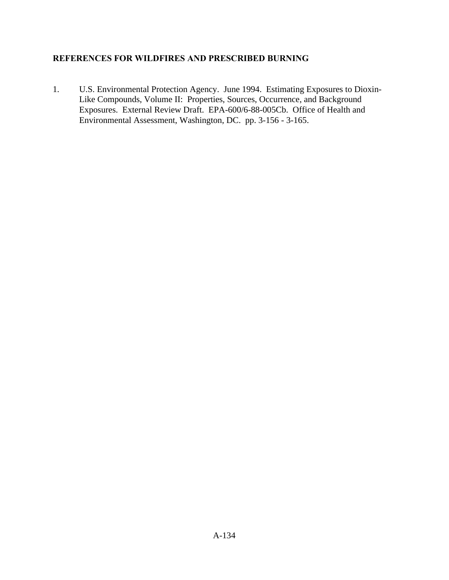# **REFERENCES FOR WILDFIRES AND PRESCRIBED BURNING**

1. U.S. Environmental Protection Agency. June 1994. Estimating Exposures to Dioxin-Like Compounds, Volume II: Properties, Sources, Occurrence, and Background Exposures. External Review Draft. EPA-600/6-88-005Cb. Office of Health and Environmental Assessment, Washington, DC. pp. 3-156 - 3-165.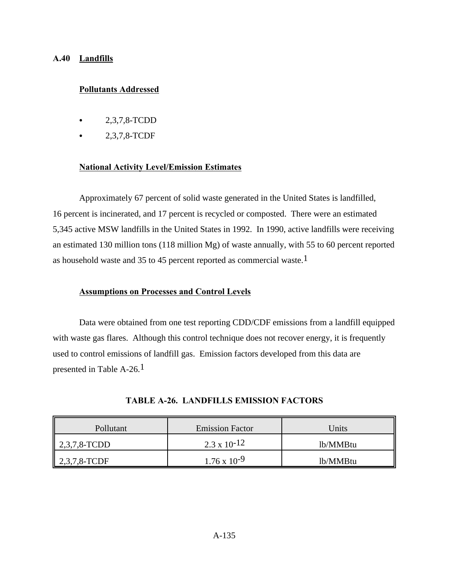## **A.40 Landfills**

## **Pollutants Addressed**

- C 2,3,7,8-TCDD
- 2,3,7,8-TCDF

### **National Activity Level/Emission Estimates**

Approximately 67 percent of solid waste generated in the United States is landfilled, 16 percent is incinerated, and 17 percent is recycled or composted. There were an estimated 5,345 active MSW landfills in the United States in 1992. In 1990, active landfills were receiving an estimated 130 million tons (118 million Mg) of waste annually, with 55 to 60 percent reported as household waste and 35 to 45 percent reported as commercial waste.1

### **Assumptions on Processes and Control Levels**

Data were obtained from one test reporting CDD/CDF emissions from a landfill equipped with waste gas flares. Although this control technique does not recover energy, it is frequently used to control emissions of landfill gas. Emission factors developed from this data are presented in Table A-26.<sup>1</sup>

| Pollutant             | <b>Emission Factor</b> | Units    |
|-----------------------|------------------------|----------|
| $\vert 2,3,7,8$ -TCDD | $2.3 \times 10^{-12}$  | 1b/MMBtu |
| 2,3,7,8-TCDF          | $1.76 \times 10^{-9}$  | lb/MMBtu |

|  |  |  | TABLE A-26. LANDFILLS EMISSION FACTORS |  |  |  |  |  |
|--|--|--|----------------------------------------|--|--|--|--|--|
|--|--|--|----------------------------------------|--|--|--|--|--|